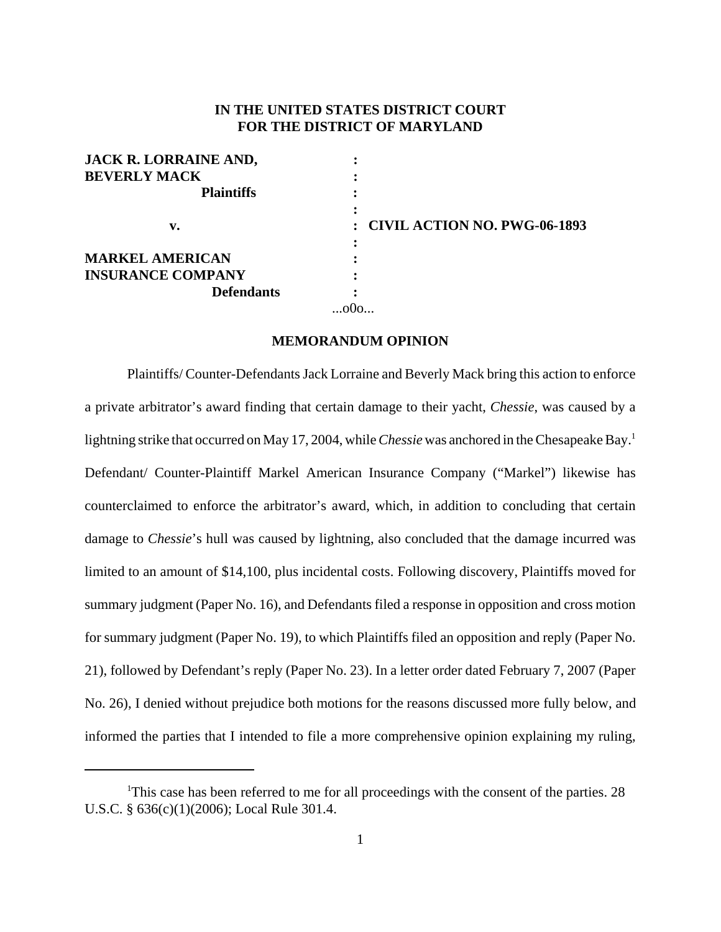# **IN THE UNITED STATES DISTRICT COURT FOR THE DISTRICT OF MARYLAND**

| <b>JACK R. LORRAINE AND,</b> |  |
|------------------------------|--|
| <b>BEVERLY MACK</b>          |  |
| <b>Plaintiffs</b>            |  |
|                              |  |
| v.                           |  |
|                              |  |
| <b>MARKEL AMERICAN</b>       |  |
| <b>INSURANCE COMPANY</b>     |  |
| <b>Defendants</b>            |  |
|                              |  |

**v. : CIVIL ACTION NO. PWG-06-1893**

#### **MEMORANDUM OPINION**

Plaintiffs/ Counter-Defendants Jack Lorraine and Beverly Mack bring this action to enforce a private arbitrator's award finding that certain damage to their yacht, *Chessie*, was caused by a lightning strike that occurred on May 17, 2004, while *Chessie* was anchored in the Chesapeake Bay.1 Defendant/ Counter-Plaintiff Markel American Insurance Company ("Markel") likewise has counterclaimed to enforce the arbitrator's award, which, in addition to concluding that certain damage to *Chessie*'s hull was caused by lightning, also concluded that the damage incurred was limited to an amount of \$14,100, plus incidental costs. Following discovery, Plaintiffs moved for summary judgment (Paper No. 16), and Defendants filed a response in opposition and cross motion for summary judgment (Paper No. 19), to which Plaintiffs filed an opposition and reply (Paper No. 21), followed by Defendant's reply (Paper No. 23). In a letter order dated February 7, 2007 (Paper No. 26), I denied without prejudice both motions for the reasons discussed more fully below, and informed the parties that I intended to file a more comprehensive opinion explaining my ruling,

<sup>&</sup>lt;sup>1</sup>This case has been referred to me for all proceedings with the consent of the parties. 28 U.S.C. § 636(c)(1)(2006); Local Rule 301.4.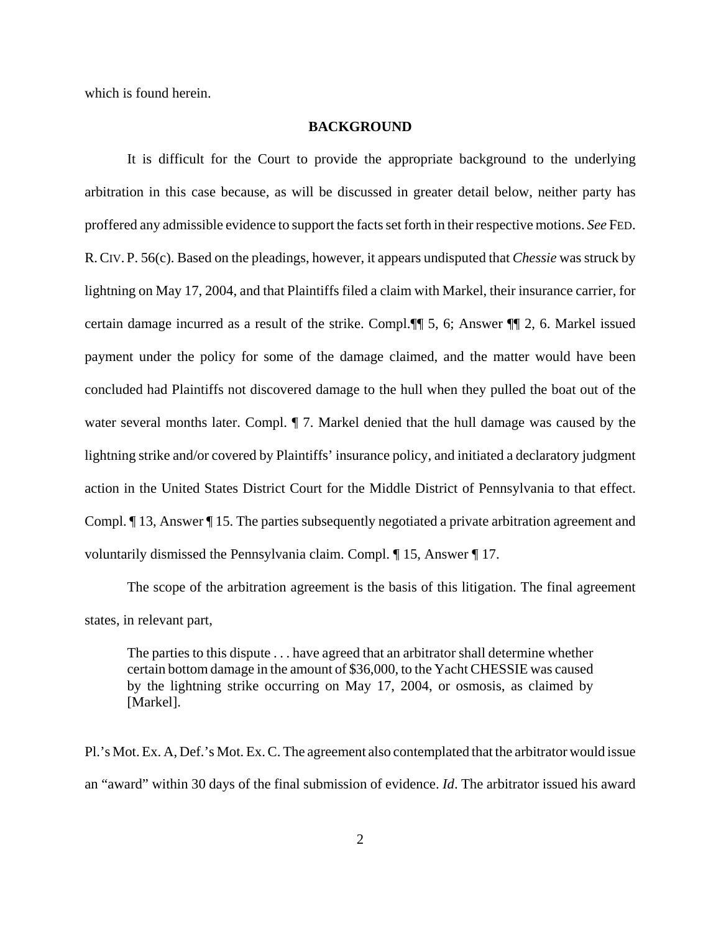which is found herein.

## **BACKGROUND**

It is difficult for the Court to provide the appropriate background to the underlying arbitration in this case because, as will be discussed in greater detail below, neither party has proffered any admissible evidence to support the facts set forth in their respective motions. *See* FED. R.CIV. P. 56(c). Based on the pleadings, however, it appears undisputed that *Chessie* was struck by lightning on May 17, 2004, and that Plaintiffs filed a claim with Markel, their insurance carrier, for certain damage incurred as a result of the strike. Compl.¶¶ 5, 6; Answer ¶¶ 2, 6. Markel issued payment under the policy for some of the damage claimed, and the matter would have been concluded had Plaintiffs not discovered damage to the hull when they pulled the boat out of the water several months later. Compl. ¶ 7. Markel denied that the hull damage was caused by the lightning strike and/or covered by Plaintiffs' insurance policy, and initiated a declaratory judgment action in the United States District Court for the Middle District of Pennsylvania to that effect. Compl. ¶ 13, Answer ¶ 15. The parties subsequently negotiated a private arbitration agreement and voluntarily dismissed the Pennsylvania claim. Compl. ¶ 15, Answer ¶ 17.

The scope of the arbitration agreement is the basis of this litigation. The final agreement states, in relevant part,

The parties to this dispute . . . have agreed that an arbitrator shall determine whether certain bottom damage in the amount of \$36,000, to the Yacht CHESSIE was caused by the lightning strike occurring on May 17, 2004, or osmosis, as claimed by [Markel].

Pl.'s Mot. Ex. A, Def.'s Mot. Ex. C. The agreement also contemplated that the arbitrator would issue an "award" within 30 days of the final submission of evidence. *Id*. The arbitrator issued his award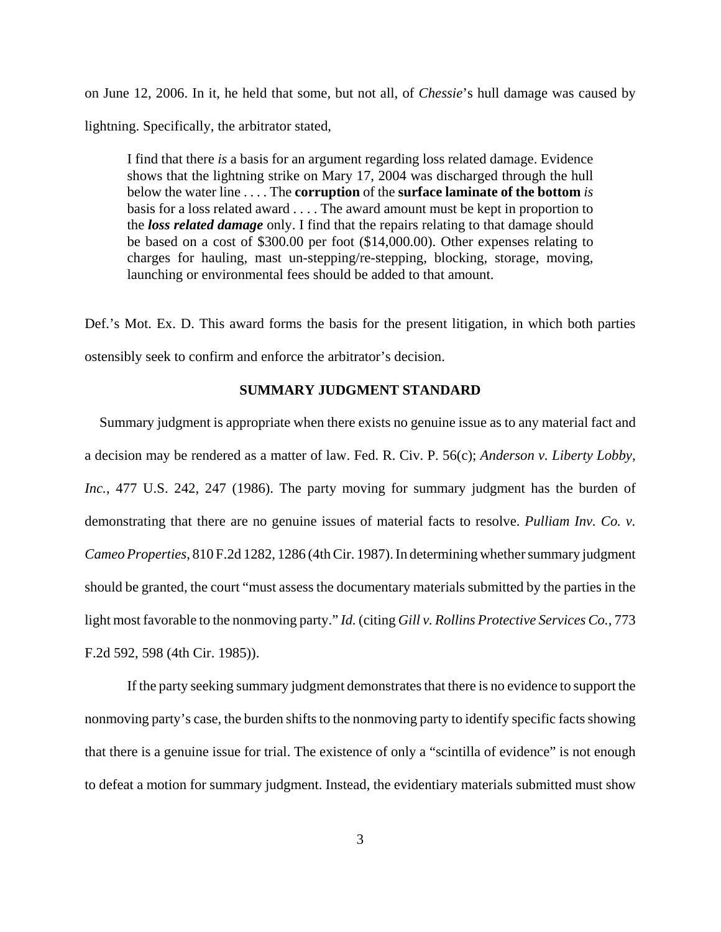on June 12, 2006. In it, he held that some, but not all, of *Chessie*'s hull damage was caused by lightning. Specifically, the arbitrator stated,

I find that there *is* a basis for an argument regarding loss related damage. Evidence shows that the lightning strike on Mary 17, 2004 was discharged through the hull below the water line . . . . The **corruption** of the **surface laminate of the bottom** *is* basis for a loss related award . . . . The award amount must be kept in proportion to the *loss related damage* only. I find that the repairs relating to that damage should be based on a cost of \$300.00 per foot (\$14,000.00). Other expenses relating to charges for hauling, mast un-stepping/re-stepping, blocking, storage, moving, launching or environmental fees should be added to that amount.

Def.'s Mot. Ex. D. This award forms the basis for the present litigation, in which both parties ostensibly seek to confirm and enforce the arbitrator's decision.

# **SUMMARY JUDGMENT STANDARD**

 Summary judgment is appropriate when there exists no genuine issue as to any material fact and a decision may be rendered as a matter of law. Fed. R. Civ. P. 56(c); *Anderson v. Liberty Lobby, Inc.*, 477 U.S. 242, 247 (1986). The party moving for summary judgment has the burden of demonstrating that there are no genuine issues of material facts to resolve. *Pulliam Inv. Co. v. Cameo Properties*, 810 F.2d 1282, 1286 (4th Cir. 1987). In determining whether summary judgment should be granted, the court "must assess the documentary materials submitted by the parties in the light most favorable to the nonmoving party." *Id.* (citing *Gill v. Rollins Protective Services Co.*, 773 F.2d 592, 598 (4th Cir. 1985)).

If the party seeking summary judgment demonstrates that there is no evidence to support the nonmoving party's case, the burden shifts to the nonmoving party to identify specific facts showing that there is a genuine issue for trial. The existence of only a "scintilla of evidence" is not enough to defeat a motion for summary judgment. Instead, the evidentiary materials submitted must show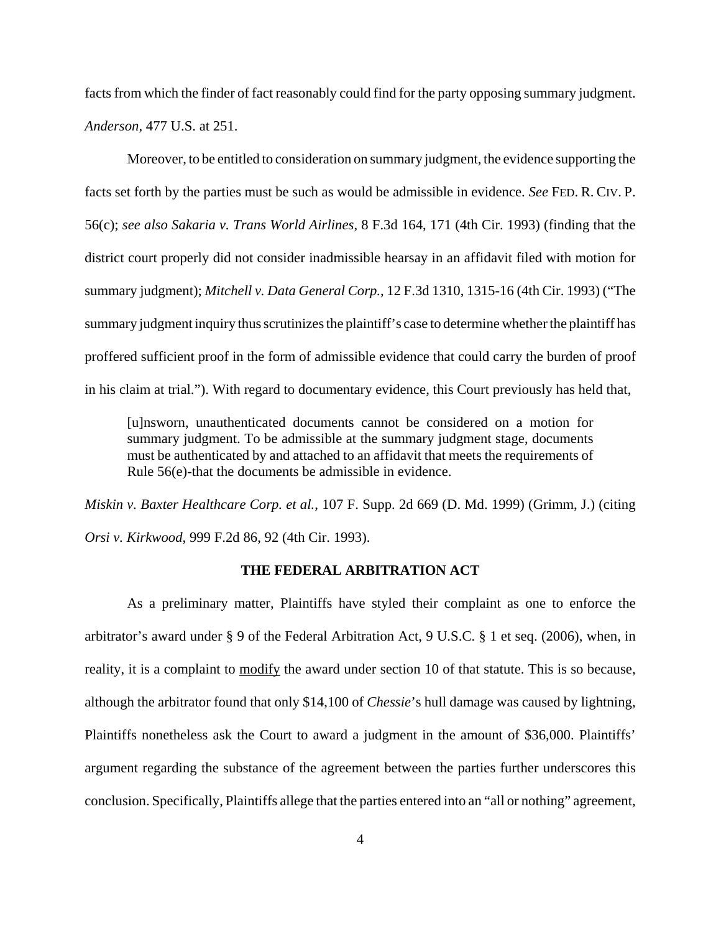facts from which the finder of fact reasonably could find for the party opposing summary judgment. *Anderson,* 477 U.S. at 251.

Moreover, to be entitled to consideration on summary judgment, the evidence supporting the facts set forth by the parties must be such as would be admissible in evidence. *See* FED. R. CIV. P. 56(c); *see also Sakaria v. Trans World Airlines*, 8 F.3d 164, 171 (4th Cir. 1993) (finding that the district court properly did not consider inadmissible hearsay in an affidavit filed with motion for summary judgment); *Mitchell v. Data General Corp.*, 12 F.3d 1310, 1315-16 (4th Cir. 1993) ("The summary judgment inquiry thus scrutinizes the plaintiff's case to determine whether the plaintiff has proffered sufficient proof in the form of admissible evidence that could carry the burden of proof in his claim at trial."). With regard to documentary evidence, this Court previously has held that,

[u]nsworn, unauthenticated documents cannot be considered on a motion for summary judgment. To be admissible at the summary judgment stage, documents must be authenticated by and attached to an affidavit that meets the requirements of Rule 56(e)-that the documents be admissible in evidence.

*Miskin v. Baxter Healthcare Corp. et al.*, 107 F. Supp. 2d 669 (D. Md. 1999) (Grimm, J.) (citing *Orsi v. Kirkwood*, 999 F.2d 86, 92 (4th Cir. 1993).

# **THE FEDERAL ARBITRATION ACT**

As a preliminary matter, Plaintiffs have styled their complaint as one to enforce the arbitrator's award under § 9 of the Federal Arbitration Act, 9 U.S.C. § 1 et seq. (2006), when, in reality, it is a complaint to modify the award under section 10 of that statute. This is so because, although the arbitrator found that only \$14,100 of *Chessie*'s hull damage was caused by lightning, Plaintiffs nonetheless ask the Court to award a judgment in the amount of \$36,000. Plaintiffs' argument regarding the substance of the agreement between the parties further underscores this conclusion. Specifically, Plaintiffs allege that the parties entered into an "all or nothing" agreement,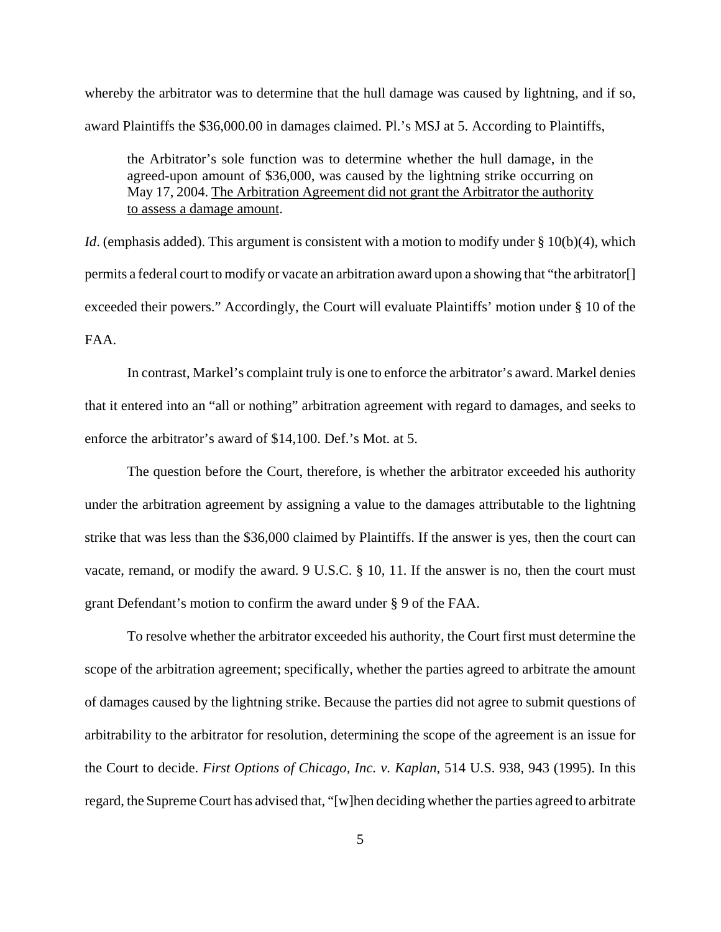whereby the arbitrator was to determine that the hull damage was caused by lightning, and if so, award Plaintiffs the \$36,000.00 in damages claimed. Pl.'s MSJ at 5. According to Plaintiffs,

the Arbitrator's sole function was to determine whether the hull damage, in the agreed-upon amount of \$36,000, was caused by the lightning strike occurring on May 17, 2004. The Arbitration Agreement did not grant the Arbitrator the authority to assess a damage amount.

*Id.* (emphasis added). This argument is consistent with a motion to modify under § 10(b)(4), which permits a federal court to modify or vacate an arbitration award upon a showing that "the arbitrator[] exceeded their powers." Accordingly, the Court will evaluate Plaintiffs' motion under § 10 of the FAA.

In contrast, Markel's complaint truly is one to enforce the arbitrator's award. Markel denies that it entered into an "all or nothing" arbitration agreement with regard to damages, and seeks to enforce the arbitrator's award of \$14,100. Def.'s Mot. at 5.

The question before the Court, therefore, is whether the arbitrator exceeded his authority under the arbitration agreement by assigning a value to the damages attributable to the lightning strike that was less than the \$36,000 claimed by Plaintiffs. If the answer is yes, then the court can vacate, remand, or modify the award. 9 U.S.C. § 10, 11. If the answer is no, then the court must grant Defendant's motion to confirm the award under § 9 of the FAA.

To resolve whether the arbitrator exceeded his authority, the Court first must determine the scope of the arbitration agreement; specifically, whether the parties agreed to arbitrate the amount of damages caused by the lightning strike. Because the parties did not agree to submit questions of arbitrability to the arbitrator for resolution, determining the scope of the agreement is an issue for the Court to decide. *First Options of Chicago, Inc. v. Kaplan*, 514 U.S. 938, 943 (1995). In this regard, the Supreme Court has advised that, "[w]hen deciding whether the parties agreed to arbitrate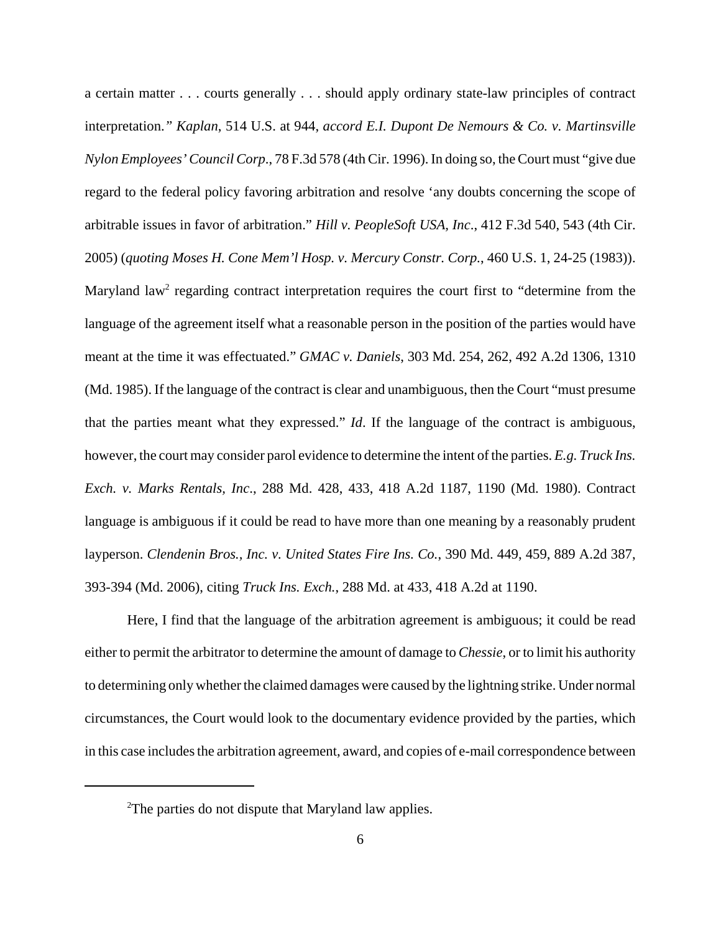a certain matter . . . courts generally . . . should apply ordinary state-law principles of contract interpretation.*" Kaplan*, 514 U.S. at 944, *accord E.I. Dupont De Nemours & Co. v. Martinsville Nylon Employees' Council Corp*., 78 F.3d 578 (4th Cir. 1996). In doing so, the Court must "give due regard to the federal policy favoring arbitration and resolve 'any doubts concerning the scope of arbitrable issues in favor of arbitration." *Hill v. PeopleSoft USA, Inc*., 412 F.3d 540, 543 (4th Cir. 2005) (*quoting Moses H. Cone Mem'l Hosp. v. Mercury Constr. Corp.*, 460 U.S. 1, 24-25 (1983)). Maryland law<sup>2</sup> regarding contract interpretation requires the court first to "determine from the language of the agreement itself what a reasonable person in the position of the parties would have meant at the time it was effectuated." *GMAC v. Daniels*, 303 Md. 254, 262, 492 A.2d 1306, 1310 (Md. 1985). If the language of the contract is clear and unambiguous, then the Court "must presume that the parties meant what they expressed." *Id*. If the language of the contract is ambiguous, however, the court may consider parol evidence to determine the intent of the parties. *E.g. Truck Ins. Exch. v. Marks Rentals, Inc*., 288 Md. 428, 433, 418 A.2d 1187, 1190 (Md. 1980). Contract language is ambiguous if it could be read to have more than one meaning by a reasonably prudent layperson. *Clendenin Bros., Inc. v. United States Fire Ins. Co.*, 390 Md. 449, 459, 889 A.2d 387, 393-394 (Md. 2006), citing *Truck Ins. Exch.*, 288 Md. at 433, 418 A.2d at 1190.

Here, I find that the language of the arbitration agreement is ambiguous; it could be read either to permit the arbitrator to determine the amount of damage to *Chessie*, or to limit his authority to determining only whether the claimed damages were caused by the lightning strike. Under normal circumstances, the Court would look to the documentary evidence provided by the parties, which in this case includes the arbitration agreement, award, and copies of e-mail correspondence between

 $2$ The parties do not dispute that Maryland law applies.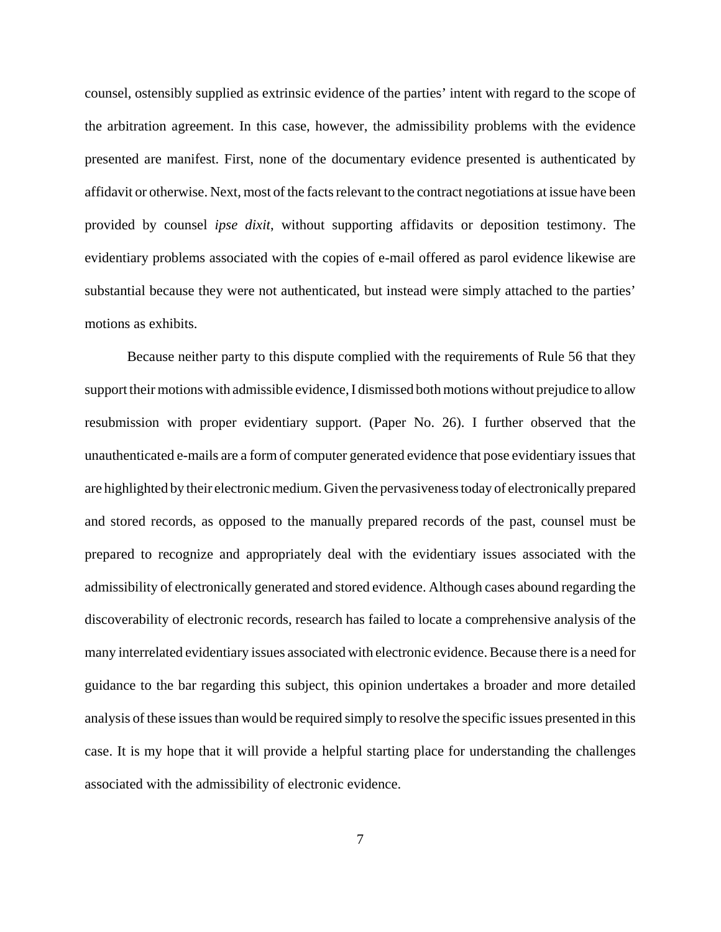counsel, ostensibly supplied as extrinsic evidence of the parties' intent with regard to the scope of the arbitration agreement. In this case, however, the admissibility problems with the evidence presented are manifest. First, none of the documentary evidence presented is authenticated by affidavit or otherwise. Next, most of the facts relevant to the contract negotiations at issue have been provided by counsel *ipse dixit*, without supporting affidavits or deposition testimony. The evidentiary problems associated with the copies of e-mail offered as parol evidence likewise are substantial because they were not authenticated, but instead were simply attached to the parties' motions as exhibits.

Because neither party to this dispute complied with the requirements of Rule 56 that they support their motions with admissible evidence, I dismissed both motions without prejudice to allow resubmission with proper evidentiary support. (Paper No. 26). I further observed that the unauthenticated e-mails are a form of computer generated evidence that pose evidentiary issues that are highlighted by their electronic medium. Given the pervasiveness today of electronically prepared and stored records, as opposed to the manually prepared records of the past, counsel must be prepared to recognize and appropriately deal with the evidentiary issues associated with the admissibility of electronically generated and stored evidence. Although cases abound regarding the discoverability of electronic records, research has failed to locate a comprehensive analysis of the many interrelated evidentiary issues associated with electronic evidence. Because there is a need for guidance to the bar regarding this subject, this opinion undertakes a broader and more detailed analysis of these issues than would be required simply to resolve the specific issues presented in this case. It is my hope that it will provide a helpful starting place for understanding the challenges associated with the admissibility of electronic evidence.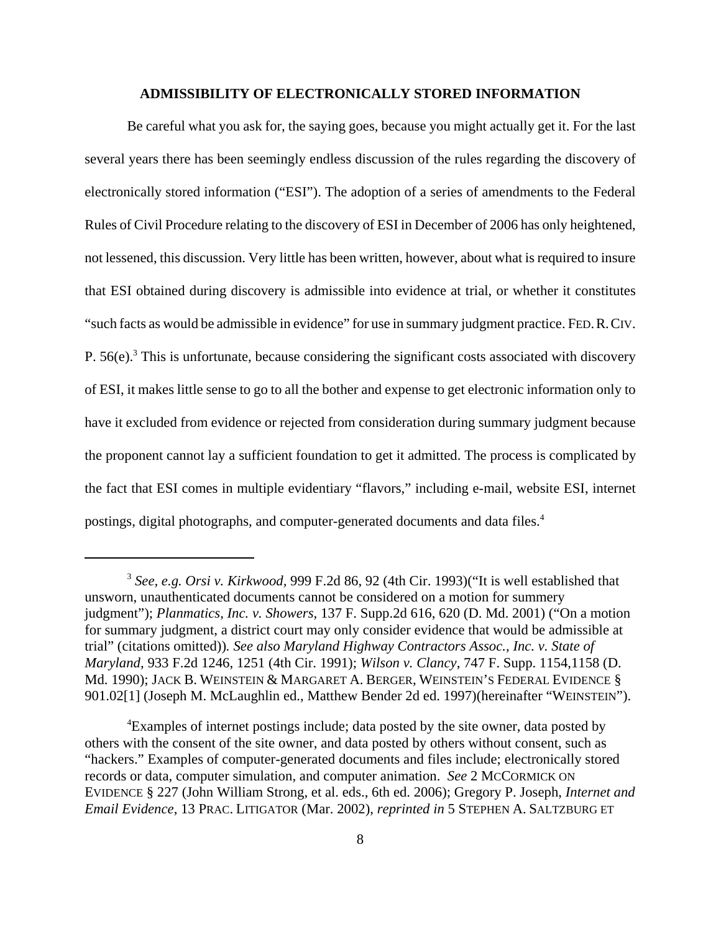#### **ADMISSIBILITY OF ELECTRONICALLY STORED INFORMATION**

Be careful what you ask for, the saying goes, because you might actually get it. For the last several years there has been seemingly endless discussion of the rules regarding the discovery of electronically stored information ("ESI"). The adoption of a series of amendments to the Federal Rules of Civil Procedure relating to the discovery of ESI in December of 2006 has only heightened, not lessened, this discussion. Very little has been written, however, about what is required to insure that ESI obtained during discovery is admissible into evidence at trial, or whether it constitutes "such facts as would be admissible in evidence" for use in summary judgment practice. FED.R.CIV. P.  $56(e)$ .<sup>3</sup> This is unfortunate, because considering the significant costs associated with discovery of ESI, it makes little sense to go to all the bother and expense to get electronic information only to have it excluded from evidence or rejected from consideration during summary judgment because the proponent cannot lay a sufficient foundation to get it admitted. The process is complicated by the fact that ESI comes in multiple evidentiary "flavors," including e-mail, website ESI, internet postings, digital photographs, and computer-generated documents and data files.<sup>4</sup>

<sup>3</sup> *See, e.g. Orsi v. Kirkwood,* 999 F.2d 86, 92 (4th Cir. 1993)("It is well established that unsworn, unauthenticated documents cannot be considered on a motion for summery judgment"); *Planmatics, Inc. v. Showers*, 137 F. Supp.2d 616, 620 (D. Md. 2001) ("On a motion for summary judgment, a district court may only consider evidence that would be admissible at trial" (citations omitted))*. See also Maryland Highway Contractors Assoc., Inc. v. State of Maryland,* 933 F.2d 1246, 1251 (4th Cir. 1991); *Wilson v. Clancy*, 747 F. Supp. 1154,1158 (D. Md. 1990); JACK B. WEINSTEIN & MARGARET A. BERGER, WEINSTEIN'S FEDERAL EVIDENCE § 901.02[1] (Joseph M. McLaughlin ed., Matthew Bender 2d ed. 1997)(hereinafter "WEINSTEIN").

<sup>&</sup>lt;sup>4</sup>Examples of internet postings include; data posted by the site owner, data posted by others with the consent of the site owner, and data posted by others without consent, such as "hackers." Examples of computer-generated documents and files include; electronically stored records or data, computer simulation, and computer animation. *See* 2 MCCORMICK ON EVIDENCE § 227 (John William Strong, et al. eds., 6th ed. 2006); Gregory P. Joseph, *Internet and Email Evidence*, 13 PRAC. LITIGATOR (Mar. 2002), *reprinted in* 5 STEPHEN A. SALTZBURG ET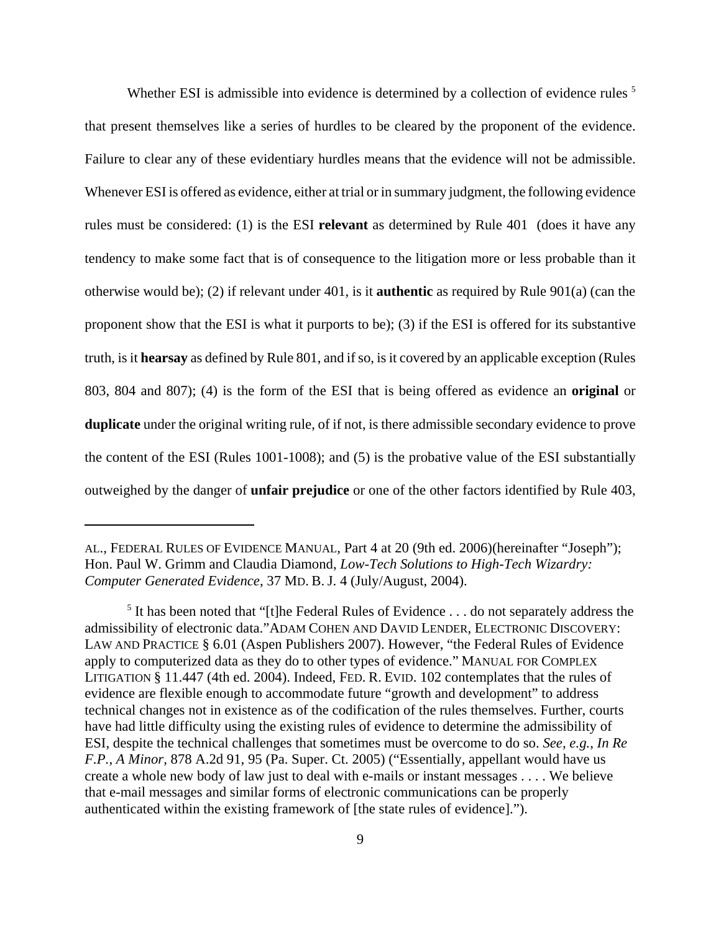Whether ESI is admissible into evidence is determined by a collection of evidence rules <sup>5</sup> that present themselves like a series of hurdles to be cleared by the proponent of the evidence. Failure to clear any of these evidentiary hurdles means that the evidence will not be admissible. Whenever ESI is offered as evidence, either at trial or in summary judgment, the following evidence rules must be considered: (1) is the ESI **relevant** as determined by Rule 401 (does it have any tendency to make some fact that is of consequence to the litigation more or less probable than it otherwise would be); (2) if relevant under 401, is it **authentic** as required by Rule 901(a) (can the proponent show that the ESI is what it purports to be); (3) if the ESI is offered for its substantive truth, is it **hearsay** as defined by Rule 801, and if so, is it covered by an applicable exception (Rules 803, 804 and 807); (4) is the form of the ESI that is being offered as evidence an **original** or **duplicate** under the original writing rule, of if not, is there admissible secondary evidence to prove the content of the ESI (Rules 1001-1008); and (5) is the probative value of the ESI substantially outweighed by the danger of **unfair prejudice** or one of the other factors identified by Rule 403,

AL., FEDERAL RULES OF EVIDENCE MANUAL, Part 4 at 20 (9th ed. 2006)(hereinafter "Joseph"); Hon. Paul W. Grimm and Claudia Diamond, *Low-Tech Solutions to High-Tech Wizardry: Computer Generated Evidence*, 37 MD. B. J. 4 (July/August, 2004).

 $<sup>5</sup>$  It has been noted that "[t]he Federal Rules of Evidence . . . do not separately address the</sup> admissibility of electronic data."ADAM COHEN AND DAVID LENDER, ELECTRONIC DISCOVERY: LAW AND PRACTICE § 6.01 (Aspen Publishers 2007). However, "the Federal Rules of Evidence apply to computerized data as they do to other types of evidence." MANUAL FOR COMPLEX LITIGATION § 11.447 (4th ed. 2004). Indeed, FED. R. EVID. 102 contemplates that the rules of evidence are flexible enough to accommodate future "growth and development" to address technical changes not in existence as of the codification of the rules themselves. Further, courts have had little difficulty using the existing rules of evidence to determine the admissibility of ESI, despite the technical challenges that sometimes must be overcome to do so. *See, e.g.*, *In Re F.P., A Minor,* 878 A.2d 91, 95 (Pa. Super. Ct. 2005) ("Essentially, appellant would have us create a whole new body of law just to deal with e-mails or instant messages . . . . We believe that e-mail messages and similar forms of electronic communications can be properly authenticated within the existing framework of [the state rules of evidence].").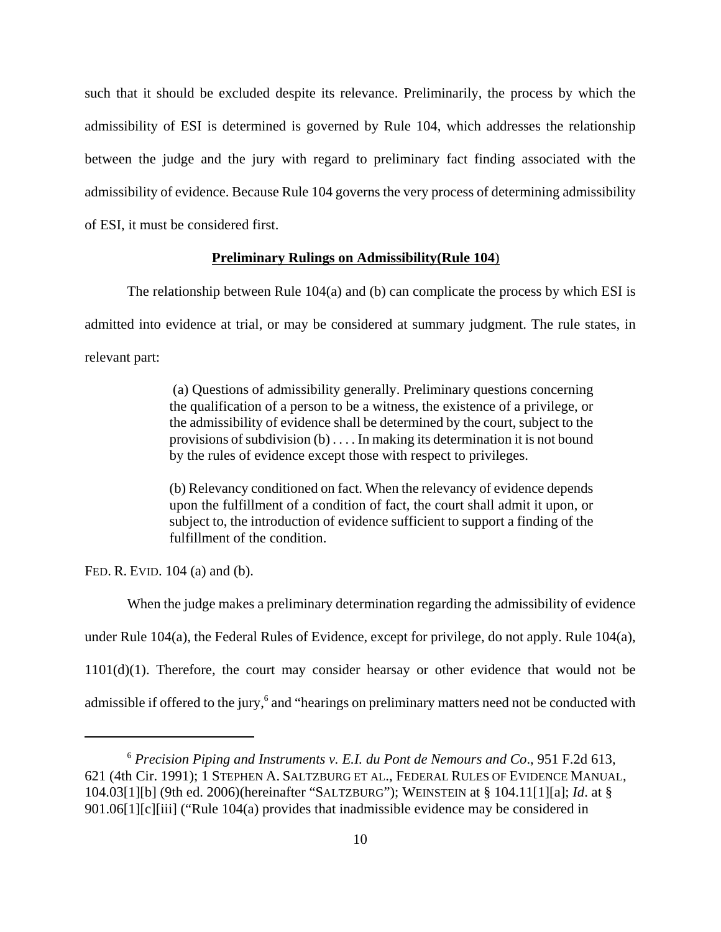such that it should be excluded despite its relevance. Preliminarily, the process by which the admissibility of ESI is determined is governed by Rule 104, which addresses the relationship between the judge and the jury with regard to preliminary fact finding associated with the admissibility of evidence. Because Rule 104 governs the very process of determining admissibility of ESI, it must be considered first.

## **Preliminary Rulings on Admissibility(Rule 104**)

The relationship between Rule 104(a) and (b) can complicate the process by which ESI is admitted into evidence at trial, or may be considered at summary judgment. The rule states, in relevant part:

> (a) Questions of admissibility generally. Preliminary questions concerning the qualification of a person to be a witness, the existence of a privilege, or the admissibility of evidence shall be determined by the court, subject to the provisions of subdivision (b) . . . . In making its determination it is not bound by the rules of evidence except those with respect to privileges.

> (b) Relevancy conditioned on fact. When the relevancy of evidence depends upon the fulfillment of a condition of fact, the court shall admit it upon, or subject to, the introduction of evidence sufficient to support a finding of the fulfillment of the condition.

FED. R. EVID. 104 (a) and (b).

When the judge makes a preliminary determination regarding the admissibility of evidence under Rule  $104(a)$ , the Federal Rules of Evidence, except for privilege, do not apply. Rule  $104(a)$ ,  $1101(d)(1)$ . Therefore, the court may consider hearsay or other evidence that would not be admissible if offered to the jury,<sup>6</sup> and "hearings on preliminary matters need not be conducted with

<sup>6</sup> *Precision Piping and Instruments v. E.I. du Pont de Nemours and Co*., 951 F.2d 613, 621 (4th Cir. 1991); 1 STEPHEN A. SALTZBURG ET AL., FEDERAL RULES OF EVIDENCE MANUAL, 104.03[1][b] (9th ed. 2006)(hereinafter "SALTZBURG"); WEINSTEIN at § 104.11[1][a]; *Id*. at § 901.06[1][c][iii] ("Rule 104(a) provides that inadmissible evidence may be considered in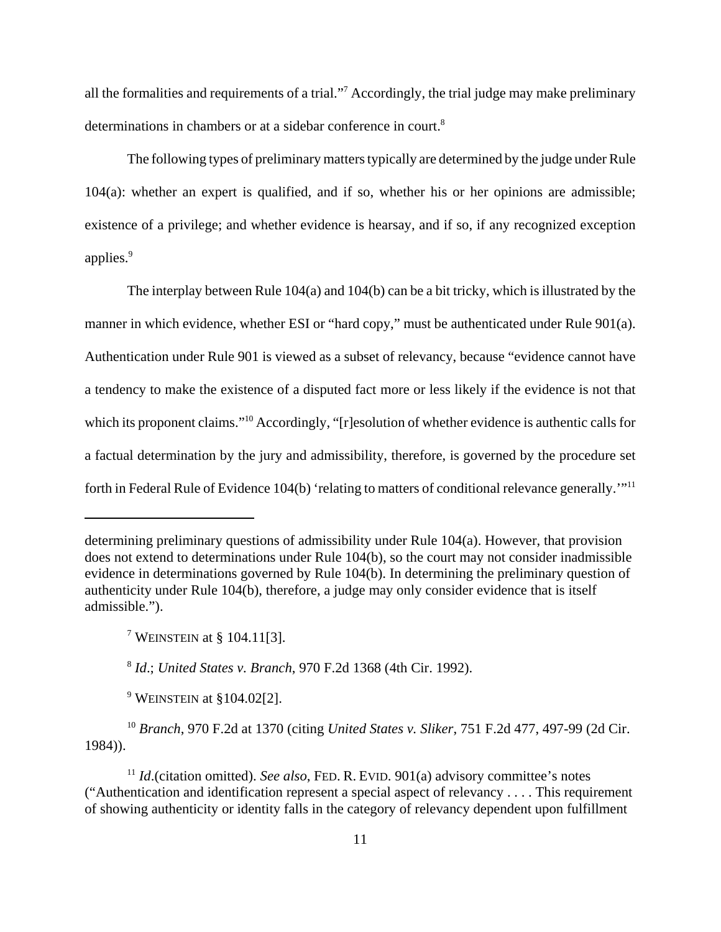all the formalities and requirements of a trial."<sup>7</sup> Accordingly, the trial judge may make preliminary determinations in chambers or at a sidebar conference in court.<sup>8</sup>

The following types of preliminary matters typically are determined by the judge under Rule  $104(a)$ : whether an expert is qualified, and if so, whether his or her opinions are admissible; existence of a privilege; and whether evidence is hearsay, and if so, if any recognized exception applies.<sup>9</sup>

The interplay between Rule 104(a) and 104(b) can be a bit tricky, which is illustrated by the manner in which evidence, whether ESI or "hard copy," must be authenticated under Rule 901(a). Authentication under Rule 901 is viewed as a subset of relevancy, because "evidence cannot have a tendency to make the existence of a disputed fact more or less likely if the evidence is not that which its proponent claims."<sup>10</sup> Accordingly, "[r]esolution of whether evidence is authentic calls for a factual determination by the jury and admissibility, therefore, is governed by the procedure set forth in Federal Rule of Evidence 104(b) 'relating to matters of conditional relevance generally.'"<sup>11</sup>

determining preliminary questions of admissibility under Rule 104(a). However, that provision does not extend to determinations under Rule 104(b), so the court may not consider inadmissible evidence in determinations governed by Rule 104(b). In determining the preliminary question of authenticity under Rule 104(b), therefore, a judge may only consider evidence that is itself admissible.").

<sup>&</sup>lt;sup>7</sup> WEINSTEIN at  $\S 104.11[3]$ .

<sup>8</sup> *Id*.; *United States v. Branch*, 970 F.2d 1368 (4th Cir. 1992).

 $9$  WEINSTEIN at  $$104.02[2]$ .

<sup>10</sup> *Branch*, 970 F.2d at 1370 (citing *United States v. Sliker*, 751 F.2d 477, 497-99 (2d Cir. 1984)).

<sup>&</sup>lt;sup>11</sup> *Id*.(citation omitted). *See also*, FED. R. EVID. 901(a) advisory committee's notes ("Authentication and identification represent a special aspect of relevancy . . . . This requirement of showing authenticity or identity falls in the category of relevancy dependent upon fulfillment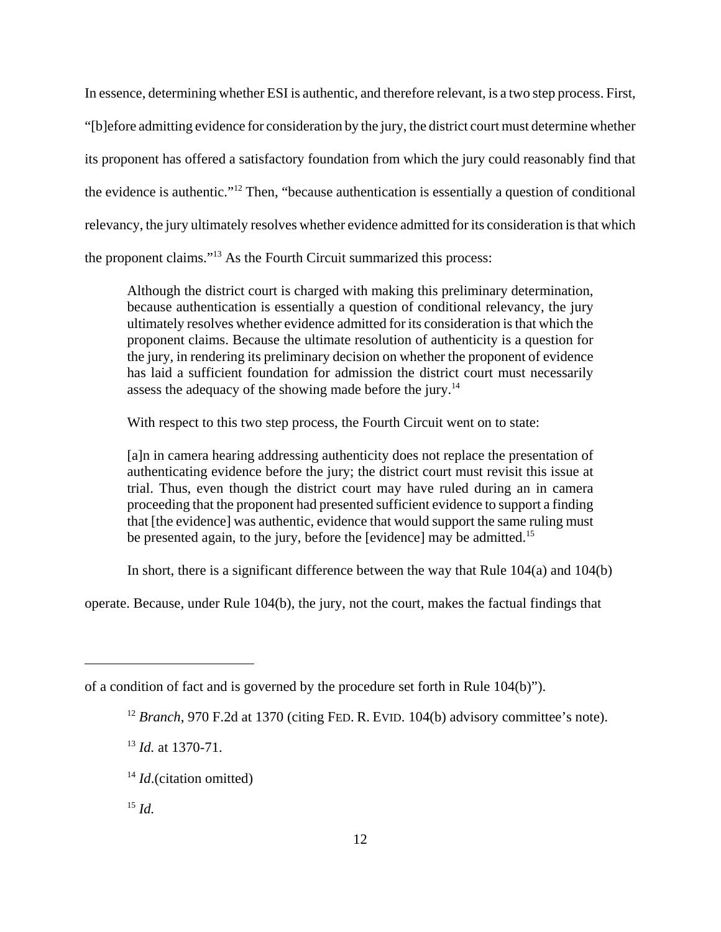In essence, determining whether ESI is authentic, and therefore relevant, is a two step process. First, "[b]efore admitting evidence for consideration by the jury, the district court must determine whether its proponent has offered a satisfactory foundation from which the jury could reasonably find that the evidence is authentic."12 Then, "because authentication is essentially a question of conditional relevancy, the jury ultimately resolves whether evidence admitted for its consideration is that which the proponent claims."13 As the Fourth Circuit summarized this process:

Although the district court is charged with making this preliminary determination, because authentication is essentially a question of conditional relevancy, the jury ultimately resolves whether evidence admitted for its consideration is that which the proponent claims. Because the ultimate resolution of authenticity is a question for the jury, in rendering its preliminary decision on whether the proponent of evidence has laid a sufficient foundation for admission the district court must necessarily assess the adequacy of the showing made before the jury.<sup>14</sup>

With respect to this two step process, the Fourth Circuit went on to state:

[a]n in camera hearing addressing authenticity does not replace the presentation of authenticating evidence before the jury; the district court must revisit this issue at trial. Thus, even though the district court may have ruled during an in camera proceeding that the proponent had presented sufficient evidence to support a finding that [the evidence] was authentic, evidence that would support the same ruling must be presented again, to the jury, before the [evidence] may be admitted.<sup>15</sup>

In short, there is a significant difference between the way that Rule 104(a) and 104(b)

operate. Because, under Rule 104(b), the jury, not the court, makes the factual findings that

<sup>15</sup> *Id.*

of a condition of fact and is governed by the procedure set forth in Rule 104(b)").

<sup>&</sup>lt;sup>12</sup> Branch, 970 F.2d at 1370 (citing FED. R. EVID. 104(b) advisory committee's note).

<sup>13</sup> *Id.* at 1370-71.

<sup>&</sup>lt;sup>14</sup> *Id*.(citation omitted)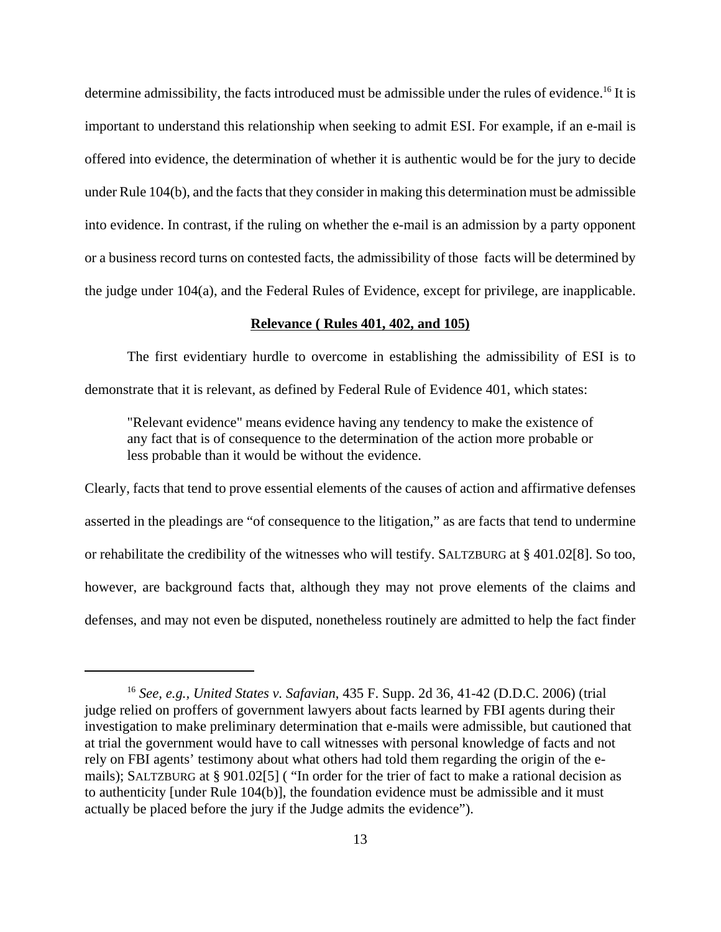determine admissibility, the facts introduced must be admissible under the rules of evidence.<sup>16</sup> It is important to understand this relationship when seeking to admit ESI. For example, if an e-mail is offered into evidence, the determination of whether it is authentic would be for the jury to decide under Rule 104(b), and the facts that they consider in making this determination must be admissible into evidence. In contrast, if the ruling on whether the e-mail is an admission by a party opponent or a business record turns on contested facts, the admissibility of those facts will be determined by the judge under 104(a), and the Federal Rules of Evidence, except for privilege, are inapplicable.

## **Relevance ( Rules 401, 402, and 105)**

The first evidentiary hurdle to overcome in establishing the admissibility of ESI is to demonstrate that it is relevant, as defined by Federal Rule of Evidence 401, which states:

"Relevant evidence" means evidence having any tendency to make the existence of any fact that is of consequence to the determination of the action more probable or less probable than it would be without the evidence.

Clearly, facts that tend to prove essential elements of the causes of action and affirmative defenses asserted in the pleadings are "of consequence to the litigation," as are facts that tend to undermine or rehabilitate the credibility of the witnesses who will testify. SALTZBURG at § 401.02[8]. So too, however, are background facts that, although they may not prove elements of the claims and defenses, and may not even be disputed, nonetheless routinely are admitted to help the fact finder

<sup>16</sup> *See, e.g., United States v. Safavian*, 435 F. Supp. 2d 36, 41-42 (D.D.C. 2006) (trial judge relied on proffers of government lawyers about facts learned by FBI agents during their investigation to make preliminary determination that e-mails were admissible, but cautioned that at trial the government would have to call witnesses with personal knowledge of facts and not rely on FBI agents' testimony about what others had told them regarding the origin of the emails); SALTZBURG at § 901.02[5] ( "In order for the trier of fact to make a rational decision as to authenticity [under Rule 104(b)], the foundation evidence must be admissible and it must actually be placed before the jury if the Judge admits the evidence").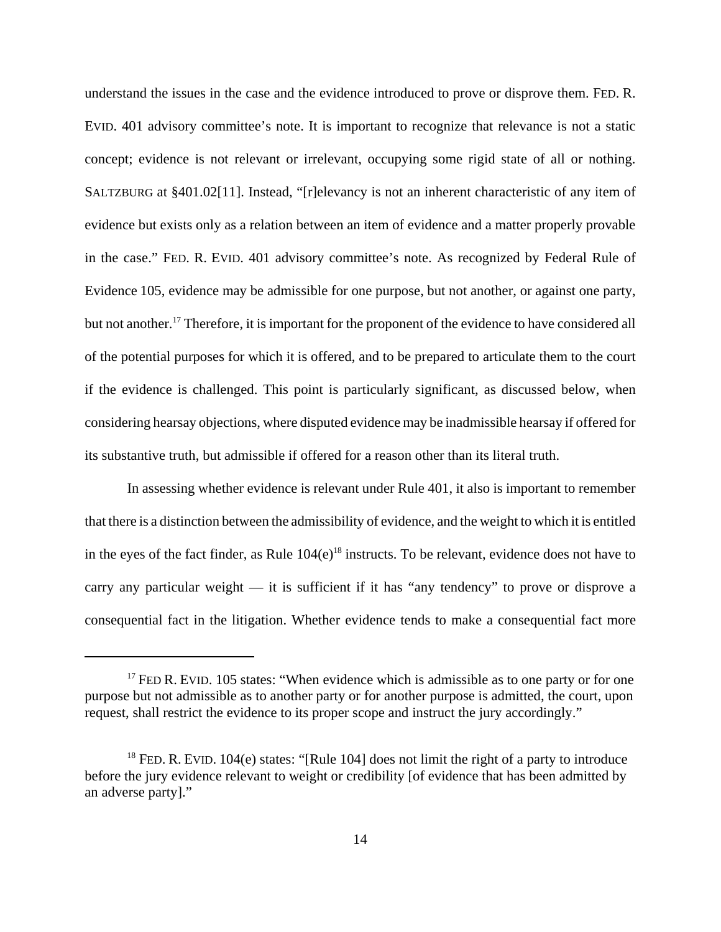understand the issues in the case and the evidence introduced to prove or disprove them. FED. R. EVID. 401 advisory committee's note. It is important to recognize that relevance is not a static concept; evidence is not relevant or irrelevant, occupying some rigid state of all or nothing. SALTZBURG at §401.02[11]. Instead, "[r]elevancy is not an inherent characteristic of any item of evidence but exists only as a relation between an item of evidence and a matter properly provable in the case." FED. R. EVID. 401 advisory committee's note. As recognized by Federal Rule of Evidence 105, evidence may be admissible for one purpose, but not another, or against one party, but not another.<sup>17</sup> Therefore, it is important for the proponent of the evidence to have considered all of the potential purposes for which it is offered, and to be prepared to articulate them to the court if the evidence is challenged. This point is particularly significant, as discussed below, when considering hearsay objections, where disputed evidence may be inadmissible hearsay if offered for its substantive truth, but admissible if offered for a reason other than its literal truth.

In assessing whether evidence is relevant under Rule 401, it also is important to remember that there is a distinction between the admissibility of evidence, and the weight to which it is entitled in the eyes of the fact finder, as Rule  $104(e)^{18}$  instructs. To be relevant, evidence does not have to carry any particular weight — it is sufficient if it has "any tendency" to prove or disprove a consequential fact in the litigation. Whether evidence tends to make a consequential fact more

 $17$  FED R. EVID. 105 states: "When evidence which is admissible as to one party or for one purpose but not admissible as to another party or for another purpose is admitted, the court, upon request, shall restrict the evidence to its proper scope and instruct the jury accordingly."

<sup>&</sup>lt;sup>18</sup> FED. R. EVID.  $104(e)$  states: "[Rule 104] does not limit the right of a party to introduce before the jury evidence relevant to weight or credibility [of evidence that has been admitted by an adverse party]."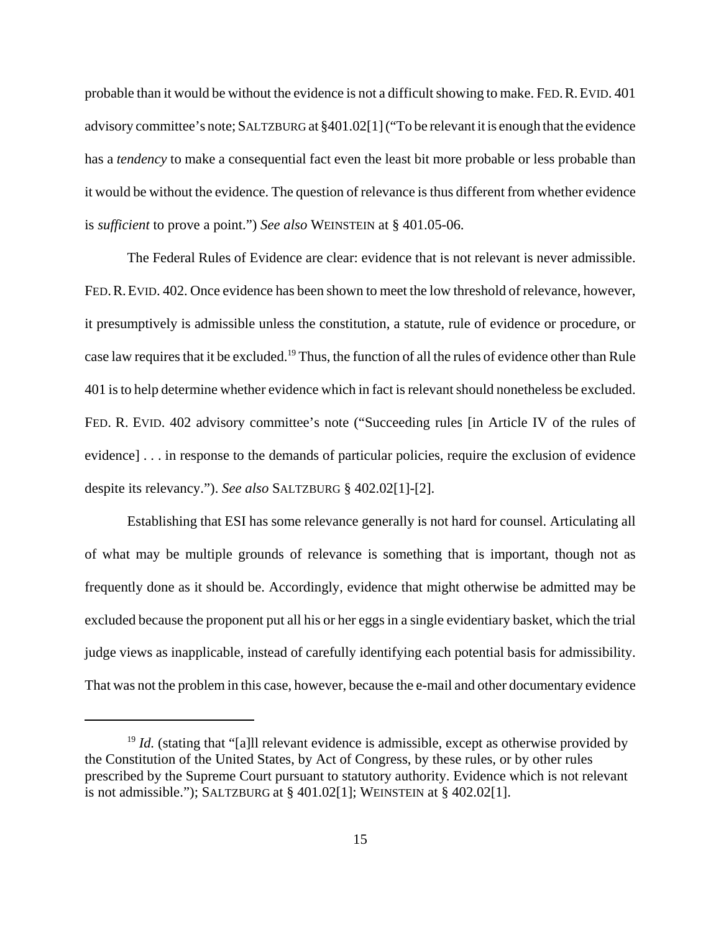probable than it would be without the evidence is not a difficult showing to make. FED.R.EVID. 401 advisory committee's note; SALTZBURG at §401.02[1] ("To be relevant it is enough that the evidence has a *tendency* to make a consequential fact even the least bit more probable or less probable than it would be without the evidence. The question of relevance is thus different from whether evidence is *sufficient* to prove a point.") *See also* WEINSTEIN at § 401.05-06.

The Federal Rules of Evidence are clear: evidence that is not relevant is never admissible. FED.R.EVID. 402. Once evidence has been shown to meet the low threshold of relevance, however, it presumptively is admissible unless the constitution, a statute, rule of evidence or procedure, or case law requires that it be excluded.19 Thus, the function of all the rules of evidence other than Rule 401 is to help determine whether evidence which in fact is relevant should nonetheless be excluded. FED. R. EVID. 402 advisory committee's note ("Succeeding rules [in Article IV of the rules of evidence] . . . in response to the demands of particular policies, require the exclusion of evidence despite its relevancy."). *See also* SALTZBURG § 402.02[1]-[2].

Establishing that ESI has some relevance generally is not hard for counsel. Articulating all of what may be multiple grounds of relevance is something that is important, though not as frequently done as it should be. Accordingly, evidence that might otherwise be admitted may be excluded because the proponent put all his or her eggs in a single evidentiary basket, which the trial judge views as inapplicable, instead of carefully identifying each potential basis for admissibility. That was not the problem in this case, however, because the e-mail and other documentary evidence

<sup>&</sup>lt;sup>19</sup> *Id.* (stating that "[a]ll relevant evidence is admissible, except as otherwise provided by the Constitution of the United States, by Act of Congress, by these rules, or by other rules prescribed by the Supreme Court pursuant to statutory authority. Evidence which is not relevant is not admissible."); SALTZBURG at § 401.02[1]; WEINSTEIN at § 402.02[1].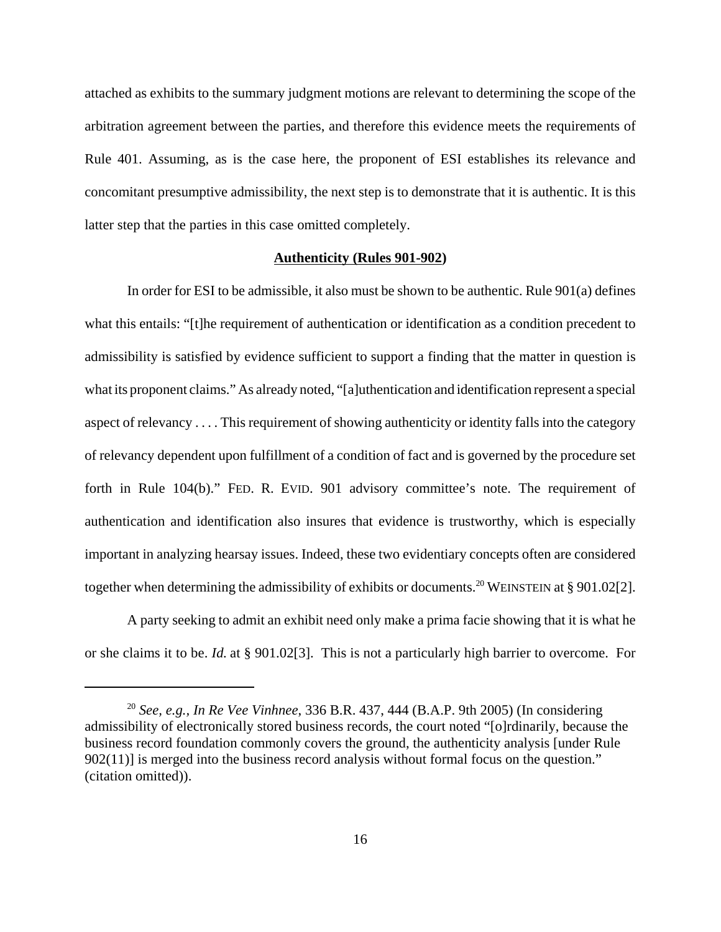attached as exhibits to the summary judgment motions are relevant to determining the scope of the arbitration agreement between the parties, and therefore this evidence meets the requirements of Rule 401. Assuming, as is the case here, the proponent of ESI establishes its relevance and concomitant presumptive admissibility, the next step is to demonstrate that it is authentic. It is this latter step that the parties in this case omitted completely.

## **Authenticity (Rules 901-902)**

In order for ESI to be admissible, it also must be shown to be authentic. Rule 901(a) defines what this entails: "[t]he requirement of authentication or identification as a condition precedent to admissibility is satisfied by evidence sufficient to support a finding that the matter in question is what its proponent claims." As already noted, "[a]uthentication and identification represent a special aspect of relevancy . . . . This requirement of showing authenticity or identity falls into the category of relevancy dependent upon fulfillment of a condition of fact and is governed by the procedure set forth in Rule 104(b)." FED. R. EVID. 901 advisory committee's note. The requirement of authentication and identification also insures that evidence is trustworthy, which is especially important in analyzing hearsay issues. Indeed, these two evidentiary concepts often are considered together when determining the admissibility of exhibits or documents.<sup>20</sup> WEINSTEIN at § 901.02[2].

A party seeking to admit an exhibit need only make a prima facie showing that it is what he or she claims it to be. *Id.* at § 901.02[3]. This is not a particularly high barrier to overcome. For

<sup>20</sup> *See, e.g., In Re Vee Vinhnee*, 336 B.R. 437, 444 (B.A.P. 9th 2005) (In considering admissibility of electronically stored business records, the court noted "[o]rdinarily, because the business record foundation commonly covers the ground, the authenticity analysis [under Rule 902(11)] is merged into the business record analysis without formal focus on the question." (citation omitted)).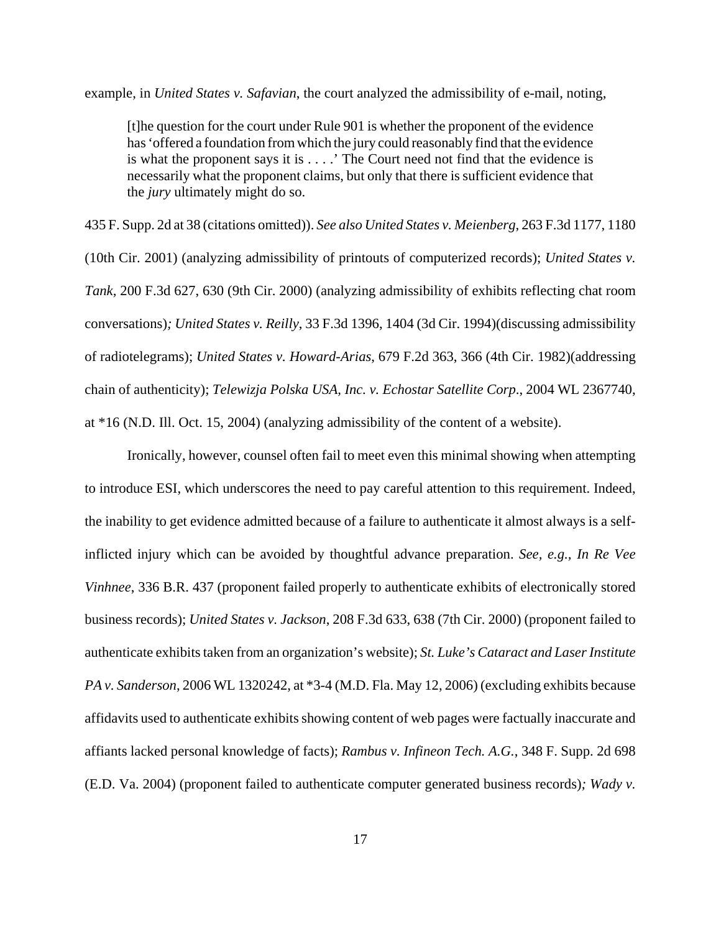example, in *United States v. Safavian*, the court analyzed the admissibility of e-mail, noting,

[t]he question for the court under Rule 901 is whether the proponent of the evidence has 'offered a foundation from which the jury could reasonably find that the evidence is what the proponent says it is . . . .' The Court need not find that the evidence is necessarily what the proponent claims, but only that there is sufficient evidence that the *jury* ultimately might do so.

435 F. Supp. 2d at 38 (citations omitted)). *See also United States v. Meienberg*, 263 F.3d 1177, 1180 (10th Cir. 2001) (analyzing admissibility of printouts of computerized records); *United States v. Tank,* 200 F.3d 627, 630 (9th Cir. 2000) (analyzing admissibility of exhibits reflecting chat room conversations)*; United States v. Reilly*, 33 F.3d 1396, 1404 (3d Cir. 1994)(discussing admissibility of radiotelegrams); *United States v. Howard-Arias*, 679 F.2d 363, 366 (4th Cir. 1982)(addressing chain of authenticity); *Telewizja Polska USA, Inc. v. Echostar Satellite Corp*., 2004 WL 2367740, at \*16 (N.D. Ill. Oct. 15, 2004) (analyzing admissibility of the content of a website).

Ironically, however, counsel often fail to meet even this minimal showing when attempting to introduce ESI, which underscores the need to pay careful attention to this requirement. Indeed, the inability to get evidence admitted because of a failure to authenticate it almost always is a selfinflicted injury which can be avoided by thoughtful advance preparation. *See, e.g., In Re Vee Vinhnee*, 336 B.R. 437 (proponent failed properly to authenticate exhibits of electronically stored business records); *United States v. Jackson*, 208 F.3d 633, 638 (7th Cir. 2000) (proponent failed to authenticate exhibits taken from an organization's website); *St. Luke's Cataract and Laser Institute PA v. Sanderson*, 2006 WL 1320242, at \*3-4 (M.D. Fla. May 12, 2006) (excluding exhibits because affidavits used to authenticate exhibits showing content of web pages were factually inaccurate and affiants lacked personal knowledge of facts); *Rambus v. Infineon Tech. A.G.*, 348 F. Supp. 2d 698 (E.D. Va. 2004) (proponent failed to authenticate computer generated business records)*; Wady v.*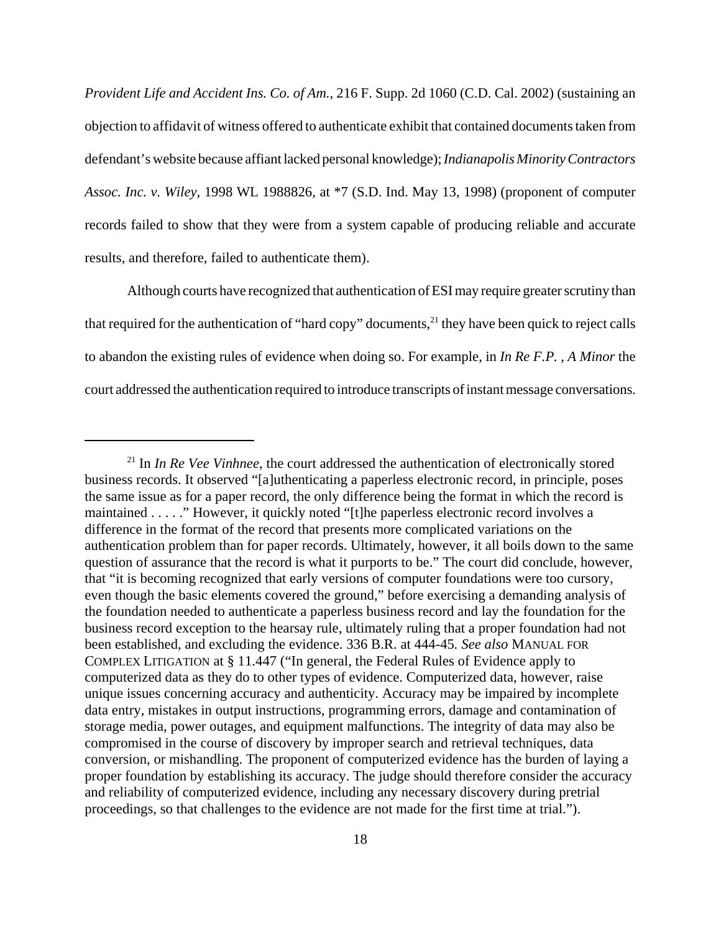*Provident Life and Accident Ins. Co. of Am.*, 216 F. Supp. 2d 1060 (C.D. Cal. 2002) (sustaining an objection to affidavit of witness offered to authenticate exhibit that contained documents taken from defendant's website because affiant lacked personal knowledge); *Indianapolis Minority Contractors Assoc. Inc. v. Wiley*, 1998 WL 1988826, at \*7 (S.D. Ind. May 13, 1998) (proponent of computer records failed to show that they were from a system capable of producing reliable and accurate results, and therefore, failed to authenticate them).

Although courts have recognized that authentication of ESI may require greater scrutiny than that required for the authentication of "hard copy" documents, $^{21}$  they have been quick to reject calls to abandon the existing rules of evidence when doing so. For example, in *In Re F.P. , A Minor* the court addressed the authentication required to introduce transcripts of instant message conversations.

<sup>&</sup>lt;sup>21</sup> In *In Re Vee Vinhnee*, the court addressed the authentication of electronically stored business records. It observed "[a]uthenticating a paperless electronic record, in principle, poses the same issue as for a paper record, the only difference being the format in which the record is maintained . . . . ." However, it quickly noted "[t]he paperless electronic record involves a difference in the format of the record that presents more complicated variations on the authentication problem than for paper records. Ultimately, however, it all boils down to the same question of assurance that the record is what it purports to be." The court did conclude, however, that "it is becoming recognized that early versions of computer foundations were too cursory, even though the basic elements covered the ground," before exercising a demanding analysis of the foundation needed to authenticate a paperless business record and lay the foundation for the business record exception to the hearsay rule, ultimately ruling that a proper foundation had not been established, and excluding the evidence. 336 B.R. at 444-45*. See also* MANUAL FOR COMPLEX LITIGATION at § 11.447 ("In general, the Federal Rules of Evidence apply to computerized data as they do to other types of evidence. Computerized data, however, raise unique issues concerning accuracy and authenticity. Accuracy may be impaired by incomplete data entry, mistakes in output instructions, programming errors, damage and contamination of storage media, power outages, and equipment malfunctions. The integrity of data may also be compromised in the course of discovery by improper search and retrieval techniques, data conversion, or mishandling. The proponent of computerized evidence has the burden of laying a proper foundation by establishing its accuracy. The judge should therefore consider the accuracy and reliability of computerized evidence, including any necessary discovery during pretrial proceedings, so that challenges to the evidence are not made for the first time at trial.").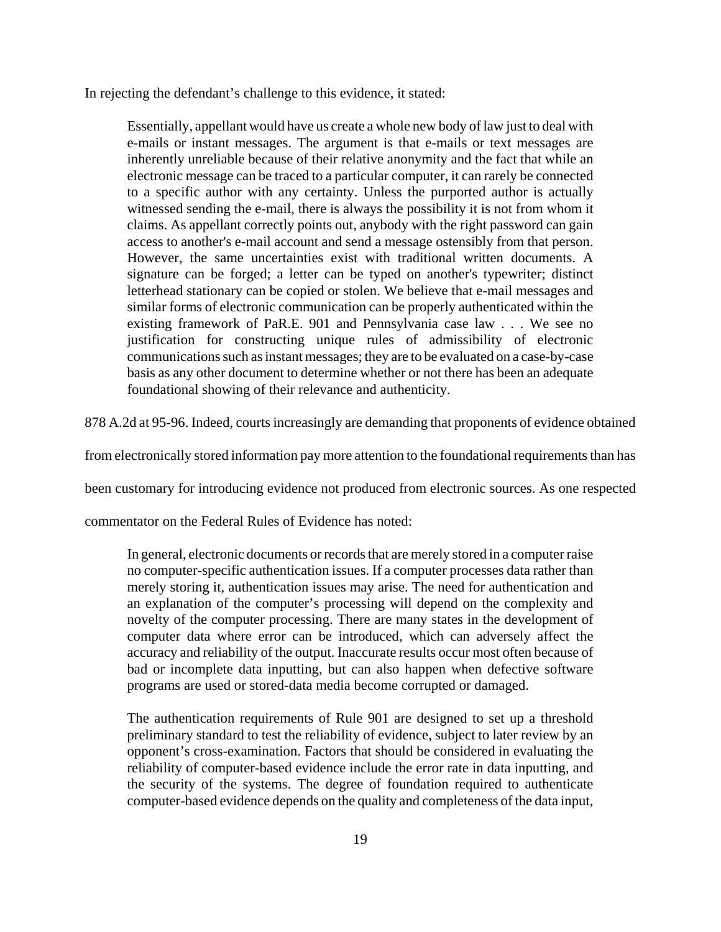In rejecting the defendant's challenge to this evidence, it stated:

Essentially, appellant would have us create a whole new body of law just to deal with e-mails or instant messages. The argument is that e-mails or text messages are inherently unreliable because of their relative anonymity and the fact that while an electronic message can be traced to a particular computer, it can rarely be connected to a specific author with any certainty. Unless the purported author is actually witnessed sending the e-mail, there is always the possibility it is not from whom it claims. As appellant correctly points out, anybody with the right password can gain access to another's e-mail account and send a message ostensibly from that person. However, the same uncertainties exist with traditional written documents. A signature can be forged; a letter can be typed on another's typewriter; distinct letterhead stationary can be copied or stolen. We believe that e-mail messages and similar forms of electronic communication can be properly authenticated within the existing framework of PaR.E. 901 and Pennsylvania case law . . . We see no justification for constructing unique rules of admissibility of electronic communications such as instant messages; they are to be evaluated on a case-by-case basis as any other document to determine whether or not there has been an adequate foundational showing of their relevance and authenticity.

878 A.2d at 95-96. Indeed, courts increasingly are demanding that proponents of evidence obtained

from electronically stored information pay more attention to the foundational requirements than has

been customary for introducing evidence not produced from electronic sources. As one respected

commentator on the Federal Rules of Evidence has noted:

In general, electronic documents or records that are merely stored in a computer raise no computer-specific authentication issues. If a computer processes data rather than merely storing it, authentication issues may arise. The need for authentication and an explanation of the computer's processing will depend on the complexity and novelty of the computer processing. There are many states in the development of computer data where error can be introduced, which can adversely affect the accuracy and reliability of the output. Inaccurate results occur most often because of bad or incomplete data inputting, but can also happen when defective software programs are used or stored-data media become corrupted or damaged.

The authentication requirements of Rule 901 are designed to set up a threshold preliminary standard to test the reliability of evidence, subject to later review by an opponent's cross-examination. Factors that should be considered in evaluating the reliability of computer-based evidence include the error rate in data inputting, and the security of the systems. The degree of foundation required to authenticate computer-based evidence depends on the quality and completeness of the data input,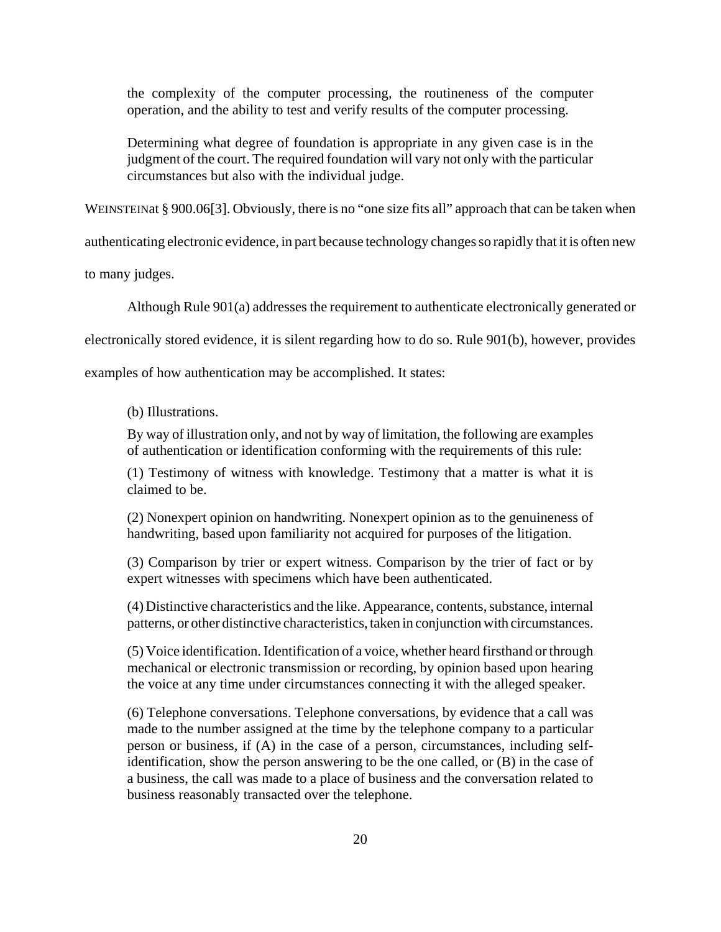the complexity of the computer processing, the routineness of the computer operation, and the ability to test and verify results of the computer processing.

Determining what degree of foundation is appropriate in any given case is in the judgment of the court. The required foundation will vary not only with the particular circumstances but also with the individual judge.

WEINSTEINat § 900.06[3]. Obviously, there is no "one size fits all" approach that can be taken when

authenticating electronic evidence, in part because technology changes so rapidly that it is often new

to many judges.

Although Rule 901(a) addresses the requirement to authenticate electronically generated or

electronically stored evidence, it is silent regarding how to do so. Rule 901(b), however, provides

examples of how authentication may be accomplished. It states:

(b) Illustrations.

By way of illustration only, and not by way of limitation, the following are examples of authentication or identification conforming with the requirements of this rule:

(1) Testimony of witness with knowledge. Testimony that a matter is what it is claimed to be.

(2) Nonexpert opinion on handwriting. Nonexpert opinion as to the genuineness of handwriting, based upon familiarity not acquired for purposes of the litigation.

(3) Comparison by trier or expert witness. Comparison by the trier of fact or by expert witnesses with specimens which have been authenticated.

(4) Distinctive characteristics and the like. Appearance, contents, substance, internal patterns, or other distinctive characteristics, taken in conjunction with circumstances.

(5) Voice identification. Identification of a voice, whether heard firsthand or through mechanical or electronic transmission or recording, by opinion based upon hearing the voice at any time under circumstances connecting it with the alleged speaker.

(6) Telephone conversations. Telephone conversations, by evidence that a call was made to the number assigned at the time by the telephone company to a particular person or business, if (A) in the case of a person, circumstances, including selfidentification, show the person answering to be the one called, or (B) in the case of a business, the call was made to a place of business and the conversation related to business reasonably transacted over the telephone.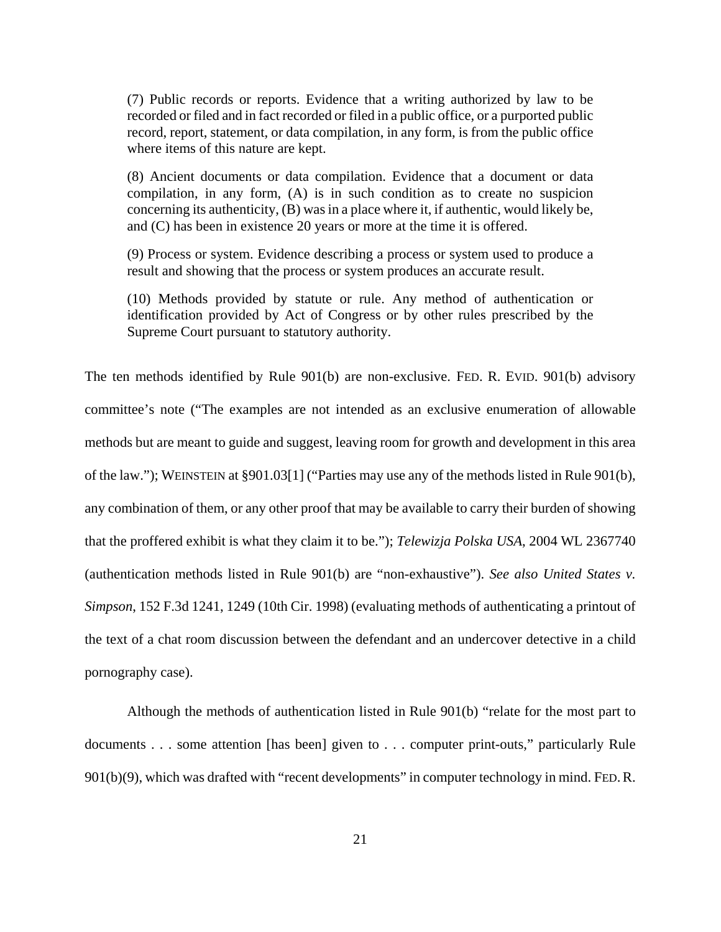(7) Public records or reports. Evidence that a writing authorized by law to be recorded or filed and in fact recorded or filed in a public office, or a purported public record, report, statement, or data compilation, in any form, is from the public office where items of this nature are kept.

(8) Ancient documents or data compilation. Evidence that a document or data compilation, in any form, (A) is in such condition as to create no suspicion concerning its authenticity, (B) was in a place where it, if authentic, would likely be, and (C) has been in existence 20 years or more at the time it is offered.

(9) Process or system. Evidence describing a process or system used to produce a result and showing that the process or system produces an accurate result.

(10) Methods provided by statute or rule. Any method of authentication or identification provided by Act of Congress or by other rules prescribed by the Supreme Court pursuant to statutory authority.

The ten methods identified by Rule 901(b) are non-exclusive. FED. R. EVID. 901(b) advisory committee's note ("The examples are not intended as an exclusive enumeration of allowable methods but are meant to guide and suggest, leaving room for growth and development in this area of the law."); WEINSTEIN at §901.03[1] ("Parties may use any of the methods listed in Rule 901(b), any combination of them, or any other proof that may be available to carry their burden of showing that the proffered exhibit is what they claim it to be."); *Telewizja Polska USA*, 2004 WL 2367740 (authentication methods listed in Rule 901(b) are "non-exhaustive"). *See also United States v. Simpson*, 152 F.3d 1241, 1249 (10th Cir. 1998) (evaluating methods of authenticating a printout of the text of a chat room discussion between the defendant and an undercover detective in a child pornography case).

Although the methods of authentication listed in Rule 901(b) "relate for the most part to documents . . . some attention [has been] given to . . . computer print-outs," particularly Rule 901(b)(9), which was drafted with "recent developments" in computer technology in mind. FED.R.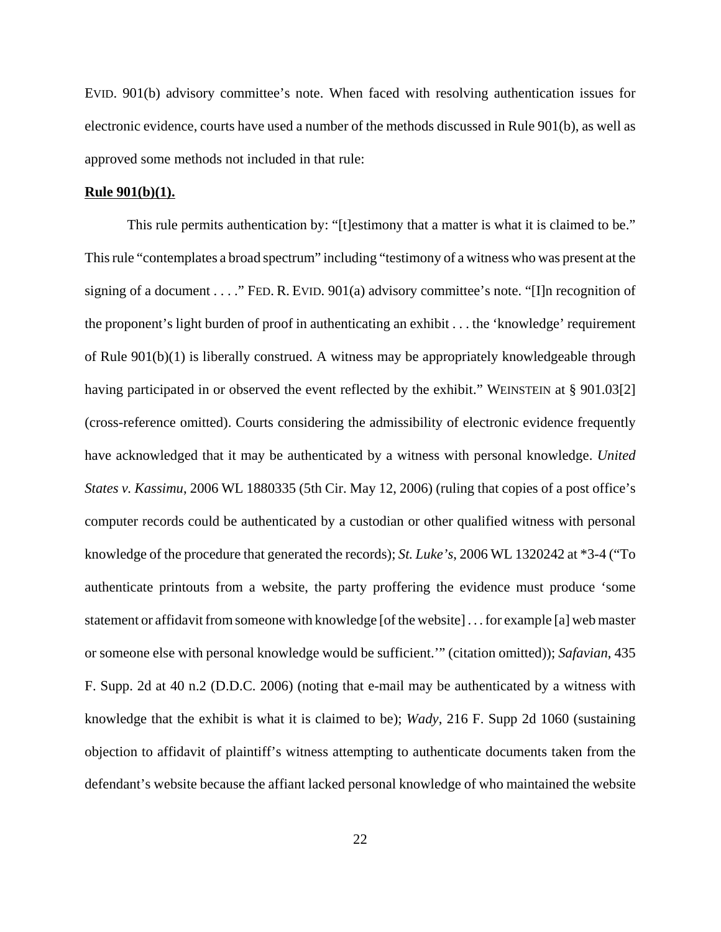EVID. 901(b) advisory committee's note. When faced with resolving authentication issues for electronic evidence, courts have used a number of the methods discussed in Rule 901(b), as well as approved some methods not included in that rule:

#### **Rule 901(b)(1).**

This rule permits authentication by: "[t]estimony that a matter is what it is claimed to be." This rule "contemplates a broad spectrum" including "testimony of a witness who was present at the signing of a document . . . ." FED. R. EVID. 901(a) advisory committee's note. "[I]n recognition of the proponent's light burden of proof in authenticating an exhibit . . . the 'knowledge' requirement of Rule 901(b)(1) is liberally construed. A witness may be appropriately knowledgeable through having participated in or observed the event reflected by the exhibit." WEINSTEIN at § 901.03[2] (cross-reference omitted). Courts considering the admissibility of electronic evidence frequently have acknowledged that it may be authenticated by a witness with personal knowledge. *United States v. Kassimu*, 2006 WL 1880335 (5th Cir. May 12, 2006) (ruling that copies of a post office's computer records could be authenticated by a custodian or other qualified witness with personal knowledge of the procedure that generated the records); *St. Luke's*, 2006 WL 1320242 at \*3-4 ("To authenticate printouts from a website, the party proffering the evidence must produce 'some statement or affidavit from someone with knowledge [of the website] . . . for example [a] web master or someone else with personal knowledge would be sufficient.'" (citation omitted)); *Safavian*, 435 F. Supp. 2d at 40 n.2 (D.D.C. 2006) (noting that e-mail may be authenticated by a witness with knowledge that the exhibit is what it is claimed to be); *Wady*, 216 F. Supp 2d 1060 (sustaining objection to affidavit of plaintiff's witness attempting to authenticate documents taken from the defendant's website because the affiant lacked personal knowledge of who maintained the website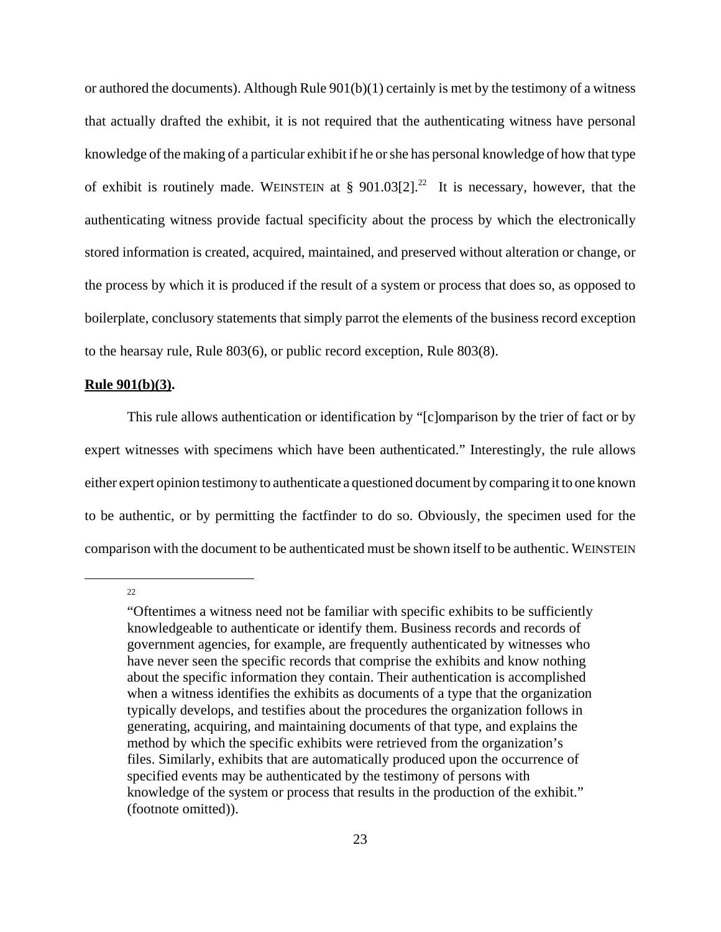or authored the documents). Although Rule 901(b)(1) certainly is met by the testimony of a witness that actually drafted the exhibit, it is not required that the authenticating witness have personal knowledge of the making of a particular exhibit if he or she has personal knowledge of how that type of exhibit is routinely made. WEINSTEIN at § 901.03[2].<sup>22</sup> It is necessary, however, that the authenticating witness provide factual specificity about the process by which the electronically stored information is created, acquired, maintained, and preserved without alteration or change, or the process by which it is produced if the result of a system or process that does so, as opposed to boilerplate, conclusory statements that simply parrot the elements of the business record exception to the hearsay rule, Rule 803(6), or public record exception, Rule 803(8).

## **Rule 901(b)(3).**

This rule allows authentication or identification by "[c]omparison by the trier of fact or by expert witnesses with specimens which have been authenticated." Interestingly, the rule allows either expert opinion testimony to authenticate a questioned document by comparing it to one known to be authentic, or by permitting the factfinder to do so. Obviously, the specimen used for the comparison with the document to be authenticated must be shown itself to be authentic. WEINSTEIN

22

<sup>&</sup>quot;Oftentimes a witness need not be familiar with specific exhibits to be sufficiently knowledgeable to authenticate or identify them. Business records and records of government agencies, for example, are frequently authenticated by witnesses who have never seen the specific records that comprise the exhibits and know nothing about the specific information they contain. Their authentication is accomplished when a witness identifies the exhibits as documents of a type that the organization typically develops, and testifies about the procedures the organization follows in generating, acquiring, and maintaining documents of that type, and explains the method by which the specific exhibits were retrieved from the organization's files. Similarly, exhibits that are automatically produced upon the occurrence of specified events may be authenticated by the testimony of persons with knowledge of the system or process that results in the production of the exhibit." (footnote omitted)).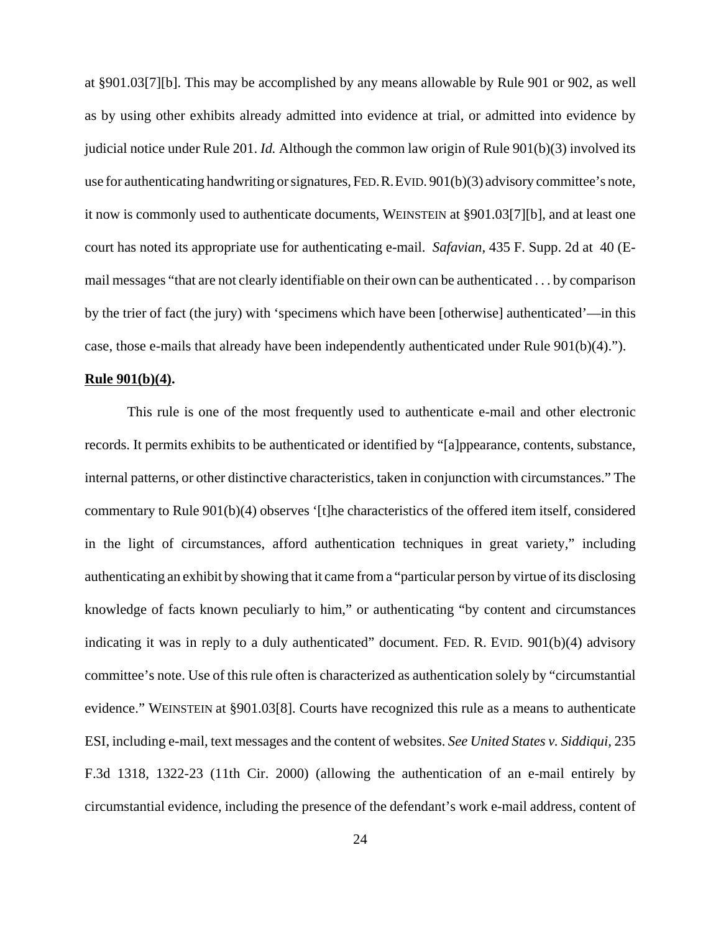at §901.03[7][b]. This may be accomplished by any means allowable by Rule 901 or 902, as well as by using other exhibits already admitted into evidence at trial, or admitted into evidence by judicial notice under Rule 201. *Id.* Although the common law origin of Rule 901(b)(3) involved its use for authenticating handwriting or signatures, FED.R.EVID. 901(b)(3) advisory committee's note, it now is commonly used to authenticate documents, WEINSTEIN at §901.03[7][b], and at least one court has noted its appropriate use for authenticating e-mail. *Safavian*, 435 F. Supp. 2d at 40 (Email messages "that are not clearly identifiable on their own can be authenticated . . . by comparison by the trier of fact (the jury) with 'specimens which have been [otherwise] authenticated'—in this case, those e-mails that already have been independently authenticated under Rule 901(b)(4).").

#### **Rule 901(b)(4).**

This rule is one of the most frequently used to authenticate e-mail and other electronic records. It permits exhibits to be authenticated or identified by "[a]ppearance, contents, substance, internal patterns, or other distinctive characteristics, taken in conjunction with circumstances." The commentary to Rule 901(b)(4) observes '[t]he characteristics of the offered item itself, considered in the light of circumstances, afford authentication techniques in great variety," including authenticating an exhibit by showing that it came from a "particular person by virtue of its disclosing knowledge of facts known peculiarly to him," or authenticating "by content and circumstances indicating it was in reply to a duly authenticated" document. FED. R. EVID. 901(b)(4) advisory committee's note. Use of this rule often is characterized as authentication solely by "circumstantial evidence." WEINSTEIN at §901.03[8]. Courts have recognized this rule as a means to authenticate ESI, including e-mail, text messages and the content of websites. *See United States v. Siddiqui,* 235 F.3d 1318, 1322-23 (11th Cir. 2000) (allowing the authentication of an e-mail entirely by circumstantial evidence, including the presence of the defendant's work e-mail address, content of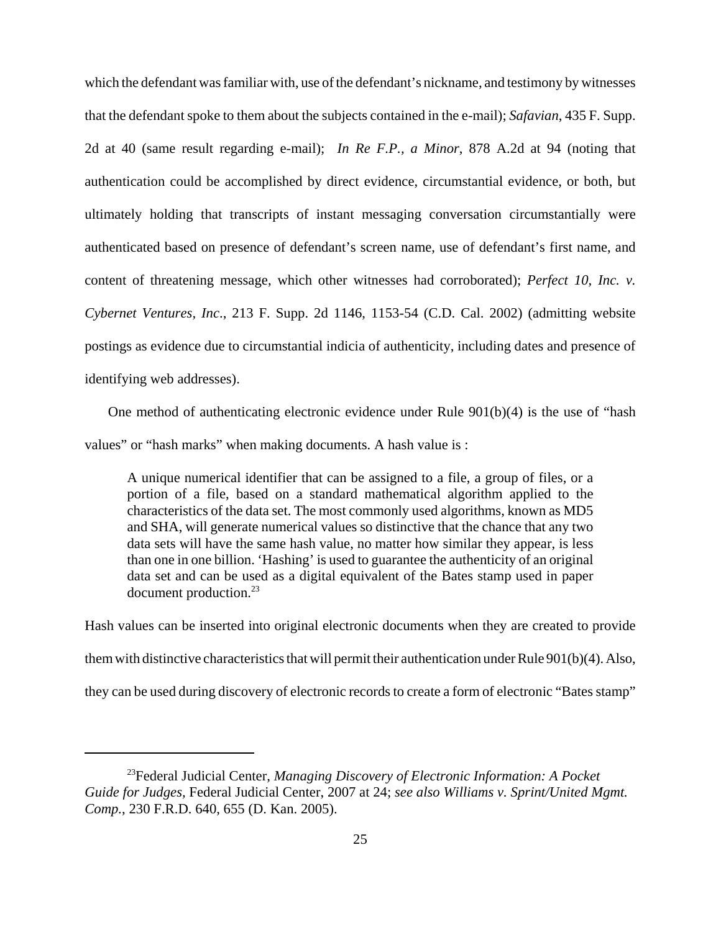which the defendant was familiar with, use of the defendant's nickname, and testimony by witnesses that the defendant spoke to them about the subjects contained in the e-mail); *Safavian*, 435 F. Supp. 2d at 40 (same result regarding e-mail); *In Re F.P., a Minor*, 878 A.2d at 94 (noting that authentication could be accomplished by direct evidence, circumstantial evidence, or both, but ultimately holding that transcripts of instant messaging conversation circumstantially were authenticated based on presence of defendant's screen name, use of defendant's first name, and content of threatening message, which other witnesses had corroborated); *Perfect 10, Inc. v. Cybernet Ventures, Inc*., 213 F. Supp. 2d 1146, 1153-54 (C.D. Cal. 2002) (admitting website postings as evidence due to circumstantial indicia of authenticity, including dates and presence of identifying web addresses).

 One method of authenticating electronic evidence under Rule 901(b)(4) is the use of "hash values" or "hash marks" when making documents. A hash value is :

A unique numerical identifier that can be assigned to a file, a group of files, or a portion of a file, based on a standard mathematical algorithm applied to the characteristics of the data set. The most commonly used algorithms, known as MD5 and SHA, will generate numerical values so distinctive that the chance that any two data sets will have the same hash value, no matter how similar they appear, is less than one in one billion. 'Hashing' is used to guarantee the authenticity of an original data set and can be used as a digital equivalent of the Bates stamp used in paper document production.<sup>23</sup>

Hash values can be inserted into original electronic documents when they are created to provide them with distinctive characteristics that will permit their authentication under Rule 901(b)(4). Also, they can be used during discovery of electronic records to create a form of electronic "Bates stamp"

<sup>23</sup>Federal Judicial Center, *Managing Discovery of Electronic Information: A Pocket Guide for Judges,* Federal Judicial Center, 2007 at 24; *see also Williams v. Sprint/United Mgmt. Comp.*, 230 F.R.D. 640, 655 (D. Kan. 2005).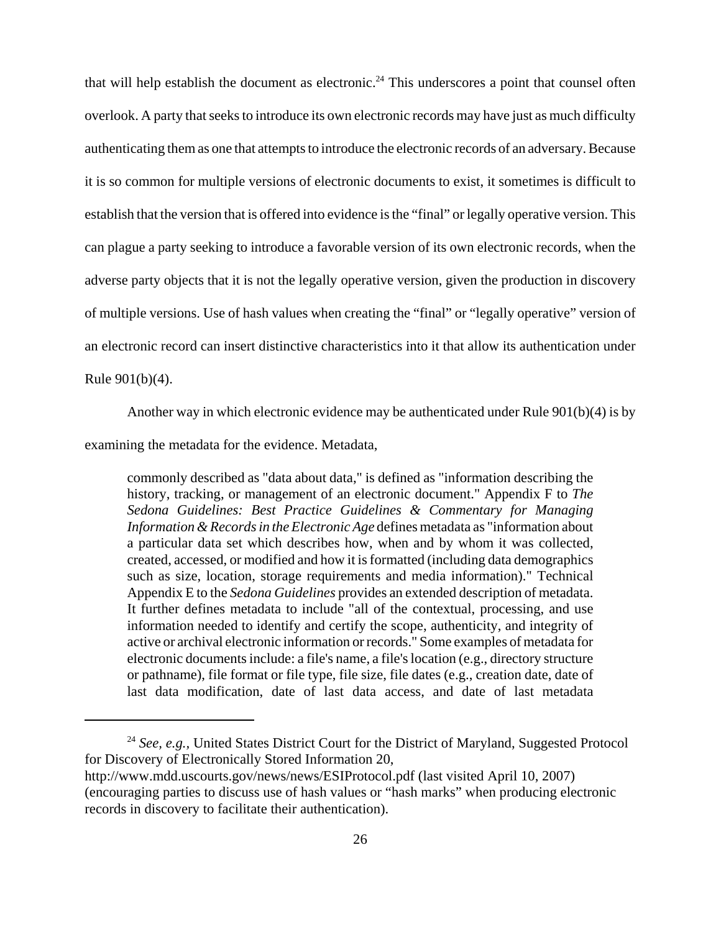that will help establish the document as electronic.<sup>24</sup> This underscores a point that counsel often overlook. A party that seeks to introduce its own electronic records may have just as much difficulty authenticating them as one that attempts to introduce the electronic records of an adversary. Because it is so common for multiple versions of electronic documents to exist, it sometimes is difficult to establish that the version that is offered into evidence is the "final" or legally operative version. This can plague a party seeking to introduce a favorable version of its own electronic records, when the adverse party objects that it is not the legally operative version, given the production in discovery of multiple versions. Use of hash values when creating the "final" or "legally operative" version of an electronic record can insert distinctive characteristics into it that allow its authentication under Rule 901(b)(4).

Another way in which electronic evidence may be authenticated under Rule 901(b)(4) is by

examining the metadata for the evidence. Metadata,

commonly described as "data about data," is defined as "information describing the history, tracking, or management of an electronic document." Appendix F to *The Sedona Guidelines: Best Practice Guidelines & Commentary for Managing Information & Records in the Electronic Age* defines metadata as "information about a particular data set which describes how, when and by whom it was collected, created, accessed, or modified and how it is formatted (including data demographics such as size, location, storage requirements and media information)." Technical Appendix E to the *Sedona Guidelines* provides an extended description of metadata. It further defines metadata to include "all of the contextual, processing, and use information needed to identify and certify the scope, authenticity, and integrity of active or archival electronic information or records." Some examples of metadata for electronic documents include: a file's name, a file's location (e.g., directory structure or pathname), file format or file type, file size, file dates (e.g., creation date, date of last data modification, date of last data access, and date of last metadata

<sup>&</sup>lt;sup>24</sup> See, e.g., United States District Court for the District of Maryland, Suggested Protocol for Discovery of Electronically Stored Information 20, http://www.mdd.uscourts.gov/news/news/ESIProtocol.pdf (last visited April 10, 2007) (encouraging parties to discuss use of hash values or "hash marks" when producing electronic

records in discovery to facilitate their authentication).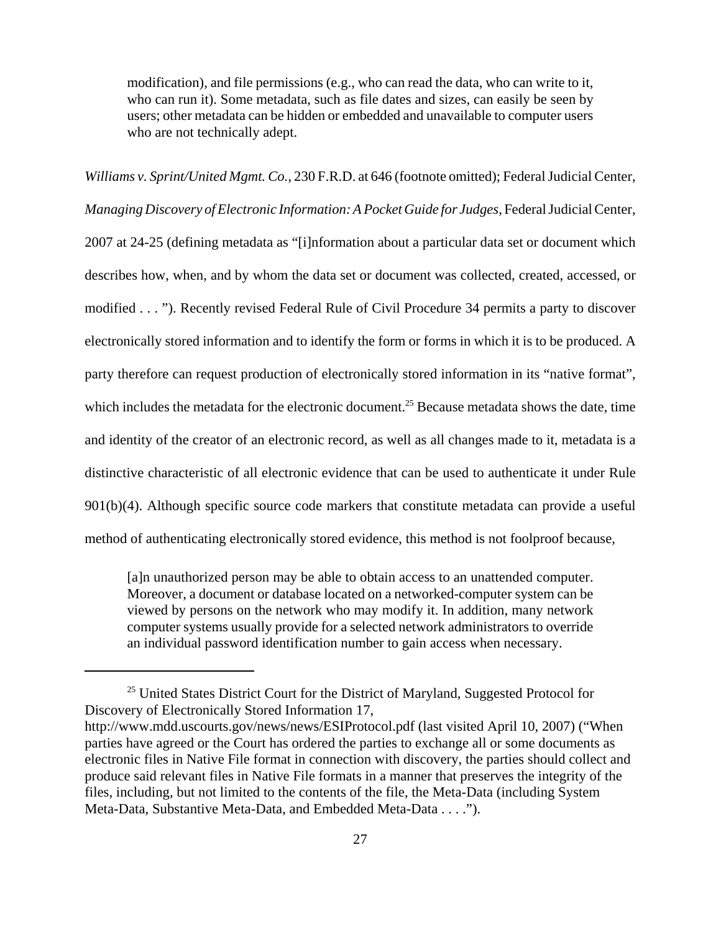modification), and file permissions (e.g., who can read the data, who can write to it, who can run it). Some metadata, such as file dates and sizes, can easily be seen by users; other metadata can be hidden or embedded and unavailable to computer users who are not technically adept.

*Williams v. Sprint/United Mgmt. Co.*, 230 F.R.D. at 646 (footnote omitted); Federal Judicial Center, *Managing Discovery of Electronic Information: A Pocket Guide for Judges,* Federal Judicial Center, 2007 at 24-25 (defining metadata as "[i]nformation about a particular data set or document which describes how, when, and by whom the data set or document was collected, created, accessed, or modified . . . "). Recently revised Federal Rule of Civil Procedure 34 permits a party to discover electronically stored information and to identify the form or forms in which it is to be produced. A party therefore can request production of electronically stored information in its "native format", which includes the metadata for the electronic document.<sup>25</sup> Because metadata shows the date, time and identity of the creator of an electronic record, as well as all changes made to it, metadata is a distinctive characteristic of all electronic evidence that can be used to authenticate it under Rule 901(b)(4). Although specific source code markers that constitute metadata can provide a useful method of authenticating electronically stored evidence, this method is not foolproof because,

[a]n unauthorized person may be able to obtain access to an unattended computer. Moreover, a document or database located on a networked-computer system can be viewed by persons on the network who may modify it. In addition, many network computer systems usually provide for a selected network administrators to override an individual password identification number to gain access when necessary.

<sup>&</sup>lt;sup>25</sup> United States District Court for the District of Maryland, Suggested Protocol for Discovery of Electronically Stored Information 17,

http://www.mdd.uscourts.gov/news/news/ESIProtocol.pdf (last visited April 10, 2007) ("When parties have agreed or the Court has ordered the parties to exchange all or some documents as electronic files in Native File format in connection with discovery, the parties should collect and produce said relevant files in Native File formats in a manner that preserves the integrity of the files, including, but not limited to the contents of the file, the Meta-Data (including System Meta-Data, Substantive Meta-Data, and Embedded Meta-Data . . . .").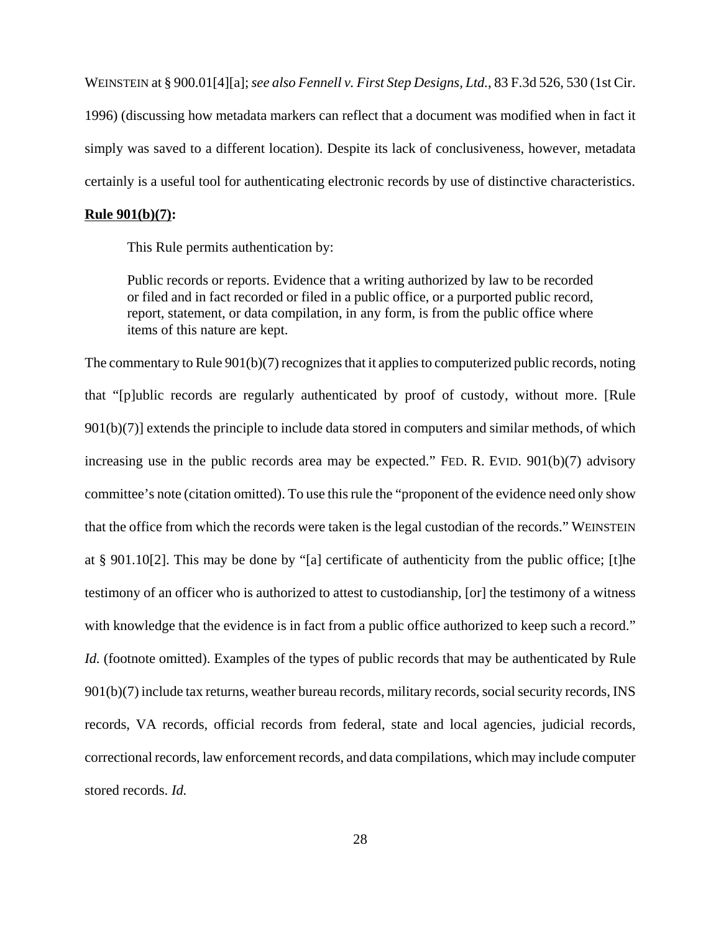WEINSTEIN at § 900.01[4][a]; *see also Fennell v. First Step Designs, Ltd.*, 83 F.3d 526, 530 (1st Cir. 1996) (discussing how metadata markers can reflect that a document was modified when in fact it simply was saved to a different location). Despite its lack of conclusiveness, however, metadata certainly is a useful tool for authenticating electronic records by use of distinctive characteristics.

## **Rule 901(b)(7):**

This Rule permits authentication by:

Public records or reports. Evidence that a writing authorized by law to be recorded or filed and in fact recorded or filed in a public office, or a purported public record, report, statement, or data compilation, in any form, is from the public office where items of this nature are kept.

The commentary to Rule 901(b)(7) recognizes that it applies to computerized public records, noting that "[p]ublic records are regularly authenticated by proof of custody, without more. [Rule 901(b)(7)] extends the principle to include data stored in computers and similar methods, of which increasing use in the public records area may be expected." FED. R. EVID. 901(b)(7) advisory committee's note (citation omitted). To use this rule the "proponent of the evidence need only show that the office from which the records were taken is the legal custodian of the records." WEINSTEIN at § 901.10[2]. This may be done by "[a] certificate of authenticity from the public office; [t]he testimony of an officer who is authorized to attest to custodianship, [or] the testimony of a witness with knowledge that the evidence is in fact from a public office authorized to keep such a record." *Id.* (footnote omitted). Examples of the types of public records that may be authenticated by Rule 901(b)(7) include tax returns, weather bureau records, military records, social security records, INS records, VA records, official records from federal, state and local agencies, judicial records, correctional records, law enforcement records, and data compilations, which may include computer stored records. *Id.*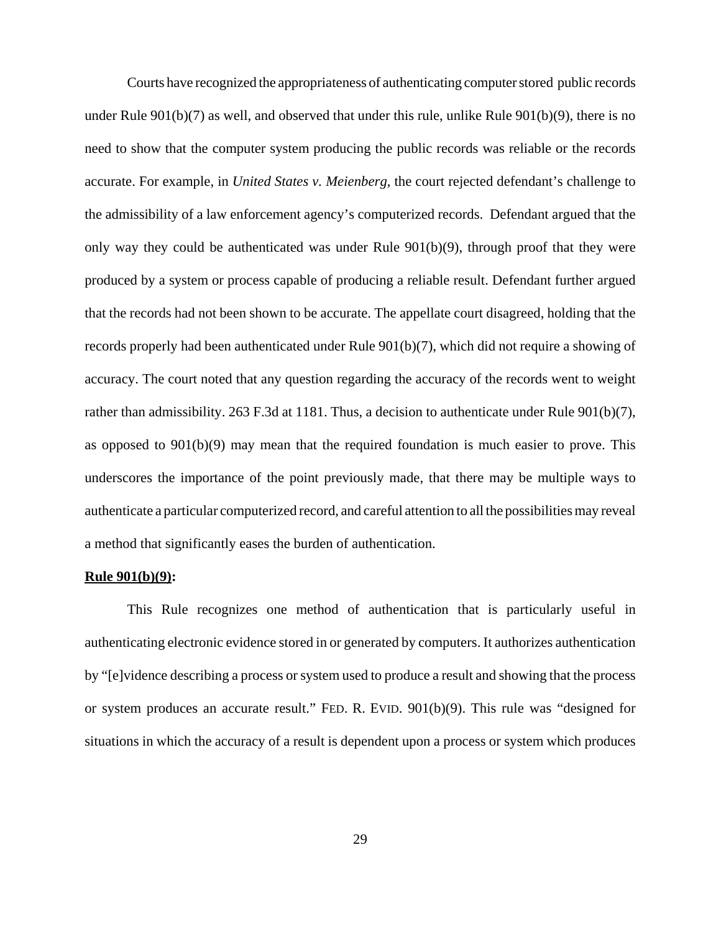Courts have recognized the appropriateness of authenticating computer stored public records under Rule 901(b)(7) as well, and observed that under this rule, unlike Rule 901(b)(9), there is no need to show that the computer system producing the public records was reliable or the records accurate. For example, in *United States v. Meienberg*, the court rejected defendant's challenge to the admissibility of a law enforcement agency's computerized records. Defendant argued that the only way they could be authenticated was under Rule 901(b)(9), through proof that they were produced by a system or process capable of producing a reliable result. Defendant further argued that the records had not been shown to be accurate. The appellate court disagreed, holding that the records properly had been authenticated under Rule 901(b)(7), which did not require a showing of accuracy. The court noted that any question regarding the accuracy of the records went to weight rather than admissibility. 263 F.3d at 1181. Thus, a decision to authenticate under Rule 901(b)(7), as opposed to 901(b)(9) may mean that the required foundation is much easier to prove. This underscores the importance of the point previously made, that there may be multiple ways to authenticate a particular computerized record, and careful attention to all the possibilities may reveal a method that significantly eases the burden of authentication.

## **Rule 901(b)(9):**

This Rule recognizes one method of authentication that is particularly useful in authenticating electronic evidence stored in or generated by computers. It authorizes authentication by "[e]vidence describing a process or system used to produce a result and showing that the process or system produces an accurate result." FED. R. EVID. 901(b)(9). This rule was "designed for situations in which the accuracy of a result is dependent upon a process or system which produces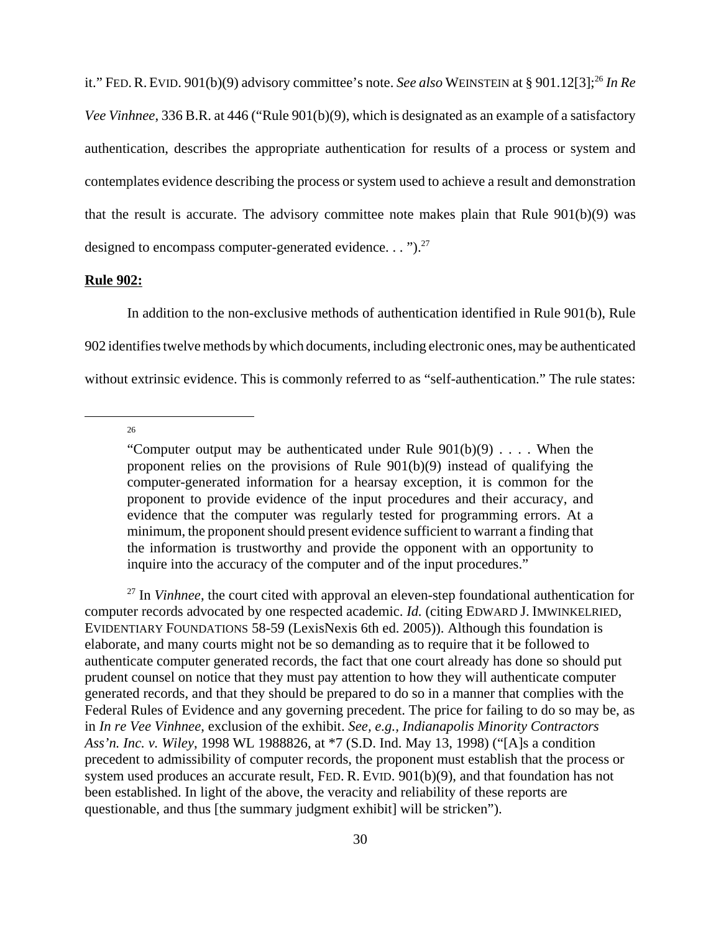it." FED. R. EVID. 901(b)(9) advisory committee's note. *See also* WEINSTEIN at § 901.12[3];<sup>26</sup> In Re *Vee Vinhnee*, 336 B.R. at 446 ("Rule 901(b)(9), which is designated as an example of a satisfactory authentication, describes the appropriate authentication for results of a process or system and contemplates evidence describing the process or system used to achieve a result and demonstration that the result is accurate. The advisory committee note makes plain that Rule  $901(b)(9)$  was designed to encompass computer-generated evidence. . . " $)^{27}$ 

#### **Rule 902:**

In addition to the non-exclusive methods of authentication identified in Rule 901(b), Rule 902 identifies twelve methods by which documents, including electronic ones, may be authenticated without extrinsic evidence. This is commonly referred to as "self-authentication." The rule states:

26

<sup>27</sup> In *Vinhnee*, the court cited with approval an eleven-step foundational authentication for computer records advocated by one respected academic. *Id.* (citing EDWARD J. IMWINKELRIED, EVIDENTIARY FOUNDATIONS 58-59 (LexisNexis 6th ed. 2005)). Although this foundation is elaborate, and many courts might not be so demanding as to require that it be followed to authenticate computer generated records, the fact that one court already has done so should put prudent counsel on notice that they must pay attention to how they will authenticate computer generated records, and that they should be prepared to do so in a manner that complies with the Federal Rules of Evidence and any governing precedent. The price for failing to do so may be, as in *In re Vee Vinhnee*, exclusion of the exhibit. *See, e.g., Indianapolis Minority Contractors Ass'n. Inc. v. Wiley*, 1998 WL 1988826, at \*7 (S.D. Ind. May 13, 1998) ("[A]s a condition precedent to admissibility of computer records, the proponent must establish that the process or system used produces an accurate result, FED. R. EVID. 901(b)(9), and that foundation has not been established. In light of the above, the veracity and reliability of these reports are questionable, and thus [the summary judgment exhibit] will be stricken").

<sup>&</sup>quot;Computer output may be authenticated under Rule  $901(b)(9)$ .... When the proponent relies on the provisions of Rule 901(b)(9) instead of qualifying the computer-generated information for a hearsay exception, it is common for the proponent to provide evidence of the input procedures and their accuracy, and evidence that the computer was regularly tested for programming errors. At a minimum, the proponent should present evidence sufficient to warrant a finding that the information is trustworthy and provide the opponent with an opportunity to inquire into the accuracy of the computer and of the input procedures."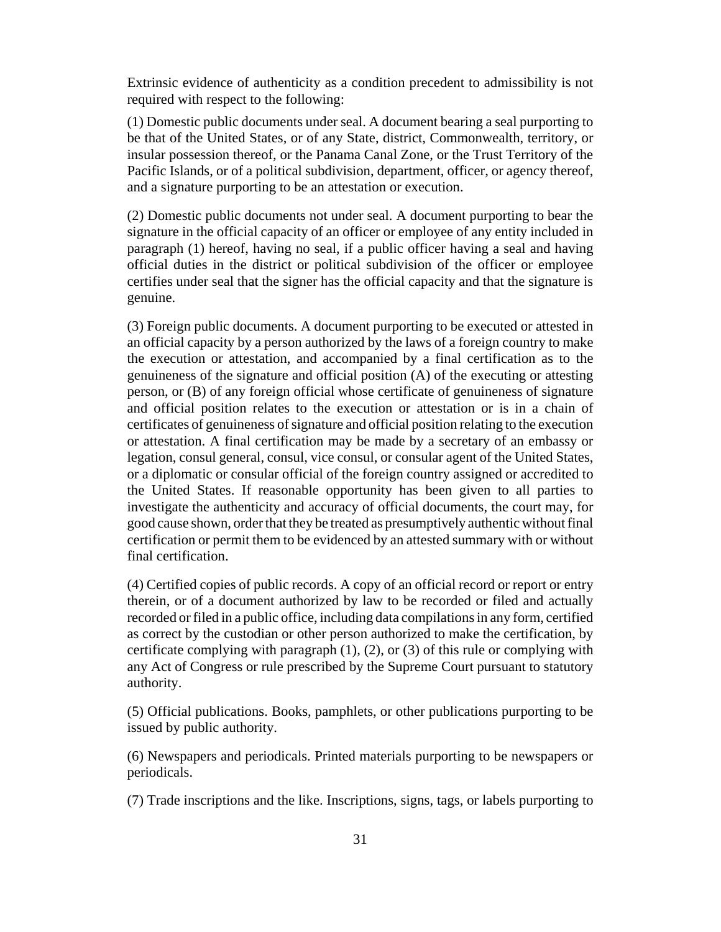Extrinsic evidence of authenticity as a condition precedent to admissibility is not required with respect to the following:

(1) Domestic public documents under seal. A document bearing a seal purporting to be that of the United States, or of any State, district, Commonwealth, territory, or insular possession thereof, or the Panama Canal Zone, or the Trust Territory of the Pacific Islands, or of a political subdivision, department, officer, or agency thereof, and a signature purporting to be an attestation or execution.

(2) Domestic public documents not under seal. A document purporting to bear the signature in the official capacity of an officer or employee of any entity included in paragraph (1) hereof, having no seal, if a public officer having a seal and having official duties in the district or political subdivision of the officer or employee certifies under seal that the signer has the official capacity and that the signature is genuine.

(3) Foreign public documents. A document purporting to be executed or attested in an official capacity by a person authorized by the laws of a foreign country to make the execution or attestation, and accompanied by a final certification as to the genuineness of the signature and official position (A) of the executing or attesting person, or (B) of any foreign official whose certificate of genuineness of signature and official position relates to the execution or attestation or is in a chain of certificates of genuineness of signature and official position relating to the execution or attestation. A final certification may be made by a secretary of an embassy or legation, consul general, consul, vice consul, or consular agent of the United States, or a diplomatic or consular official of the foreign country assigned or accredited to the United States. If reasonable opportunity has been given to all parties to investigate the authenticity and accuracy of official documents, the court may, for good cause shown, order that they be treated as presumptively authentic without final certification or permit them to be evidenced by an attested summary with or without final certification.

(4) Certified copies of public records. A copy of an official record or report or entry therein, or of a document authorized by law to be recorded or filed and actually recorded or filed in a public office, including data compilations in any form, certified as correct by the custodian or other person authorized to make the certification, by certificate complying with paragraph (1), (2), or (3) of this rule or complying with any Act of Congress or rule prescribed by the Supreme Court pursuant to statutory authority.

(5) Official publications. Books, pamphlets, or other publications purporting to be issued by public authority.

(6) Newspapers and periodicals. Printed materials purporting to be newspapers or periodicals.

(7) Trade inscriptions and the like. Inscriptions, signs, tags, or labels purporting to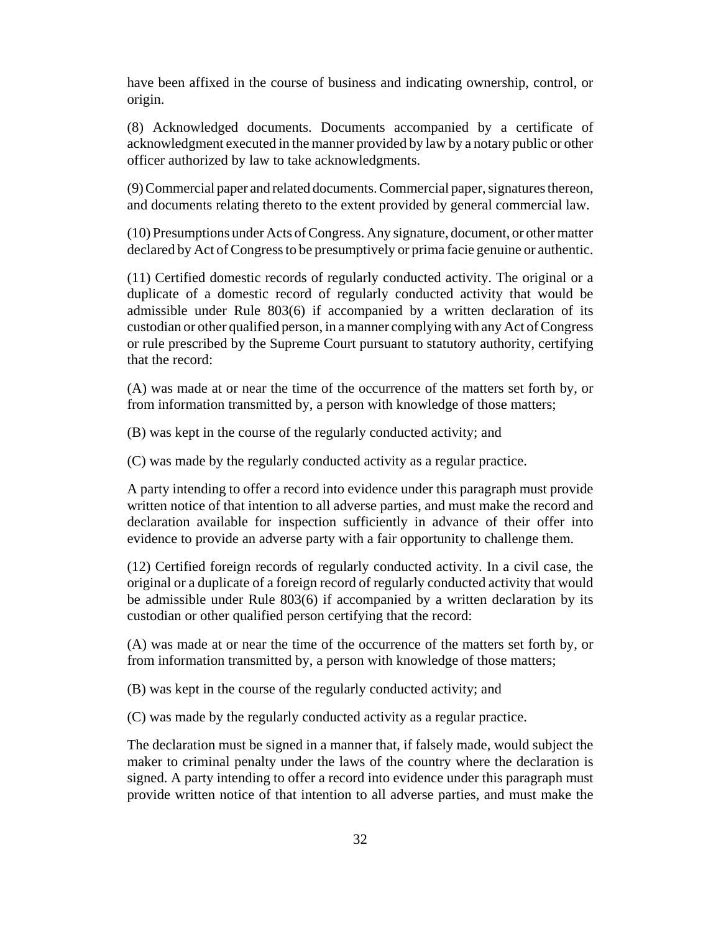have been affixed in the course of business and indicating ownership, control, or origin.

(8) Acknowledged documents. Documents accompanied by a certificate of acknowledgment executed in the manner provided by law by a notary public or other officer authorized by law to take acknowledgments.

(9) Commercial paper and related documents. Commercial paper, signatures thereon, and documents relating thereto to the extent provided by general commercial law.

(10) Presumptions under Acts of Congress. Any signature, document, or other matter declared by Act of Congress to be presumptively or prima facie genuine or authentic.

(11) Certified domestic records of regularly conducted activity. The original or a duplicate of a domestic record of regularly conducted activity that would be admissible under Rule 803(6) if accompanied by a written declaration of its custodian or other qualified person, in a manner complying with any Act of Congress or rule prescribed by the Supreme Court pursuant to statutory authority, certifying that the record:

(A) was made at or near the time of the occurrence of the matters set forth by, or from information transmitted by, a person with knowledge of those matters;

(B) was kept in the course of the regularly conducted activity; and

(C) was made by the regularly conducted activity as a regular practice.

A party intending to offer a record into evidence under this paragraph must provide written notice of that intention to all adverse parties, and must make the record and declaration available for inspection sufficiently in advance of their offer into evidence to provide an adverse party with a fair opportunity to challenge them.

(12) Certified foreign records of regularly conducted activity. In a civil case, the original or a duplicate of a foreign record of regularly conducted activity that would be admissible under Rule 803(6) if accompanied by a written declaration by its custodian or other qualified person certifying that the record:

(A) was made at or near the time of the occurrence of the matters set forth by, or from information transmitted by, a person with knowledge of those matters;

(B) was kept in the course of the regularly conducted activity; and

(C) was made by the regularly conducted activity as a regular practice.

The declaration must be signed in a manner that, if falsely made, would subject the maker to criminal penalty under the laws of the country where the declaration is signed. A party intending to offer a record into evidence under this paragraph must provide written notice of that intention to all adverse parties, and must make the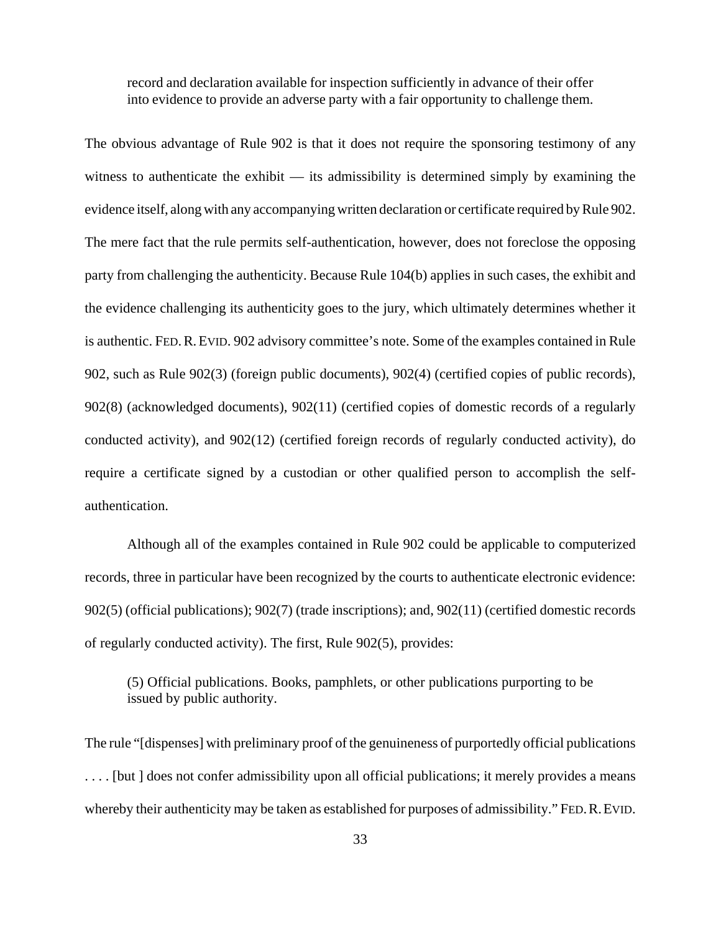record and declaration available for inspection sufficiently in advance of their offer into evidence to provide an adverse party with a fair opportunity to challenge them.

The obvious advantage of Rule 902 is that it does not require the sponsoring testimony of any witness to authenticate the exhibit  $-$  its admissibility is determined simply by examining the evidence itself, along with any accompanying written declaration or certificate required by Rule 902. The mere fact that the rule permits self-authentication, however, does not foreclose the opposing party from challenging the authenticity. Because Rule 104(b) applies in such cases, the exhibit and the evidence challenging its authenticity goes to the jury, which ultimately determines whether it is authentic. FED.R.EVID. 902 advisory committee's note. Some of the examples contained in Rule 902, such as Rule 902(3) (foreign public documents), 902(4) (certified copies of public records), 902(8) (acknowledged documents), 902(11) (certified copies of domestic records of a regularly conducted activity), and 902(12) (certified foreign records of regularly conducted activity), do require a certificate signed by a custodian or other qualified person to accomplish the selfauthentication.

Although all of the examples contained in Rule 902 could be applicable to computerized records, three in particular have been recognized by the courts to authenticate electronic evidence: 902(5) (official publications); 902(7) (trade inscriptions); and, 902(11) (certified domestic records of regularly conducted activity). The first, Rule 902(5), provides:

(5) Official publications. Books, pamphlets, or other publications purporting to be issued by public authority.

The rule "[dispenses] with preliminary proof of the genuineness of purportedly official publications .... [but ] does not confer admissibility upon all official publications; it merely provides a means whereby their authenticity may be taken as established for purposes of admissibility." FED.R.EVID.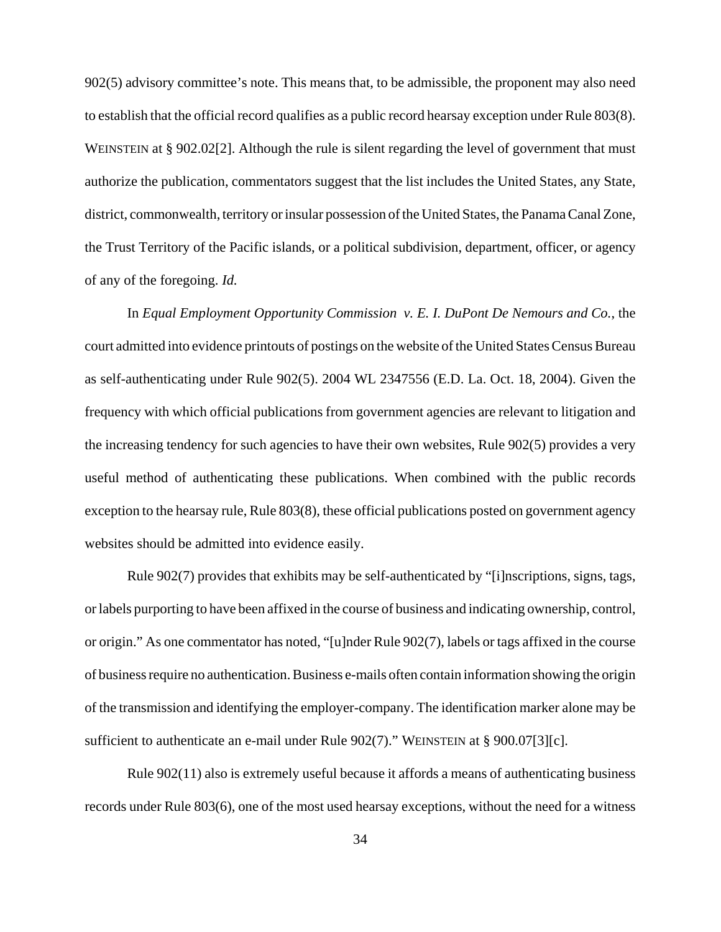902(5) advisory committee's note. This means that, to be admissible, the proponent may also need to establish that the official record qualifies as a public record hearsay exception under Rule 803(8). WEINSTEIN at § 902.02[2]. Although the rule is silent regarding the level of government that must authorize the publication, commentators suggest that the list includes the United States, any State, district, commonwealth, territory or insular possession of the United States, the Panama Canal Zone, the Trust Territory of the Pacific islands, or a political subdivision, department, officer, or agency of any of the foregoing. *Id.*

In *Equal Employment Opportunity Commission v. E. I. DuPont De Nemours and Co.*, the court admitted into evidence printouts of postings on the website of the United States Census Bureau as self-authenticating under Rule 902(5). 2004 WL 2347556 (E.D. La. Oct. 18, 2004). Given the frequency with which official publications from government agencies are relevant to litigation and the increasing tendency for such agencies to have their own websites, Rule 902(5) provides a very useful method of authenticating these publications. When combined with the public records exception to the hearsay rule, Rule 803(8), these official publications posted on government agency websites should be admitted into evidence easily.

Rule 902(7) provides that exhibits may be self-authenticated by "[i]nscriptions, signs, tags, or labels purporting to have been affixed in the course of business and indicating ownership, control, or origin." As one commentator has noted, "[u]nder Rule 902(7), labels or tags affixed in the course of business require no authentication. Business e-mails often contain information showing the origin of the transmission and identifying the employer-company. The identification marker alone may be sufficient to authenticate an e-mail under Rule 902(7)." WEINSTEIN at § 900.07[3][c].

Rule 902(11) also is extremely useful because it affords a means of authenticating business records under Rule 803(6), one of the most used hearsay exceptions, without the need for a witness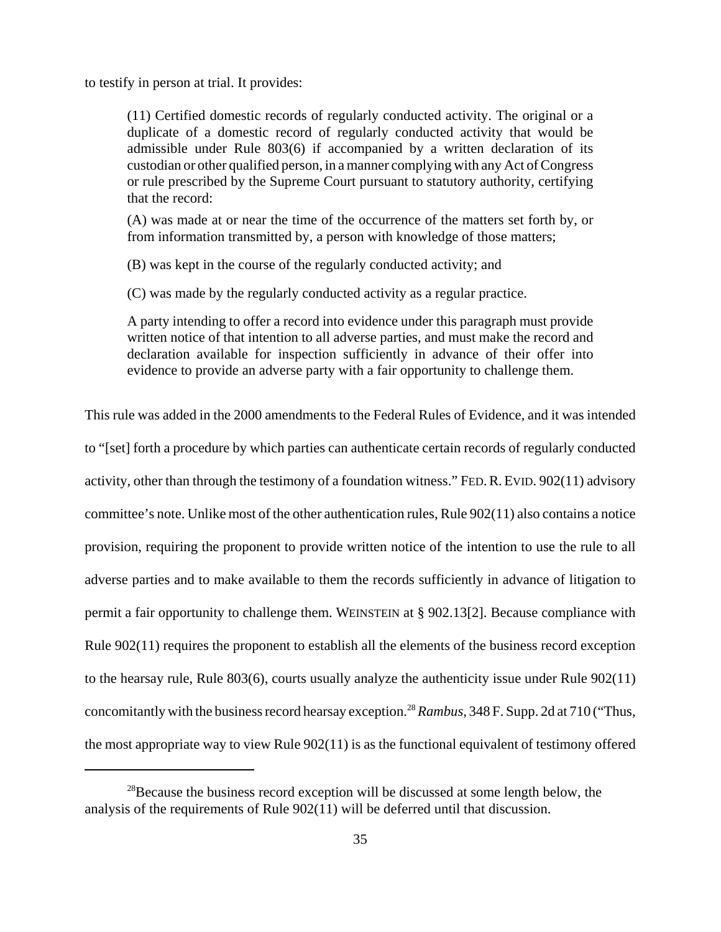to testify in person at trial. It provides:

(11) Certified domestic records of regularly conducted activity. The original or a duplicate of a domestic record of regularly conducted activity that would be admissible under Rule 803(6) if accompanied by a written declaration of its custodian or other qualified person, in a manner complying with any Act of Congress or rule prescribed by the Supreme Court pursuant to statutory authority, certifying that the record:

(A) was made at or near the time of the occurrence of the matters set forth by, or from information transmitted by, a person with knowledge of those matters;

(B) was kept in the course of the regularly conducted activity; and

(C) was made by the regularly conducted activity as a regular practice.

A party intending to offer a record into evidence under this paragraph must provide written notice of that intention to all adverse parties, and must make the record and declaration available for inspection sufficiently in advance of their offer into evidence to provide an adverse party with a fair opportunity to challenge them.

This rule was added in the 2000 amendments to the Federal Rules of Evidence, and it was intended to "[set] forth a procedure by which parties can authenticate certain records of regularly conducted activity, other than through the testimony of a foundation witness." FED.R.EVID. 902(11) advisory committee's note. Unlike most of the other authentication rules, Rule 902(11) also contains a notice provision, requiring the proponent to provide written notice of the intention to use the rule to all adverse parties and to make available to them the records sufficiently in advance of litigation to permit a fair opportunity to challenge them. WEINSTEIN at § 902.13[2]. Because compliance with Rule 902(11) requires the proponent to establish all the elements of the business record exception to the hearsay rule, Rule 803(6), courts usually analyze the authenticity issue under Rule 902(11) concomitantly with the business record hearsay exception.28 *Rambus,* 348 F. Supp. 2d at 710 ("Thus, the most appropriate way to view Rule 902(11) is as the functional equivalent of testimony offered

 $^{28}$ Because the business record exception will be discussed at some length below, the analysis of the requirements of Rule 902(11) will be deferred until that discussion.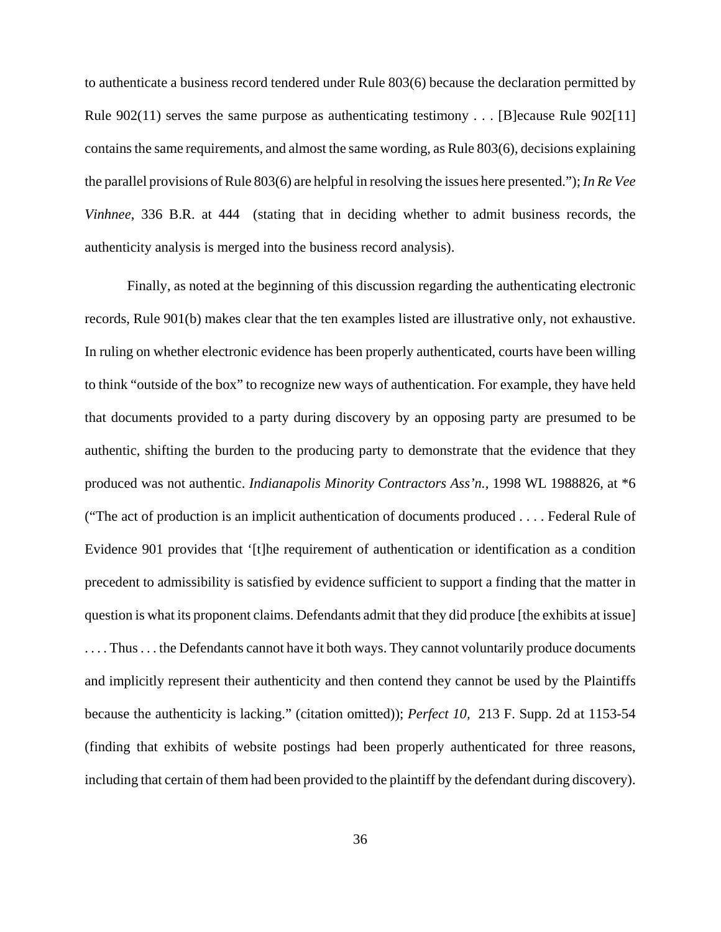to authenticate a business record tendered under Rule 803(6) because the declaration permitted by Rule 902(11) serves the same purpose as authenticating testimony . . . [B]ecause Rule 902[11] contains the same requirements, and almost the same wording, as Rule 803(6), decisions explaining the parallel provisions of Rule 803(6) are helpful in resolving the issues here presented."); *In Re Vee Vinhnee*, 336 B.R. at 444 (stating that in deciding whether to admit business records, the authenticity analysis is merged into the business record analysis).

Finally, as noted at the beginning of this discussion regarding the authenticating electronic records, Rule 901(b) makes clear that the ten examples listed are illustrative only, not exhaustive. In ruling on whether electronic evidence has been properly authenticated, courts have been willing to think "outside of the box" to recognize new ways of authentication. For example, they have held that documents provided to a party during discovery by an opposing party are presumed to be authentic, shifting the burden to the producing party to demonstrate that the evidence that they produced was not authentic. *Indianapolis Minority Contractors Ass'n.,* 1998 WL 1988826, at \*6 ("The act of production is an implicit authentication of documents produced . . . . Federal Rule of Evidence 901 provides that '[t]he requirement of authentication or identification as a condition precedent to admissibility is satisfied by evidence sufficient to support a finding that the matter in question is what its proponent claims. Defendants admit that they did produce [the exhibits at issue] . . . . Thus . . . the Defendants cannot have it both ways. They cannot voluntarily produce documents and implicitly represent their authenticity and then contend they cannot be used by the Plaintiffs because the authenticity is lacking." (citation omitted)); *Perfect 10,* 213 F. Supp. 2d at 1153-54 (finding that exhibits of website postings had been properly authenticated for three reasons, including that certain of them had been provided to the plaintiff by the defendant during discovery).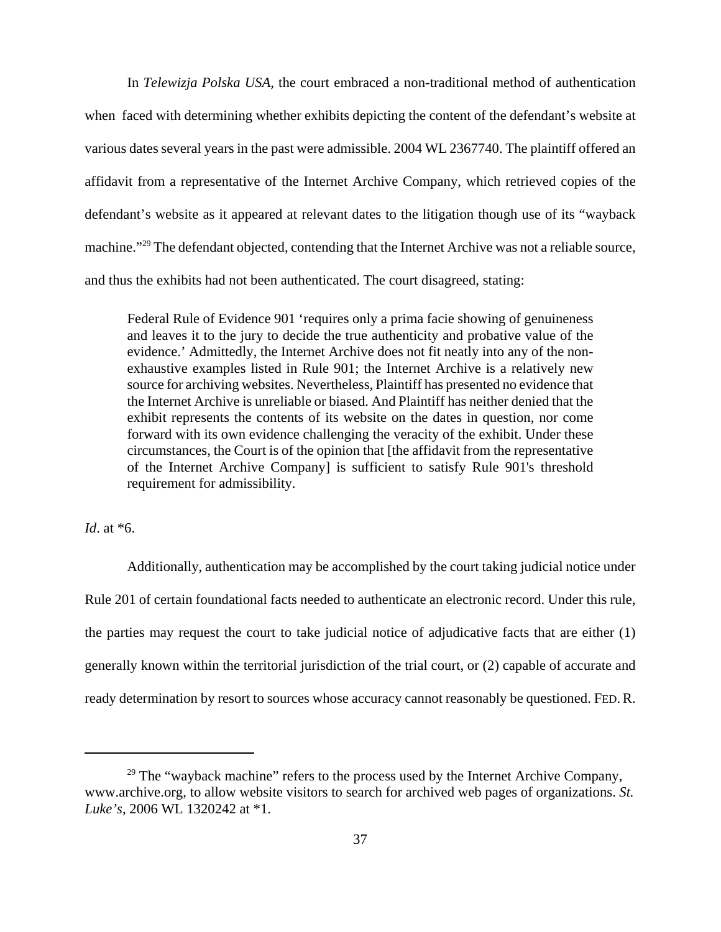In *Telewizja Polska USA,* the court embraced a non-traditional method of authentication when faced with determining whether exhibits depicting the content of the defendant's website at various dates several years in the past were admissible. 2004 WL 2367740. The plaintiff offered an affidavit from a representative of the Internet Archive Company, which retrieved copies of the defendant's website as it appeared at relevant dates to the litigation though use of its "wayback machine."<sup>29</sup> The defendant objected, contending that the Internet Archive was not a reliable source, and thus the exhibits had not been authenticated. The court disagreed, stating:

Federal Rule of Evidence 901 'requires only a prima facie showing of genuineness and leaves it to the jury to decide the true authenticity and probative value of the evidence.' Admittedly, the Internet Archive does not fit neatly into any of the nonexhaustive examples listed in Rule 901; the Internet Archive is a relatively new source for archiving websites. Nevertheless, Plaintiff has presented no evidence that the Internet Archive is unreliable or biased. And Plaintiff has neither denied that the exhibit represents the contents of its website on the dates in question, nor come forward with its own evidence challenging the veracity of the exhibit. Under these circumstances, the Court is of the opinion that [the affidavit from the representative of the Internet Archive Company] is sufficient to satisfy Rule 901's threshold requirement for admissibility.

*Id*. at \*6.

Additionally, authentication may be accomplished by the court taking judicial notice under Rule 201 of certain foundational facts needed to authenticate an electronic record. Under this rule, the parties may request the court to take judicial notice of adjudicative facts that are either (1) generally known within the territorial jurisdiction of the trial court, or (2) capable of accurate and ready determination by resort to sources whose accuracy cannot reasonably be questioned. FED.R.

<sup>&</sup>lt;sup>29</sup> The "wayback machine" refers to the process used by the Internet Archive Company, www.archive.org, to allow website visitors to search for archived web pages of organizations. *St. Luke's*, 2006 WL 1320242 at \*1.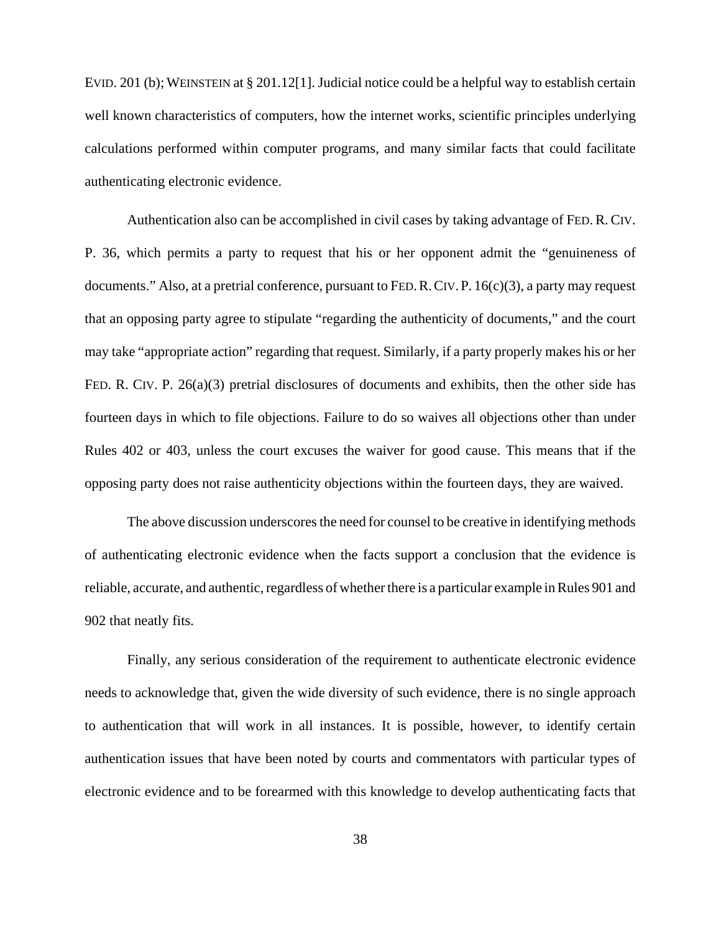EVID. 201 (b); WEINSTEIN at § 201.12[1]. Judicial notice could be a helpful way to establish certain well known characteristics of computers, how the internet works, scientific principles underlying calculations performed within computer programs, and many similar facts that could facilitate authenticating electronic evidence.

Authentication also can be accomplished in civil cases by taking advantage of FED. R. CIV. P. 36, which permits a party to request that his or her opponent admit the "genuineness of documents." Also, at a pretrial conference, pursuant to FED. R. CIV. P.  $16(c)(3)$ , a party may request that an opposing party agree to stipulate "regarding the authenticity of documents," and the court may take "appropriate action" regarding that request. Similarly, if a party properly makes his or her FED. R. CIV. P. 26(a)(3) pretrial disclosures of documents and exhibits, then the other side has fourteen days in which to file objections. Failure to do so waives all objections other than under Rules 402 or 403, unless the court excuses the waiver for good cause. This means that if the opposing party does not raise authenticity objections within the fourteen days, they are waived.

The above discussion underscores the need for counsel to be creative in identifying methods of authenticating electronic evidence when the facts support a conclusion that the evidence is reliable, accurate, and authentic, regardless of whether there is a particular example in Rules 901 and 902 that neatly fits.

Finally, any serious consideration of the requirement to authenticate electronic evidence needs to acknowledge that, given the wide diversity of such evidence, there is no single approach to authentication that will work in all instances. It is possible, however, to identify certain authentication issues that have been noted by courts and commentators with particular types of electronic evidence and to be forearmed with this knowledge to develop authenticating facts that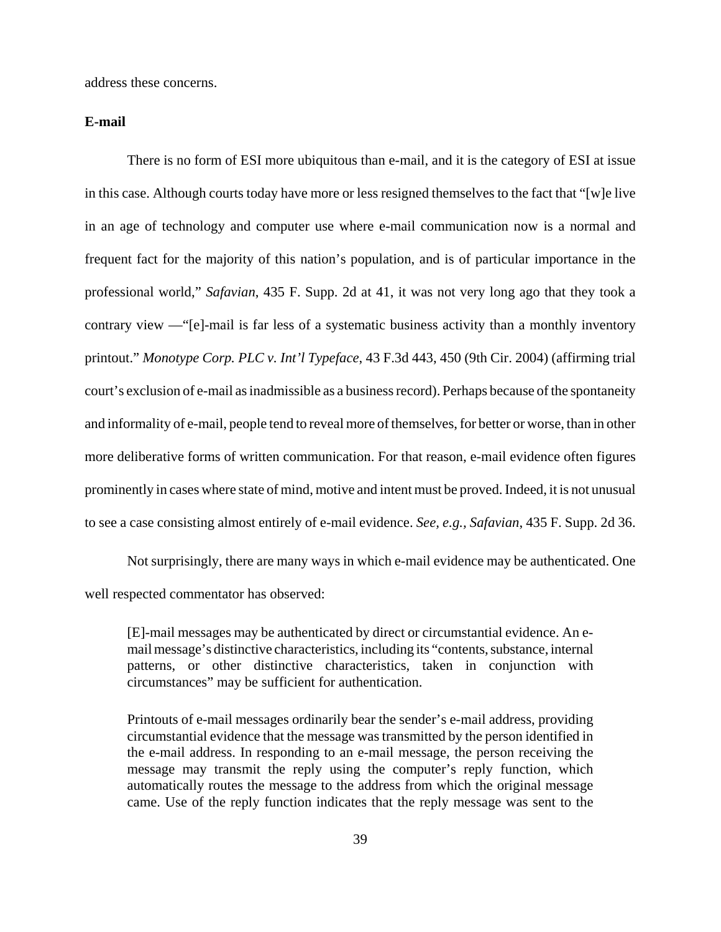address these concerns.

#### **E-mail**

There is no form of ESI more ubiquitous than e-mail, and it is the category of ESI at issue in this case. Although courts today have more or less resigned themselves to the fact that "[w]e live in an age of technology and computer use where e-mail communication now is a normal and frequent fact for the majority of this nation's population, and is of particular importance in the professional world," *Safavian*, 435 F. Supp. 2d at 41, it was not very long ago that they took a contrary view —"[e]-mail is far less of a systematic business activity than a monthly inventory printout." *Monotype Corp. PLC v. Int'l Typeface*, 43 F.3d 443, 450 (9th Cir. 2004) (affirming trial court's exclusion of e-mail as inadmissible as a business record). Perhaps because of the spontaneity and informality of e-mail, people tend to reveal more of themselves, for better or worse, than in other more deliberative forms of written communication. For that reason, e-mail evidence often figures prominently in cases where state of mind, motive and intent must be proved. Indeed, it is not unusual to see a case consisting almost entirely of e-mail evidence. *See, e.g., Safavian*, 435 F. Supp. 2d 36.

Not surprisingly, there are many ways in which e-mail evidence may be authenticated. One well respected commentator has observed:

[E]-mail messages may be authenticated by direct or circumstantial evidence. An email message's distinctive characteristics, including its "contents, substance, internal patterns, or other distinctive characteristics, taken in conjunction with circumstances" may be sufficient for authentication.

Printouts of e-mail messages ordinarily bear the sender's e-mail address, providing circumstantial evidence that the message was transmitted by the person identified in the e-mail address. In responding to an e-mail message, the person receiving the message may transmit the reply using the computer's reply function, which automatically routes the message to the address from which the original message came. Use of the reply function indicates that the reply message was sent to the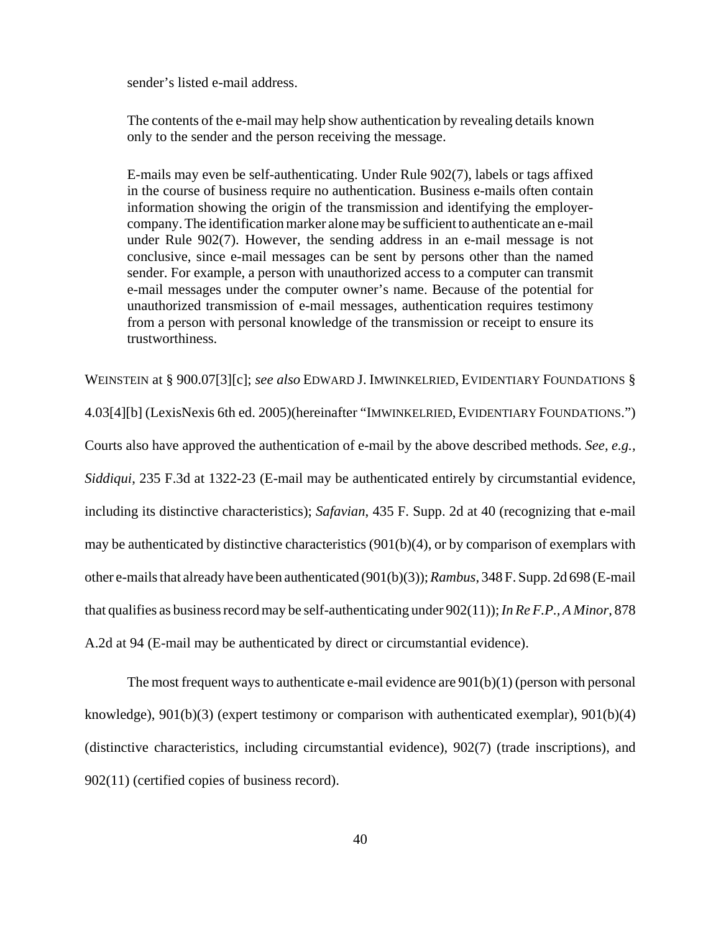sender's listed e-mail address.

 The contents of the e-mail may help show authentication by revealing details known only to the sender and the person receiving the message.

E-mails may even be self-authenticating. Under Rule 902(7), labels or tags affixed in the course of business require no authentication. Business e-mails often contain information showing the origin of the transmission and identifying the employercompany. The identification marker alone may be sufficient to authenticate an e-mail under Rule 902(7). However, the sending address in an e-mail message is not conclusive, since e-mail messages can be sent by persons other than the named sender. For example, a person with unauthorized access to a computer can transmit e-mail messages under the computer owner's name. Because of the potential for unauthorized transmission of e-mail messages, authentication requires testimony from a person with personal knowledge of the transmission or receipt to ensure its trustworthiness.

WEINSTEIN at § 900.07[3][c]; *see also* EDWARD J. IMWINKELRIED, EVIDENTIARY FOUNDATIONS § 4.03[4][b] (LexisNexis 6th ed. 2005)(hereinafter "IMWINKELRIED, EVIDENTIARY FOUNDATIONS.") Courts also have approved the authentication of e-mail by the above described methods. *See, e.g., Siddiqui*, 235 F.3d at 1322-23 (E-mail may be authenticated entirely by circumstantial evidence, including its distinctive characteristics); *Safavian*, 435 F. Supp. 2d at 40 (recognizing that e-mail may be authenticated by distinctive characteristics  $(901(b)(4)$ , or by comparison of exemplars with other e-mails that already have been authenticated (901(b)(3)); *Rambus*, 348 F. Supp. 2d 698 (E-mail that qualifies as business record may be self-authenticating under 902(11)); *In Re F.P., A Minor*, 878 A.2d at 94 (E-mail may be authenticated by direct or circumstantial evidence).

The most frequent ways to authenticate e-mail evidence are  $901(b)(1)$  (person with personal knowledge), 901(b)(3) (expert testimony or comparison with authenticated exemplar), 901(b)(4) (distinctive characteristics, including circumstantial evidence), 902(7) (trade inscriptions), and 902(11) (certified copies of business record).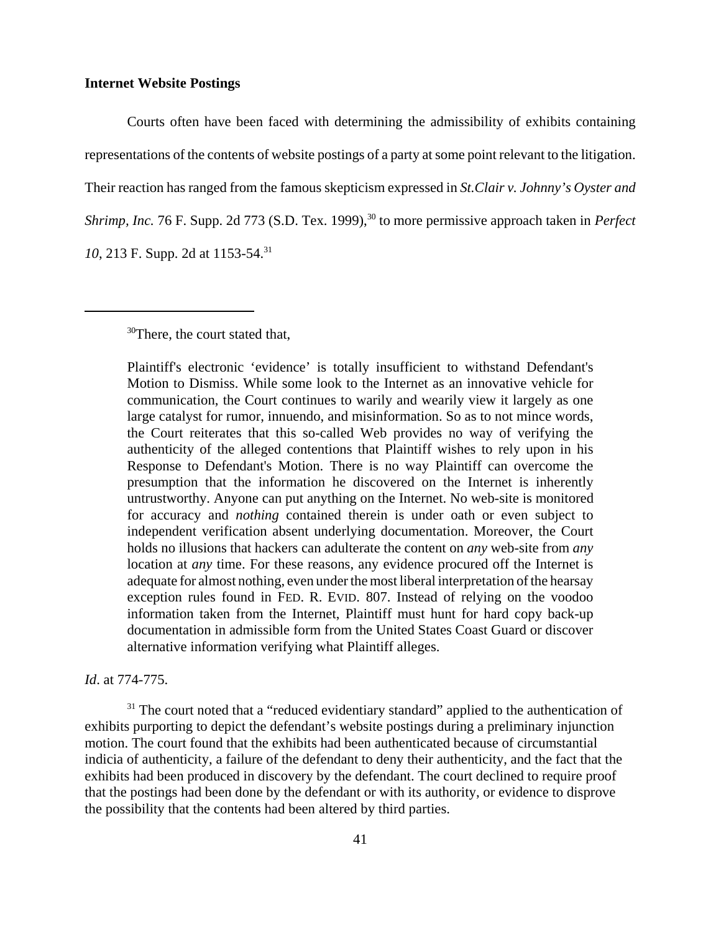#### **Internet Website Postings**

Courts often have been faced with determining the admissibility of exhibits containing representations of the contents of website postings of a party at some point relevant to the litigation. Their reaction has ranged from the famous skepticism expressed in *St.Clair v. Johnny's Oyster and Shrimp, Inc.* 76 F. Supp. 2d 773 (S.D. Tex. 1999),<sup>30</sup> to more permissive approach taken in *Perfect 10*, 213 F. Supp. 2d at 1153-54.<sup>31</sup>

# <sup>30</sup>There, the court stated that,

Plaintiff's electronic 'evidence' is totally insufficient to withstand Defendant's Motion to Dismiss. While some look to the Internet as an innovative vehicle for communication, the Court continues to warily and wearily view it largely as one large catalyst for rumor, innuendo, and misinformation. So as to not mince words, the Court reiterates that this so-called Web provides no way of verifying the authenticity of the alleged contentions that Plaintiff wishes to rely upon in his Response to Defendant's Motion. There is no way Plaintiff can overcome the presumption that the information he discovered on the Internet is inherently untrustworthy. Anyone can put anything on the Internet. No web-site is monitored for accuracy and *nothing* contained therein is under oath or even subject to independent verification absent underlying documentation. Moreover, the Court holds no illusions that hackers can adulterate the content on *any* web-site from *any* location at *any* time. For these reasons, any evidence procured off the Internet is adequate for almost nothing, even under the most liberal interpretation of the hearsay exception rules found in FED. R. EVID. 807. Instead of relying on the voodoo information taken from the Internet, Plaintiff must hunt for hard copy back-up documentation in admissible form from the United States Coast Guard or discover alternative information verifying what Plaintiff alleges.

## *Id*. at 774-775.

 $31$  The court noted that a "reduced evidentiary standard" applied to the authentication of exhibits purporting to depict the defendant's website postings during a preliminary injunction motion. The court found that the exhibits had been authenticated because of circumstantial indicia of authenticity, a failure of the defendant to deny their authenticity, and the fact that the exhibits had been produced in discovery by the defendant. The court declined to require proof that the postings had been done by the defendant or with its authority, or evidence to disprove the possibility that the contents had been altered by third parties.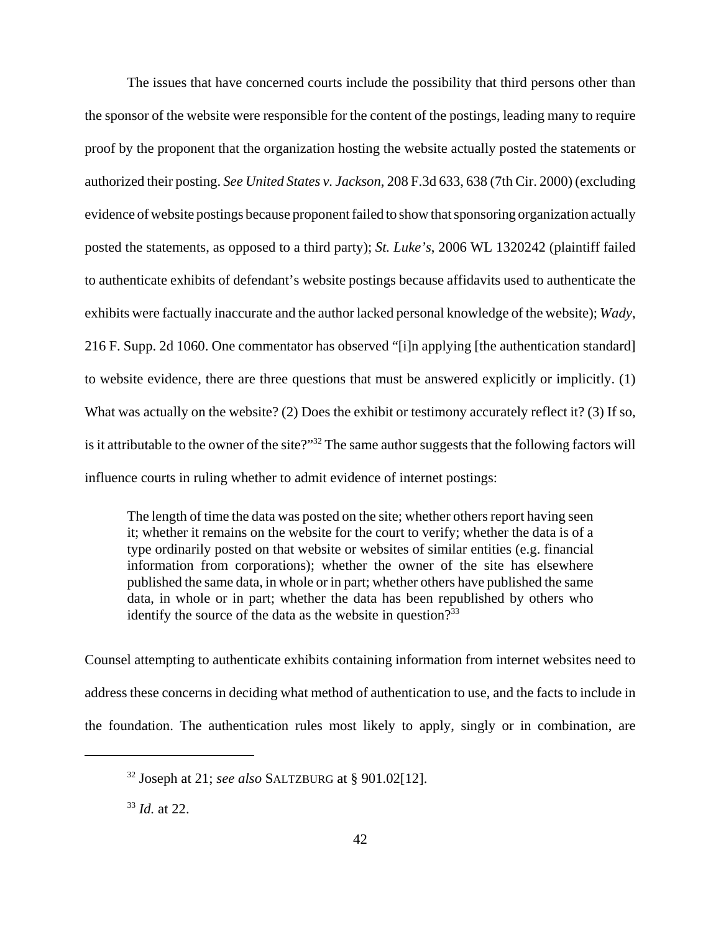The issues that have concerned courts include the possibility that third persons other than the sponsor of the website were responsible for the content of the postings, leading many to require proof by the proponent that the organization hosting the website actually posted the statements or authorized their posting. *See United States v. Jackson*, 208 F.3d 633, 638 (7th Cir. 2000) (excluding evidence of website postings because proponent failed to show that sponsoring organization actually posted the statements, as opposed to a third party); *St. Luke's*, 2006 WL 1320242 (plaintiff failed to authenticate exhibits of defendant's website postings because affidavits used to authenticate the exhibits were factually inaccurate and the author lacked personal knowledge of the website); *Wady*, 216 F. Supp. 2d 1060. One commentator has observed "[i]n applying [the authentication standard] to website evidence, there are three questions that must be answered explicitly or implicitly. (1) What was actually on the website? (2) Does the exhibit or testimony accurately reflect it? (3) If so, is it attributable to the owner of the site?"32 The same author suggests that the following factors will influence courts in ruling whether to admit evidence of internet postings:

The length of time the data was posted on the site; whether others report having seen it; whether it remains on the website for the court to verify; whether the data is of a type ordinarily posted on that website or websites of similar entities (e.g. financial information from corporations); whether the owner of the site has elsewhere published the same data, in whole or in part; whether others have published the same data, in whole or in part; whether the data has been republished by others who identify the source of the data as the website in question? $33$ 

Counsel attempting to authenticate exhibits containing information from internet websites need to address these concerns in deciding what method of authentication to use, and the facts to include in the foundation. The authentication rules most likely to apply, singly or in combination, are

<sup>32</sup> Joseph at 21; *see also* SALTZBURG at § 901.02[12].

<sup>33</sup> *Id.* at 22.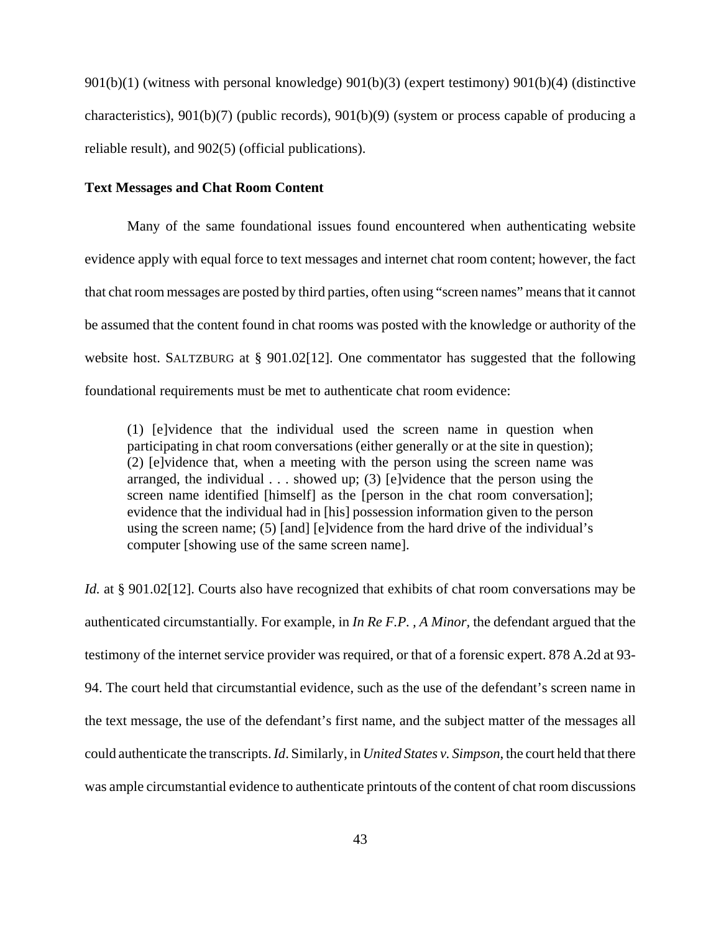901(b)(1) (witness with personal knowledge) 901(b)(3) (expert testimony) 901(b)(4) (distinctive characteristics), 901(b)(7) (public records), 901(b)(9) (system or process capable of producing a reliable result), and 902(5) (official publications).

## **Text Messages and Chat Room Content**

Many of the same foundational issues found encountered when authenticating website evidence apply with equal force to text messages and internet chat room content; however, the fact that chat room messages are posted by third parties, often using "screen names" means that it cannot be assumed that the content found in chat rooms was posted with the knowledge or authority of the website host. SALTZBURG at § 901.02[12]. One commentator has suggested that the following foundational requirements must be met to authenticate chat room evidence:

(1) [e]vidence that the individual used the screen name in question when participating in chat room conversations (either generally or at the site in question); (2) [e]vidence that, when a meeting with the person using the screen name was arranged, the individual  $\ldots$  showed up; (3) [e]vidence that the person using the screen name identified [himself] as the [person in the chat room conversation]; evidence that the individual had in [his] possession information given to the person using the screen name; (5) [and] [e]vidence from the hard drive of the individual's computer [showing use of the same screen name].

*Id.* at § 901.02[12]. Courts also have recognized that exhibits of chat room conversations may be authenticated circumstantially*.* For example, in *In Re F.P. , A Minor,* the defendant argued that the testimony of the internet service provider was required, or that of a forensic expert. 878 A.2d at 93- 94. The court held that circumstantial evidence, such as the use of the defendant's screen name in the text message, the use of the defendant's first name, and the subject matter of the messages all could authenticate the transcripts. *Id*. Similarly, in *United States v. Simpson*, the court held that there was ample circumstantial evidence to authenticate printouts of the content of chat room discussions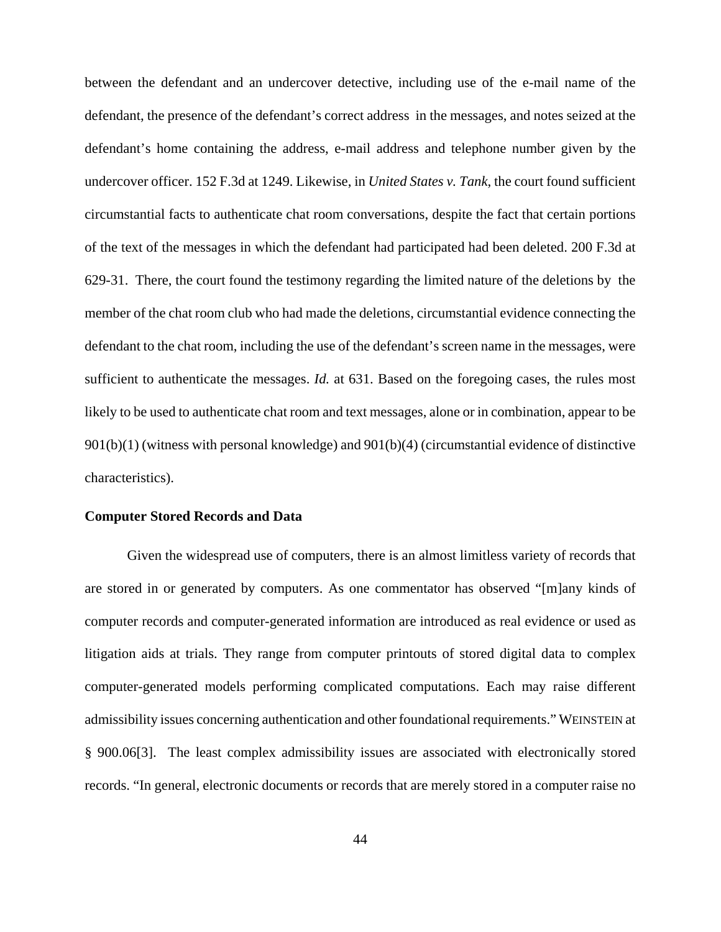between the defendant and an undercover detective, including use of the e-mail name of the defendant, the presence of the defendant's correct address in the messages, and notes seized at the defendant's home containing the address, e-mail address and telephone number given by the undercover officer. 152 F.3d at 1249. Likewise, in *United States v. Tank*, the court found sufficient circumstantial facts to authenticate chat room conversations, despite the fact that certain portions of the text of the messages in which the defendant had participated had been deleted. 200 F.3d at 629-31. There, the court found the testimony regarding the limited nature of the deletions by the member of the chat room club who had made the deletions, circumstantial evidence connecting the defendant to the chat room, including the use of the defendant's screen name in the messages, were sufficient to authenticate the messages. *Id.* at 631. Based on the foregoing cases, the rules most likely to be used to authenticate chat room and text messages, alone or in combination, appear to be 901(b)(1) (witness with personal knowledge) and 901(b)(4) (circumstantial evidence of distinctive characteristics).

#### **Computer Stored Records and Data**

Given the widespread use of computers, there is an almost limitless variety of records that are stored in or generated by computers. As one commentator has observed "[m]any kinds of computer records and computer-generated information are introduced as real evidence or used as litigation aids at trials. They range from computer printouts of stored digital data to complex computer-generated models performing complicated computations. Each may raise different admissibility issues concerning authentication and other foundational requirements." WEINSTEIN at § 900.06[3]. The least complex admissibility issues are associated with electronically stored records. "In general, electronic documents or records that are merely stored in a computer raise no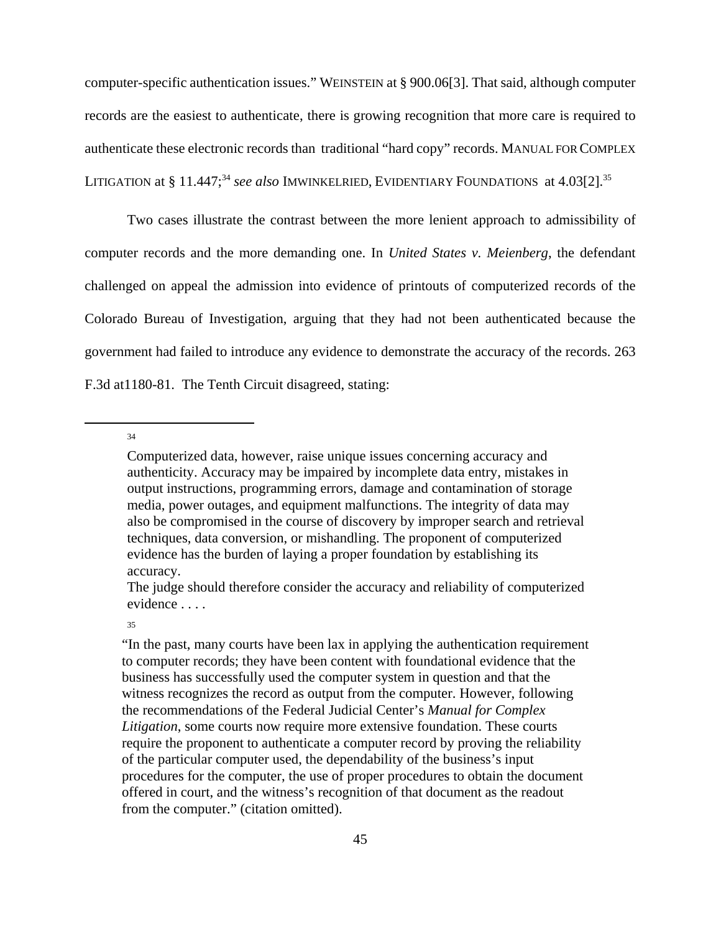computer-specific authentication issues." WEINSTEIN at § 900.06[3]. That said, although computer records are the easiest to authenticate, there is growing recognition that more care is required to authenticate these electronic records than traditional "hard copy" records. MANUAL FOR COMPLEX LITIGATION at § 11.447;<sup>34</sup> see also IMWINKELRIED, EVIDENTIARY FOUNDATIONS at 4.03[2].<sup>35</sup>

Two cases illustrate the contrast between the more lenient approach to admissibility of computer records and the more demanding one. In *United States v. Meienberg*, the defendant challenged on appeal the admission into evidence of printouts of computerized records of the Colorado Bureau of Investigation, arguing that they had not been authenticated because the government had failed to introduce any evidence to demonstrate the accuracy of the records. 263 F.3d at1180-81. The Tenth Circuit disagreed, stating:

34

Computerized data, however, raise unique issues concerning accuracy and authenticity. Accuracy may be impaired by incomplete data entry, mistakes in output instructions, programming errors, damage and contamination of storage media, power outages, and equipment malfunctions. The integrity of data may also be compromised in the course of discovery by improper search and retrieval techniques, data conversion, or mishandling. The proponent of computerized evidence has the burden of laying a proper foundation by establishing its accuracy.

The judge should therefore consider the accuracy and reliability of computerized evidence . . . .

<sup>35</sup>

<sup>&</sup>quot;In the past, many courts have been lax in applying the authentication requirement to computer records; they have been content with foundational evidence that the business has successfully used the computer system in question and that the witness recognizes the record as output from the computer. However, following the recommendations of the Federal Judicial Center's *Manual for Complex Litigation*, some courts now require more extensive foundation. These courts require the proponent to authenticate a computer record by proving the reliability of the particular computer used, the dependability of the business's input procedures for the computer, the use of proper procedures to obtain the document offered in court, and the witness's recognition of that document as the readout from the computer." (citation omitted).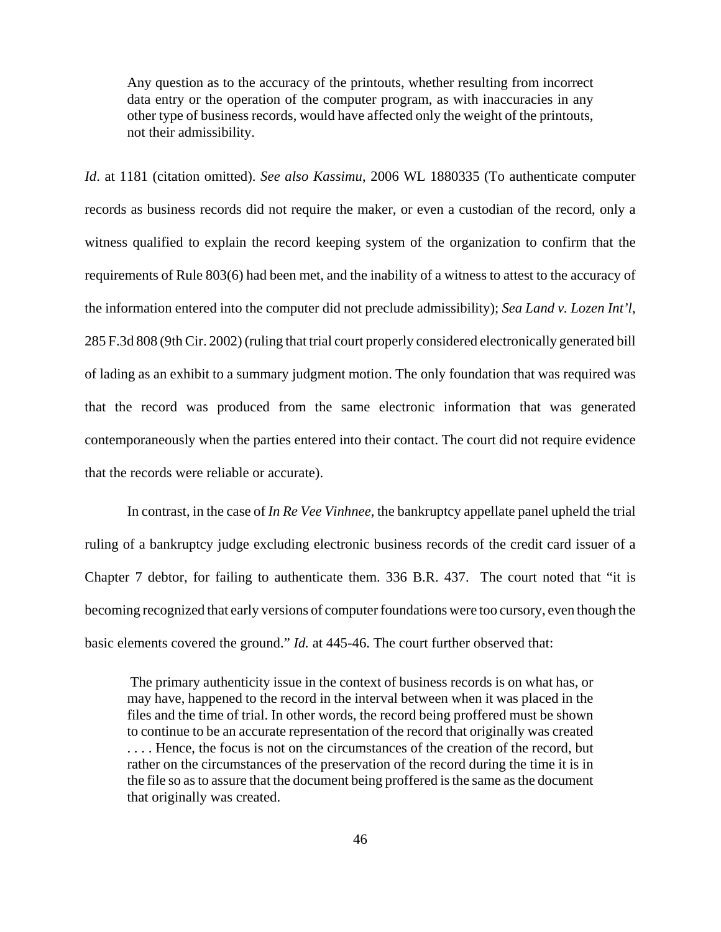Any question as to the accuracy of the printouts, whether resulting from incorrect data entry or the operation of the computer program, as with inaccuracies in any other type of business records, would have affected only the weight of the printouts, not their admissibility.

*Id*. at 1181 (citation omitted). *See also Kassimu*, 2006 WL 1880335 (To authenticate computer records as business records did not require the maker, or even a custodian of the record, only a witness qualified to explain the record keeping system of the organization to confirm that the requirements of Rule 803(6) had been met, and the inability of a witness to attest to the accuracy of the information entered into the computer did not preclude admissibility); *Sea Land v. Lozen Int'l*, 285 F.3d 808 (9th Cir. 2002) (ruling that trial court properly considered electronically generated bill of lading as an exhibit to a summary judgment motion. The only foundation that was required was that the record was produced from the same electronic information that was generated contemporaneously when the parties entered into their contact. The court did not require evidence that the records were reliable or accurate).

In contrast, in the case of *In Re Vee Vinhnee*, the bankruptcy appellate panel upheld the trial ruling of a bankruptcy judge excluding electronic business records of the credit card issuer of a Chapter 7 debtor, for failing to authenticate them. 336 B.R. 437. The court noted that "it is becoming recognized that early versions of computer foundations were too cursory, even though the basic elements covered the ground." *Id.* at 445-46. The court further observed that:

 The primary authenticity issue in the context of business records is on what has, or may have, happened to the record in the interval between when it was placed in the files and the time of trial. In other words, the record being proffered must be shown to continue to be an accurate representation of the record that originally was created . . . . Hence, the focus is not on the circumstances of the creation of the record, but rather on the circumstances of the preservation of the record during the time it is in the file so as to assure that the document being proffered is the same as the document that originally was created.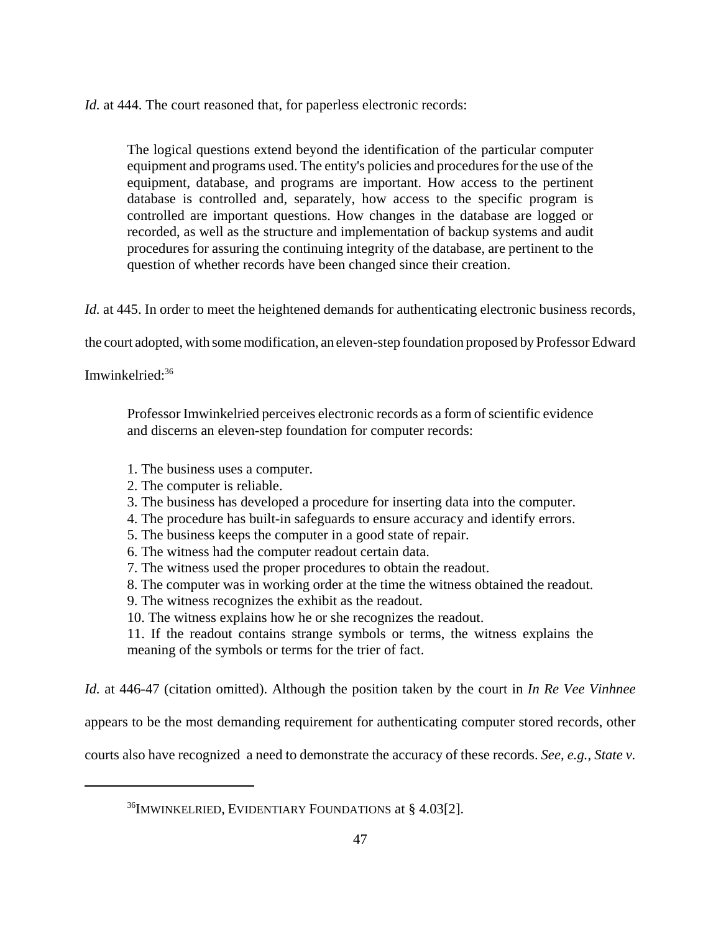*Id.* at 444. The court reasoned that, for paperless electronic records:

The logical questions extend beyond the identification of the particular computer equipment and programs used. The entity's policies and procedures for the use of the equipment, database, and programs are important. How access to the pertinent database is controlled and, separately, how access to the specific program is controlled are important questions. How changes in the database are logged or recorded, as well as the structure and implementation of backup systems and audit procedures for assuring the continuing integrity of the database, are pertinent to the question of whether records have been changed since their creation.

*Id.* at 445. In order to meet the heightened demands for authenticating electronic business records,

the court adopted, with some modification, an eleven-step foundation proposed by Professor Edward

Imwinkelried:36

Professor Imwinkelried perceives electronic records as a form of scientific evidence and discerns an eleven-step foundation for computer records:

- 1. The business uses a computer.
- 2. The computer is reliable.
- 3. The business has developed a procedure for inserting data into the computer.
- 4. The procedure has built-in safeguards to ensure accuracy and identify errors.
- 5. The business keeps the computer in a good state of repair.
- 6. The witness had the computer readout certain data.
- 7. The witness used the proper procedures to obtain the readout.
- 8. The computer was in working order at the time the witness obtained the readout.
- 9. The witness recognizes the exhibit as the readout.
- 10. The witness explains how he or she recognizes the readout.

11. If the readout contains strange symbols or terms, the witness explains the meaning of the symbols or terms for the trier of fact.

*Id.* at 446-47 (citation omitted). Although the position taken by the court in *In Re Vee Vinhnee*

appears to be the most demanding requirement for authenticating computer stored records, other

courts also have recognized a need to demonstrate the accuracy of these records. *See, e.g., State v.*

 $36$ IMWINKELRIED, EVIDENTIARY FOUNDATIONS at § 4.03[2].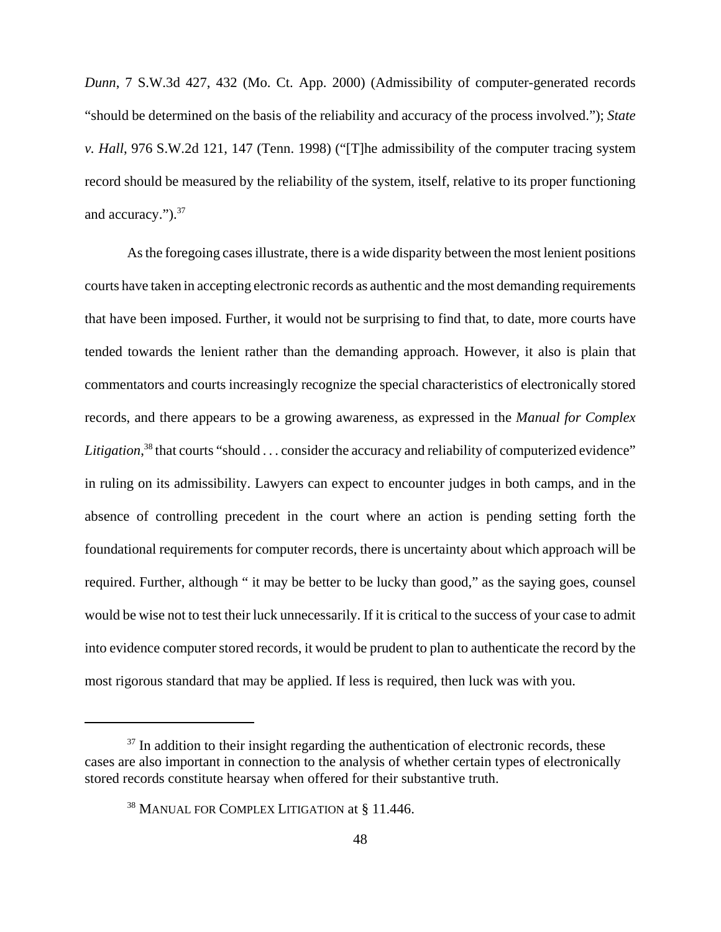*Dunn*, 7 S.W.3d 427, 432 (Mo. Ct. App. 2000) (Admissibility of computer-generated records "should be determined on the basis of the reliability and accuracy of the process involved."); *State v. Hall*, 976 S.W.2d 121, 147 (Tenn. 1998) ("[T]he admissibility of the computer tracing system record should be measured by the reliability of the system, itself, relative to its proper functioning and accuracy.").<sup>37</sup>

As the foregoing cases illustrate, there is a wide disparity between the most lenient positions courts have taken in accepting electronic records as authentic and the most demanding requirements that have been imposed. Further, it would not be surprising to find that, to date, more courts have tended towards the lenient rather than the demanding approach. However, it also is plain that commentators and courts increasingly recognize the special characteristics of electronically stored records, and there appears to be a growing awareness, as expressed in the *Manual for Complex* Litigation,<sup>38</sup> that courts "should ... consider the accuracy and reliability of computerized evidence" in ruling on its admissibility. Lawyers can expect to encounter judges in both camps, and in the absence of controlling precedent in the court where an action is pending setting forth the foundational requirements for computer records, there is uncertainty about which approach will be required. Further, although " it may be better to be lucky than good," as the saying goes, counsel would be wise not to test their luck unnecessarily. If it is critical to the success of your case to admit into evidence computer stored records, it would be prudent to plan to authenticate the record by the most rigorous standard that may be applied. If less is required, then luck was with you.

 $37$  In addition to their insight regarding the authentication of electronic records, these cases are also important in connection to the analysis of whether certain types of electronically stored records constitute hearsay when offered for their substantive truth.

<sup>&</sup>lt;sup>38</sup> MANUAL FOR COMPLEX LITIGATION at § 11.446.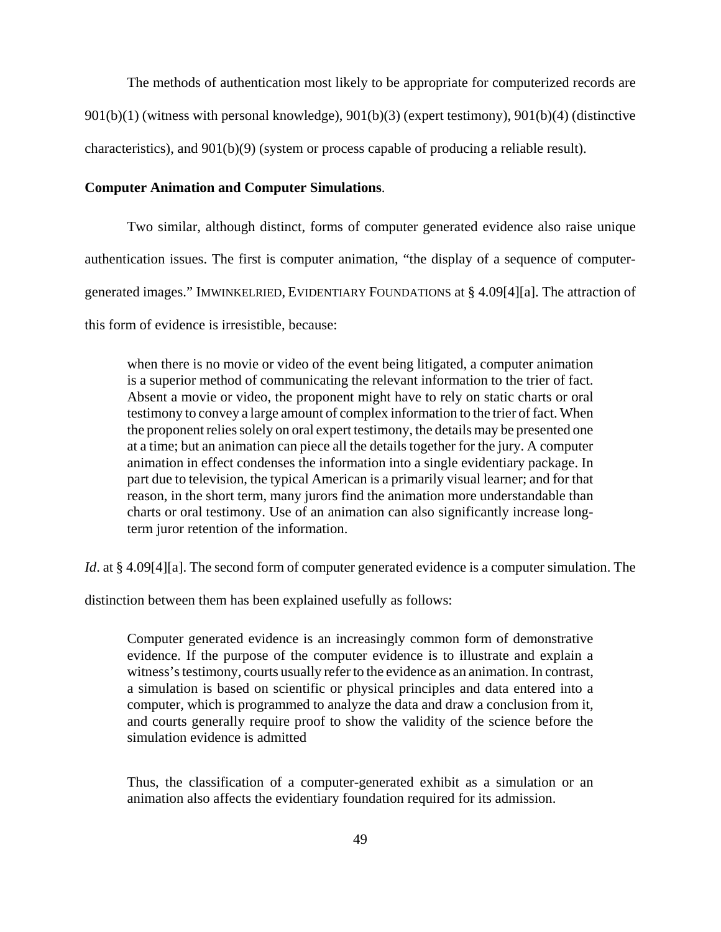The methods of authentication most likely to be appropriate for computerized records are 901(b)(1) (witness with personal knowledge), 901(b)(3) (expert testimony), 901(b)(4) (distinctive characteristics), and 901(b)(9) (system or process capable of producing a reliable result).

## **Computer Animation and Computer Simulations**.

Two similar, although distinct, forms of computer generated evidence also raise unique authentication issues. The first is computer animation, "the display of a sequence of computergenerated images." IMWINKELRIED, EVIDENTIARY FOUNDATIONS at § 4.09[4][a]. The attraction of this form of evidence is irresistible, because:

when there is no movie or video of the event being litigated, a computer animation is a superior method of communicating the relevant information to the trier of fact. Absent a movie or video, the proponent might have to rely on static charts or oral testimony to convey a large amount of complex information to the trier of fact. When the proponent relies solely on oral expert testimony, the details may be presented one at a time; but an animation can piece all the details together for the jury. A computer animation in effect condenses the information into a single evidentiary package. In part due to television, the typical American is a primarily visual learner; and for that reason, in the short term, many jurors find the animation more understandable than charts or oral testimony. Use of an animation can also significantly increase longterm juror retention of the information.

*Id.* at § 4.09[4][a]. The second form of computer generated evidence is a computer simulation. The

distinction between them has been explained usefully as follows:

Computer generated evidence is an increasingly common form of demonstrative evidence. If the purpose of the computer evidence is to illustrate and explain a witness's testimony, courts usually refer to the evidence as an animation. In contrast, a simulation is based on scientific or physical principles and data entered into a computer, which is programmed to analyze the data and draw a conclusion from it, and courts generally require proof to show the validity of the science before the simulation evidence is admitted

Thus, the classification of a computer-generated exhibit as a simulation or an animation also affects the evidentiary foundation required for its admission.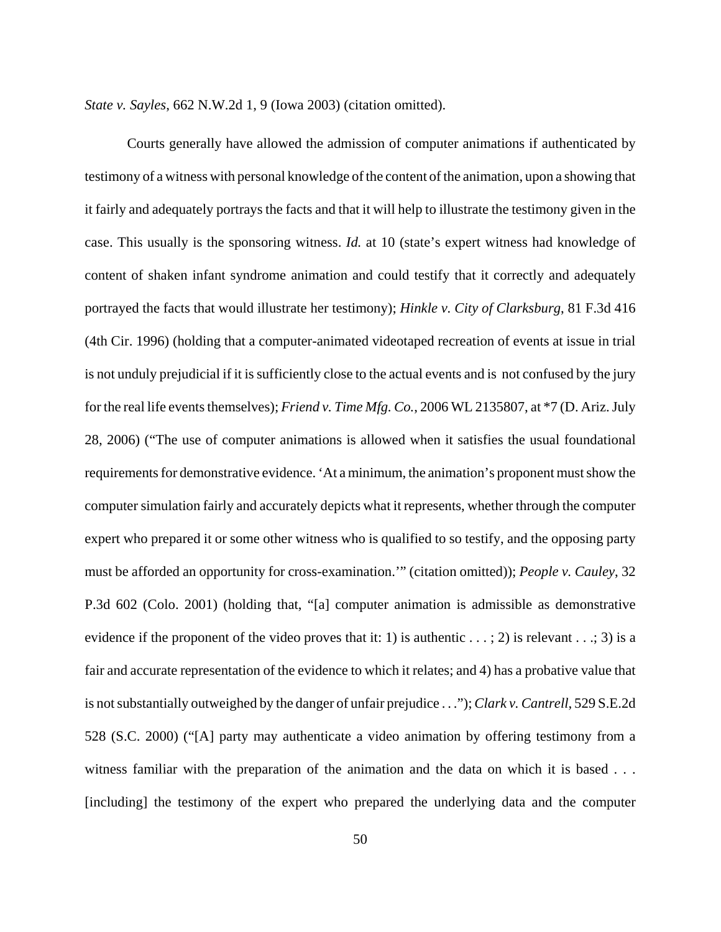*State v. Sayles*, 662 N.W.2d 1, 9 (Iowa 2003) (citation omitted).

Courts generally have allowed the admission of computer animations if authenticated by testimony of a witness with personal knowledge of the content of the animation, upon a showing that it fairly and adequately portrays the facts and that it will help to illustrate the testimony given in the case. This usually is the sponsoring witness. *Id.* at 10 (state's expert witness had knowledge of content of shaken infant syndrome animation and could testify that it correctly and adequately portrayed the facts that would illustrate her testimony); *Hinkle v. City of Clarksburg*, 81 F.3d 416 (4th Cir. 1996) (holding that a computer-animated videotaped recreation of events at issue in trial is not unduly prejudicial if it is sufficiently close to the actual events and is not confused by the jury for the real life events themselves); *Friend v. Time Mfg. Co.*, 2006 WL 2135807, at \*7 (D. Ariz. July 28, 2006) ("The use of computer animations is allowed when it satisfies the usual foundational requirements for demonstrative evidence. 'At a minimum, the animation's proponent must show the computer simulation fairly and accurately depicts what it represents, whether through the computer expert who prepared it or some other witness who is qualified to so testify, and the opposing party must be afforded an opportunity for cross-examination.'" (citation omitted)); *People v. Cauley*, 32 P.3d 602 (Colo. 2001) (holding that, "[a] computer animation is admissible as demonstrative evidence if the proponent of the video proves that it: 1) is authentic . . . ; 2) is relevant . . .; 3) is a fair and accurate representation of the evidence to which it relates; and 4) has a probative value that is not substantially outweighed by the danger of unfair prejudice . . ."); *Clark v. Cantrell*, 529 S.E.2d 528 (S.C. 2000) ("[A] party may authenticate a video animation by offering testimony from a witness familiar with the preparation of the animation and the data on which it is based . . . [including] the testimony of the expert who prepared the underlying data and the computer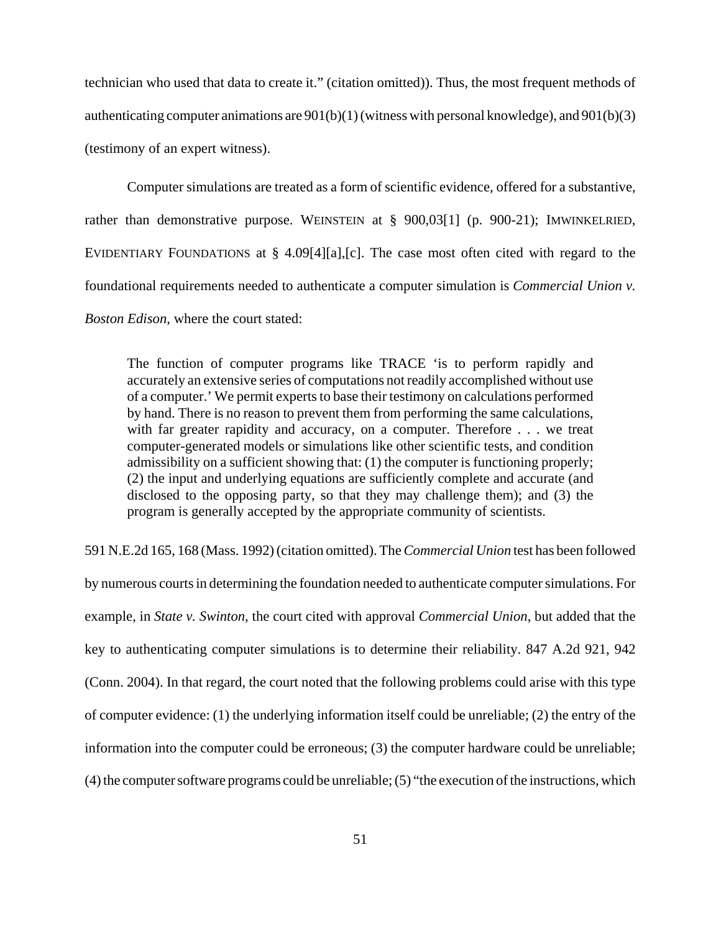technician who used that data to create it." (citation omitted)). Thus, the most frequent methods of authenticating computer animations are  $901(b)(1)$  (witness with personal knowledge), and  $901(b)(3)$ (testimony of an expert witness).

Computer simulations are treated as a form of scientific evidence, offered for a substantive, rather than demonstrative purpose. WEINSTEIN at § 900,03[1] (p. 900-21); IMWINKELRIED, EVIDENTIARY FOUNDATIONS at § 4.09[4][a],[c]. The case most often cited with regard to the foundational requirements needed to authenticate a computer simulation is *Commercial Union v. Boston Edison*, where the court stated:

The function of computer programs like TRACE 'is to perform rapidly and accurately an extensive series of computations not readily accomplished without use of a computer.' We permit experts to base their testimony on calculations performed by hand. There is no reason to prevent them from performing the same calculations, with far greater rapidity and accuracy, on a computer. Therefore . . . we treat computer-generated models or simulations like other scientific tests, and condition admissibility on a sufficient showing that: (1) the computer is functioning properly; (2) the input and underlying equations are sufficiently complete and accurate (and disclosed to the opposing party, so that they may challenge them); and (3) the program is generally accepted by the appropriate community of scientists.

591 N.E.2d 165, 168 (Mass. 1992) (citation omitted). The *Commercial Union* test has been followed by numerous courts in determining the foundation needed to authenticate computer simulations. For example, in *State v. Swinton*, the court cited with approval *Commercial Union*, but added that the key to authenticating computer simulations is to determine their reliability. 847 A.2d 921, 942 (Conn. 2004). In that regard, the court noted that the following problems could arise with this type of computer evidence: (1) the underlying information itself could be unreliable; (2) the entry of the information into the computer could be erroneous; (3) the computer hardware could be unreliable; (4) the computer software programs could be unreliable; (5) "the execution of the instructions, which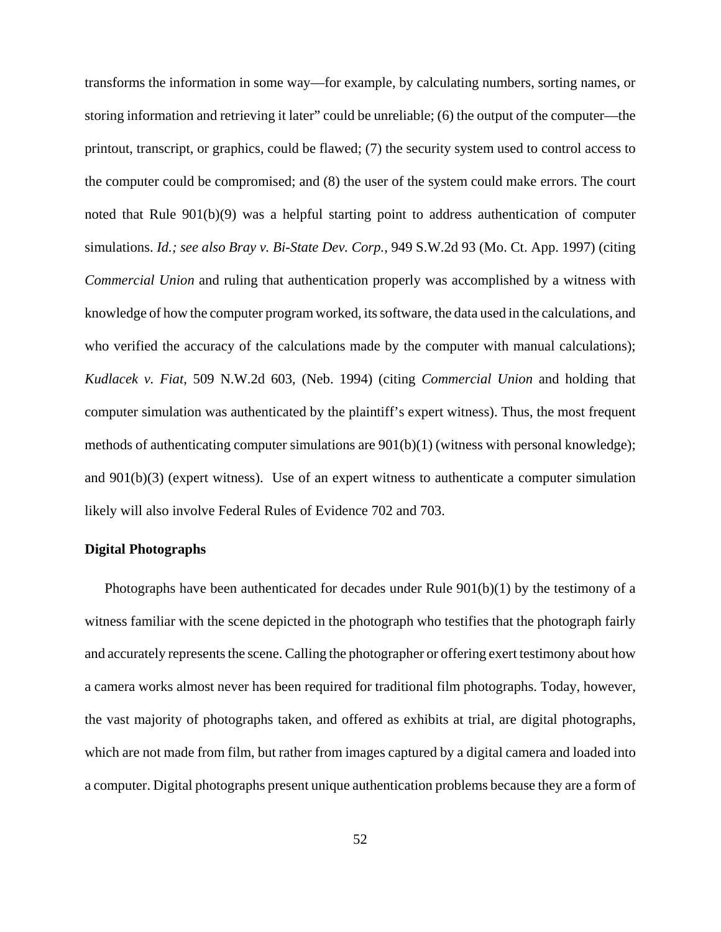transforms the information in some way—for example, by calculating numbers, sorting names, or storing information and retrieving it later" could be unreliable; (6) the output of the computer—the printout, transcript, or graphics, could be flawed; (7) the security system used to control access to the computer could be compromised; and (8) the user of the system could make errors. The court noted that Rule 901(b)(9) was a helpful starting point to address authentication of computer simulations. *Id.; see also Bray v. Bi-State Dev. Corp.*, 949 S.W.2d 93 (Mo. Ct. App. 1997) (citing *Commercial Union* and ruling that authentication properly was accomplished by a witness with knowledge of how the computer program worked, its software, the data used in the calculations, and who verified the accuracy of the calculations made by the computer with manual calculations); *Kudlacek v. Fiat*, 509 N.W.2d 603, (Neb. 1994) (citing *Commercial Union* and holding that computer simulation was authenticated by the plaintiff's expert witness). Thus, the most frequent methods of authenticating computer simulations are 901(b)(1) (witness with personal knowledge); and  $901(b)(3)$  (expert witness). Use of an expert witness to authenticate a computer simulation likely will also involve Federal Rules of Evidence 702 and 703.

### **Digital Photographs**

 Photographs have been authenticated for decades under Rule 901(b)(1) by the testimony of a witness familiar with the scene depicted in the photograph who testifies that the photograph fairly and accurately represents the scene. Calling the photographer or offering exert testimony about how a camera works almost never has been required for traditional film photographs. Today, however, the vast majority of photographs taken, and offered as exhibits at trial, are digital photographs, which are not made from film, but rather from images captured by a digital camera and loaded into a computer. Digital photographs present unique authentication problems because they are a form of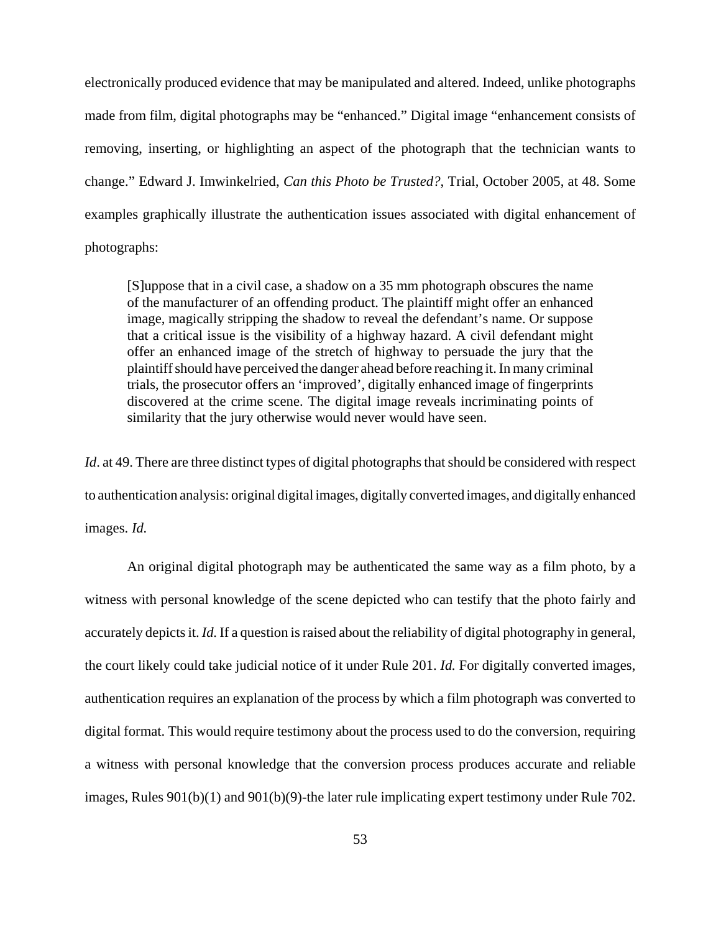electronically produced evidence that may be manipulated and altered. Indeed, unlike photographs made from film, digital photographs may be "enhanced." Digital image "enhancement consists of removing, inserting, or highlighting an aspect of the photograph that the technician wants to change." Edward J. Imwinkelried, *Can this Photo be Trusted?*, Trial, October 2005, at 48. Some examples graphically illustrate the authentication issues associated with digital enhancement of photographs:

[S]uppose that in a civil case, a shadow on a 35 mm photograph obscures the name of the manufacturer of an offending product. The plaintiff might offer an enhanced image, magically stripping the shadow to reveal the defendant's name. Or suppose that a critical issue is the visibility of a highway hazard. A civil defendant might offer an enhanced image of the stretch of highway to persuade the jury that the plaintiff should have perceived the danger ahead before reaching it. In many criminal trials, the prosecutor offers an 'improved', digitally enhanced image of fingerprints discovered at the crime scene. The digital image reveals incriminating points of similarity that the jury otherwise would never would have seen.

*Id*. at 49. There are three distinct types of digital photographs that should be considered with respect to authentication analysis: original digital images, digitally converted images, and digitally enhanced images. *Id.*

An original digital photograph may be authenticated the same way as a film photo, by a witness with personal knowledge of the scene depicted who can testify that the photo fairly and accurately depicts it. *Id.* If a question is raised about the reliability of digital photography in general, the court likely could take judicial notice of it under Rule 201. *Id.* For digitally converted images, authentication requires an explanation of the process by which a film photograph was converted to digital format. This would require testimony about the process used to do the conversion, requiring a witness with personal knowledge that the conversion process produces accurate and reliable images, Rules 901(b)(1) and 901(b)(9)-the later rule implicating expert testimony under Rule 702.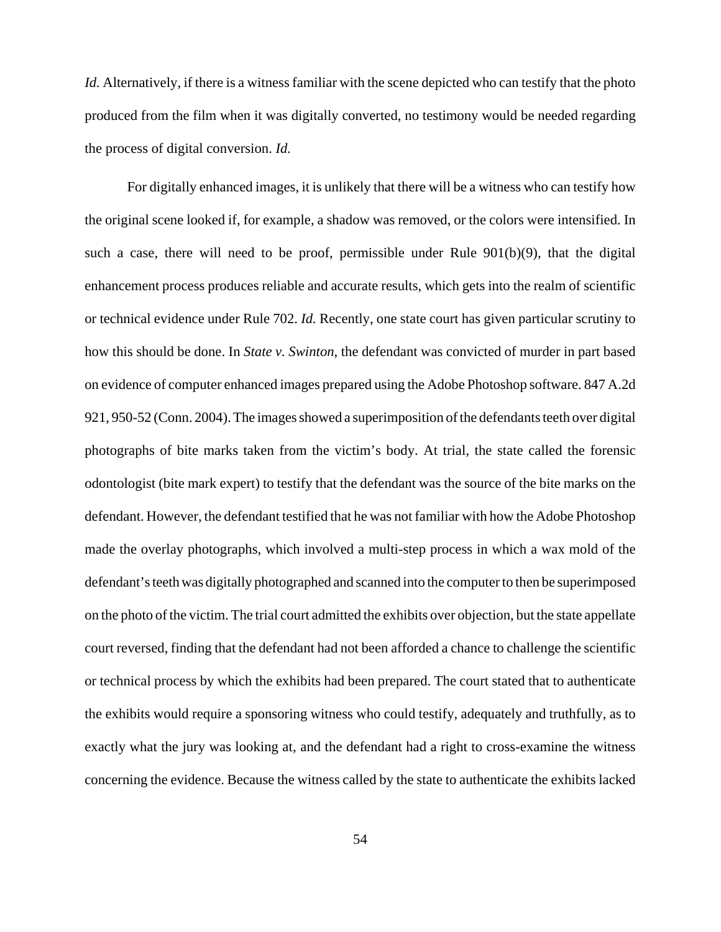*Id.* Alternatively, if there is a witness familiar with the scene depicted who can testify that the photo produced from the film when it was digitally converted, no testimony would be needed regarding the process of digital conversion. *Id.*

For digitally enhanced images, it is unlikely that there will be a witness who can testify how the original scene looked if, for example, a shadow was removed, or the colors were intensified. In such a case, there will need to be proof, permissible under Rule 901(b)(9), that the digital enhancement process produces reliable and accurate results, which gets into the realm of scientific or technical evidence under Rule 702. *Id.* Recently, one state court has given particular scrutiny to how this should be done. In *State v. Swinton*, the defendant was convicted of murder in part based on evidence of computer enhanced images prepared using the Adobe Photoshop software. 847 A.2d 921, 950-52 (Conn. 2004). The images showed a superimposition of the defendants teeth over digital photographs of bite marks taken from the victim's body. At trial, the state called the forensic odontologist (bite mark expert) to testify that the defendant was the source of the bite marks on the defendant. However, the defendant testified that he was not familiar with how the Adobe Photoshop made the overlay photographs, which involved a multi-step process in which a wax mold of the defendant's teeth was digitally photographed and scanned into the computer to then be superimposed on the photo of the victim. The trial court admitted the exhibits over objection, but the state appellate court reversed, finding that the defendant had not been afforded a chance to challenge the scientific or technical process by which the exhibits had been prepared. The court stated that to authenticate the exhibits would require a sponsoring witness who could testify, adequately and truthfully, as to exactly what the jury was looking at, and the defendant had a right to cross-examine the witness concerning the evidence. Because the witness called by the state to authenticate the exhibits lacked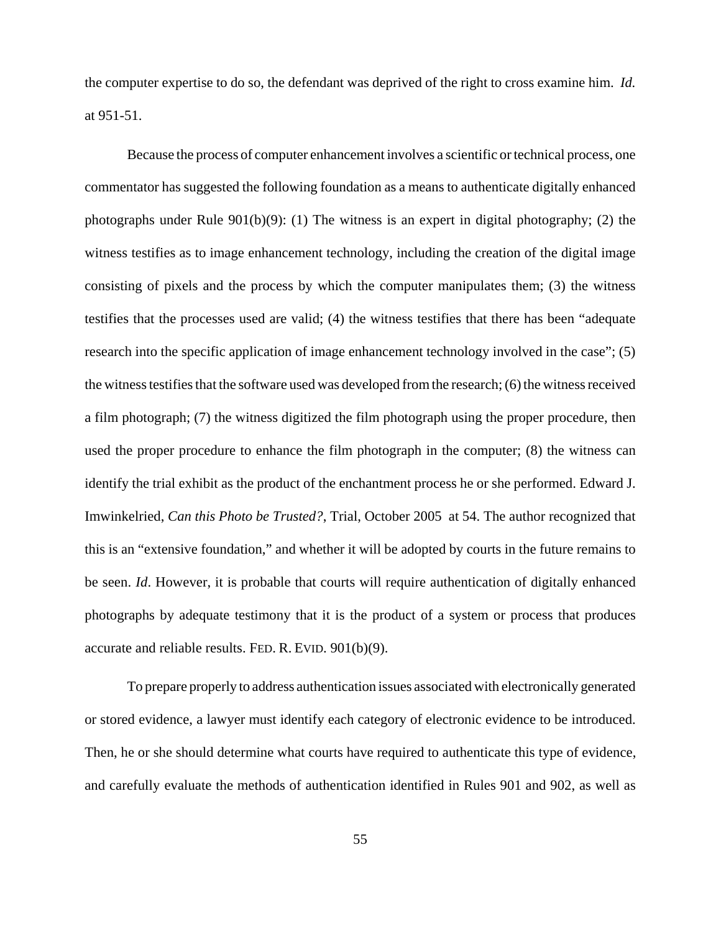the computer expertise to do so, the defendant was deprived of the right to cross examine him. *Id.* at 951-51.

Because the process of computer enhancement involves a scientific or technical process, one commentator has suggested the following foundation as a means to authenticate digitally enhanced photographs under Rule 901(b)(9): (1) The witness is an expert in digital photography; (2) the witness testifies as to image enhancement technology, including the creation of the digital image consisting of pixels and the process by which the computer manipulates them; (3) the witness testifies that the processes used are valid; (4) the witness testifies that there has been "adequate research into the specific application of image enhancement technology involved in the case"; (5) the witness testifies that the software used was developed from the research; (6) the witness received a film photograph; (7) the witness digitized the film photograph using the proper procedure, then used the proper procedure to enhance the film photograph in the computer; (8) the witness can identify the trial exhibit as the product of the enchantment process he or she performed. Edward J. Imwinkelried, *Can this Photo be Trusted?*, Trial, October 2005 at 54. The author recognized that this is an "extensive foundation," and whether it will be adopted by courts in the future remains to be seen. *Id*. However, it is probable that courts will require authentication of digitally enhanced photographs by adequate testimony that it is the product of a system or process that produces accurate and reliable results. FED. R. EVID. 901(b)(9).

To prepare properly to address authentication issues associated with electronically generated or stored evidence, a lawyer must identify each category of electronic evidence to be introduced. Then, he or she should determine what courts have required to authenticate this type of evidence, and carefully evaluate the methods of authentication identified in Rules 901 and 902, as well as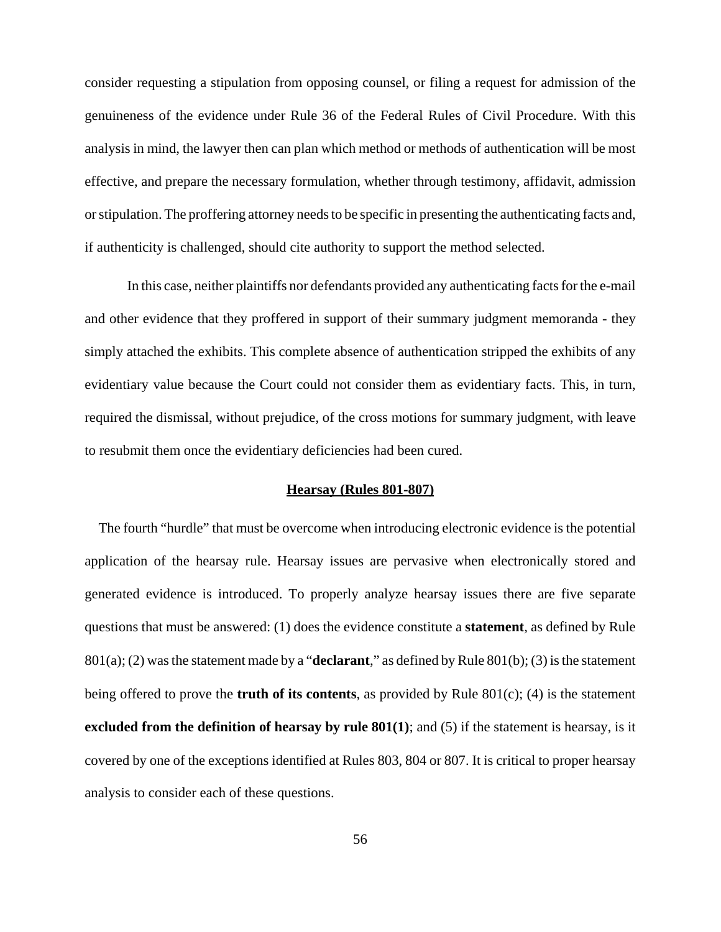consider requesting a stipulation from opposing counsel, or filing a request for admission of the genuineness of the evidence under Rule 36 of the Federal Rules of Civil Procedure. With this analysis in mind, the lawyer then can plan which method or methods of authentication will be most effective, and prepare the necessary formulation, whether through testimony, affidavit, admission or stipulation. The proffering attorney needs to be specific in presenting the authenticating facts and, if authenticity is challenged, should cite authority to support the method selected.

In this case, neither plaintiffs nor defendants provided any authenticating facts for the e-mail and other evidence that they proffered in support of their summary judgment memoranda - they simply attached the exhibits. This complete absence of authentication stripped the exhibits of any evidentiary value because the Court could not consider them as evidentiary facts. This, in turn, required the dismissal, without prejudice, of the cross motions for summary judgment, with leave to resubmit them once the evidentiary deficiencies had been cured.

#### **Hearsay (Rules 801-807)**

 The fourth "hurdle" that must be overcome when introducing electronic evidence is the potential application of the hearsay rule. Hearsay issues are pervasive when electronically stored and generated evidence is introduced. To properly analyze hearsay issues there are five separate questions that must be answered: (1) does the evidence constitute a **statement**, as defined by Rule 801(a); (2) was the statement made by a "**declarant**," as defined by Rule 801(b); (3) is the statement being offered to prove the **truth of its contents**, as provided by Rule 801(c); (4) is the statement **excluded from the definition of hearsay by rule 801(1)**; and (5) if the statement is hearsay, is it covered by one of the exceptions identified at Rules 803, 804 or 807. It is critical to proper hearsay analysis to consider each of these questions.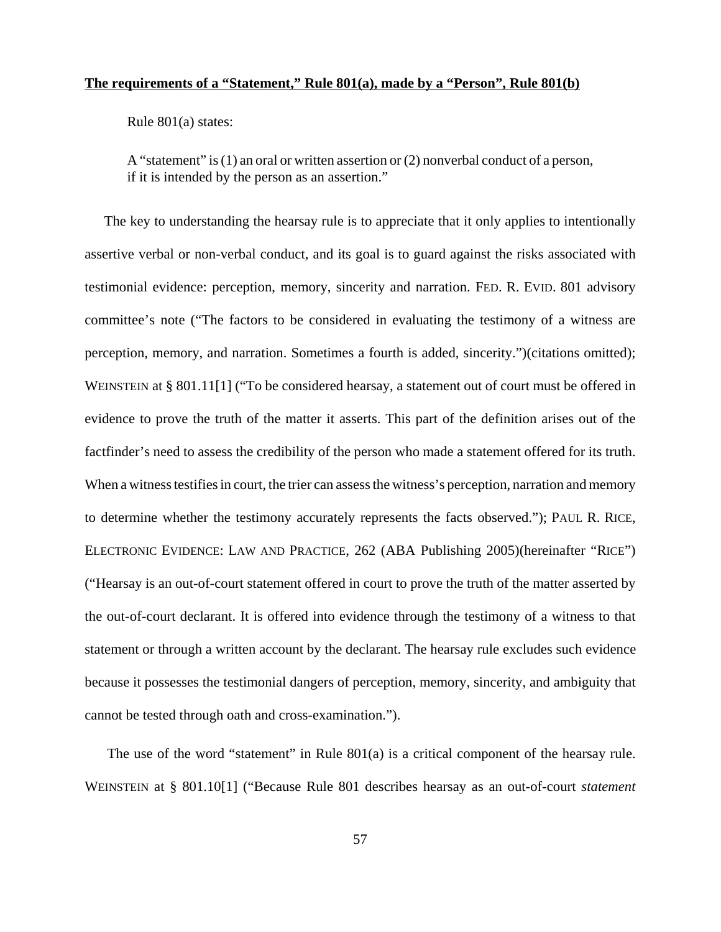#### **The requirements of a "Statement," Rule 801(a), made by a "Person", Rule 801(b)**

Rule 801(a) states:

A "statement" is (1) an oral or written assertion or (2) nonverbal conduct of a person, if it is intended by the person as an assertion."

 The key to understanding the hearsay rule is to appreciate that it only applies to intentionally assertive verbal or non-verbal conduct, and its goal is to guard against the risks associated with testimonial evidence: perception, memory, sincerity and narration. FED. R. EVID. 801 advisory committee's note ("The factors to be considered in evaluating the testimony of a witness are perception, memory, and narration. Sometimes a fourth is added, sincerity.")(citations omitted); WEINSTEIN at § 801.11[1] ("To be considered hearsay, a statement out of court must be offered in evidence to prove the truth of the matter it asserts. This part of the definition arises out of the factfinder's need to assess the credibility of the person who made a statement offered for its truth. When a witness testifies in court, the trier can assess the witness's perception, narration and memory to determine whether the testimony accurately represents the facts observed."); PAUL R. RICE, ELECTRONIC EVIDENCE: LAW AND PRACTICE, 262 (ABA Publishing 2005)(hereinafter "RICE") ("Hearsay is an out-of-court statement offered in court to prove the truth of the matter asserted by the out-of-court declarant. It is offered into evidence through the testimony of a witness to that statement or through a written account by the declarant. The hearsay rule excludes such evidence because it possesses the testimonial dangers of perception, memory, sincerity, and ambiguity that cannot be tested through oath and cross-examination.").

 The use of the word "statement" in Rule 801(a) is a critical component of the hearsay rule. WEINSTEIN at § 801.10[1] ("Because Rule 801 describes hearsay as an out-of-court *statement*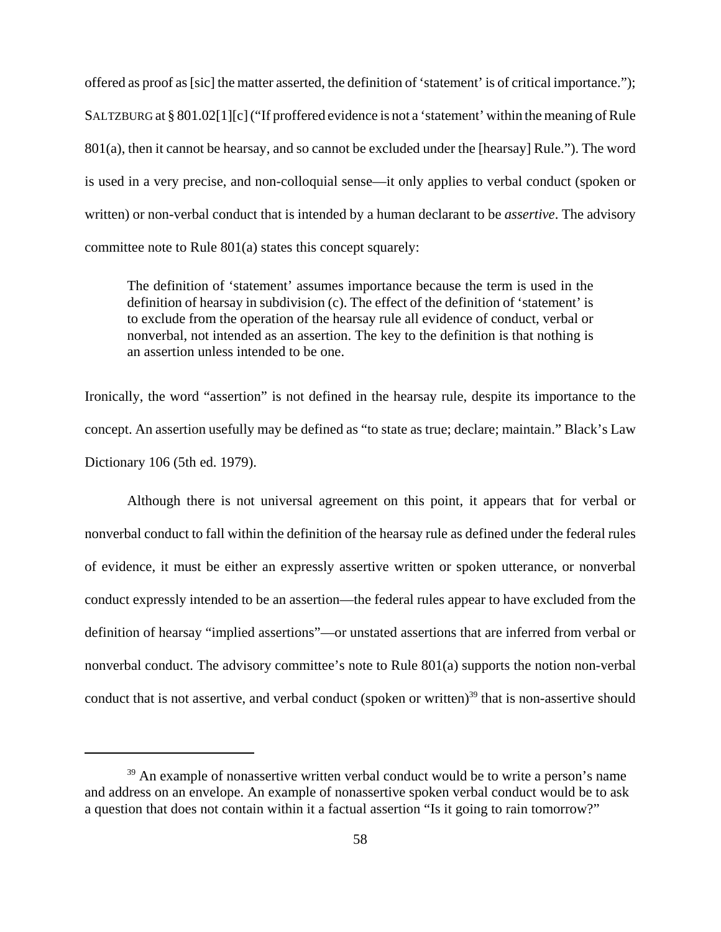offered as proof as [sic] the matter asserted, the definition of 'statement' is of critical importance."); SALTZBURG at § 801.02[1][c] ("If proffered evidence is not a 'statement' within the meaning of Rule 801(a), then it cannot be hearsay, and so cannot be excluded under the [hearsay] Rule."). The word is used in a very precise, and non-colloquial sense—it only applies to verbal conduct (spoken or written) or non-verbal conduct that is intended by a human declarant to be *assertive*. The advisory committee note to Rule 801(a) states this concept squarely:

The definition of 'statement' assumes importance because the term is used in the definition of hearsay in subdivision (c). The effect of the definition of 'statement' is to exclude from the operation of the hearsay rule all evidence of conduct, verbal or nonverbal, not intended as an assertion. The key to the definition is that nothing is an assertion unless intended to be one.

Ironically, the word "assertion" is not defined in the hearsay rule, despite its importance to the concept. An assertion usefully may be defined as "to state as true; declare; maintain." Black's Law Dictionary 106 (5th ed. 1979).

Although there is not universal agreement on this point, it appears that for verbal or nonverbal conduct to fall within the definition of the hearsay rule as defined under the federal rules of evidence, it must be either an expressly assertive written or spoken utterance, or nonverbal conduct expressly intended to be an assertion—the federal rules appear to have excluded from the definition of hearsay "implied assertions"—or unstated assertions that are inferred from verbal or nonverbal conduct. The advisory committee's note to Rule 801(a) supports the notion non-verbal conduct that is not assertive, and verbal conduct (spoken or written)<sup>39</sup> that is non-assertive should

 $39$  An example of nonassertive written verbal conduct would be to write a person's name and address on an envelope. An example of nonassertive spoken verbal conduct would be to ask a question that does not contain within it a factual assertion "Is it going to rain tomorrow?"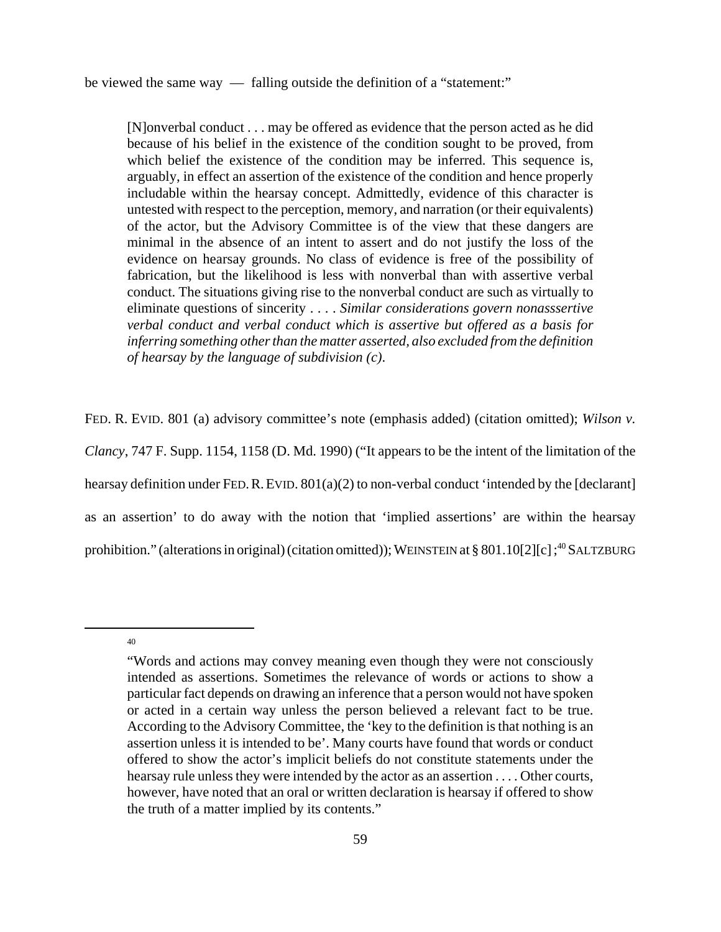be viewed the same way — falling outside the definition of a "statement:"

[N]onverbal conduct . . . may be offered as evidence that the person acted as he did because of his belief in the existence of the condition sought to be proved, from which belief the existence of the condition may be inferred. This sequence is, arguably, in effect an assertion of the existence of the condition and hence properly includable within the hearsay concept. Admittedly, evidence of this character is untested with respect to the perception, memory, and narration (or their equivalents) of the actor, but the Advisory Committee is of the view that these dangers are minimal in the absence of an intent to assert and do not justify the loss of the evidence on hearsay grounds. No class of evidence is free of the possibility of fabrication, but the likelihood is less with nonverbal than with assertive verbal conduct. The situations giving rise to the nonverbal conduct are such as virtually to eliminate questions of sincerity . . . . *Similar considerations govern nonasssertive verbal conduct and verbal conduct which is assertive but offered as a basis for inferring something other than the matter asserted, also excluded from the definition of hearsay by the language of subdivision (c)*.

FED. R. EVID. 801 (a) advisory committee's note (emphasis added) (citation omitted); *Wilson v. Clancy*, 747 F. Supp. 1154, 1158 (D. Md. 1990) ("It appears to be the intent of the limitation of the hearsay definition under FED. R. EVID.  $801(a)(2)$  to non-verbal conduct 'intended by the [declarant] as an assertion' to do away with the notion that 'implied assertions' are within the hearsay prohibition." (alterations in original) (citation omitted)); WEINSTEIN at § 801.10[2][c];<sup>40</sup> SALTZBURG

40

<sup>&</sup>quot;Words and actions may convey meaning even though they were not consciously intended as assertions. Sometimes the relevance of words or actions to show a particular fact depends on drawing an inference that a person would not have spoken or acted in a certain way unless the person believed a relevant fact to be true. According to the Advisory Committee, the 'key to the definition is that nothing is an assertion unless it is intended to be'. Many courts have found that words or conduct offered to show the actor's implicit beliefs do not constitute statements under the hearsay rule unless they were intended by the actor as an assertion . . . . Other courts, however, have noted that an oral or written declaration is hearsay if offered to show the truth of a matter implied by its contents."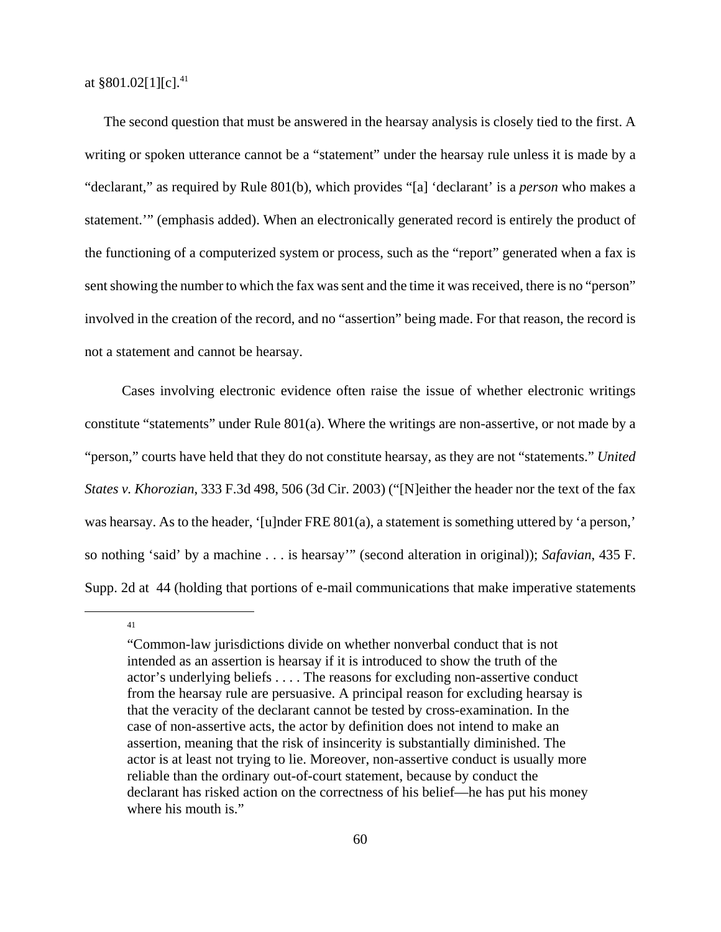at  $§801.02[1][c]^{41}$ 

 The second question that must be answered in the hearsay analysis is closely tied to the first. A writing or spoken utterance cannot be a "statement" under the hearsay rule unless it is made by a "declarant," as required by Rule 801(b), which provides "[a] 'declarant' is a *person* who makes a statement.'" (emphasis added). When an electronically generated record is entirely the product of the functioning of a computerized system or process, such as the "report" generated when a fax is sent showing the number to which the fax was sent and the time it was received, there is no "person" involved in the creation of the record, and no "assertion" being made. For that reason, the record is not a statement and cannot be hearsay.

 Cases involving electronic evidence often raise the issue of whether electronic writings constitute "statements" under Rule  $801(a)$ . Where the writings are non-assertive, or not made by a "person," courts have held that they do not constitute hearsay, as they are not "statements." *United States v. Khorozian*, 333 F.3d 498, 506 (3d Cir. 2003) ("[N]either the header nor the text of the fax was hearsay. As to the header, '[u]nder FRE 801(a), a statement is something uttered by 'a person,' so nothing 'said' by a machine . . . is hearsay'" (second alteration in original)); *Safavian*, 435 F. Supp. 2d at 44 (holding that portions of e-mail communications that make imperative statements

<sup>41</sup>

<sup>&</sup>quot;Common-law jurisdictions divide on whether nonverbal conduct that is not intended as an assertion is hearsay if it is introduced to show the truth of the actor's underlying beliefs . . . . The reasons for excluding non-assertive conduct from the hearsay rule are persuasive. A principal reason for excluding hearsay is that the veracity of the declarant cannot be tested by cross-examination. In the case of non-assertive acts, the actor by definition does not intend to make an assertion, meaning that the risk of insincerity is substantially diminished. The actor is at least not trying to lie. Moreover, non-assertive conduct is usually more reliable than the ordinary out-of-court statement, because by conduct the declarant has risked action on the correctness of his belief—he has put his money where his mouth is."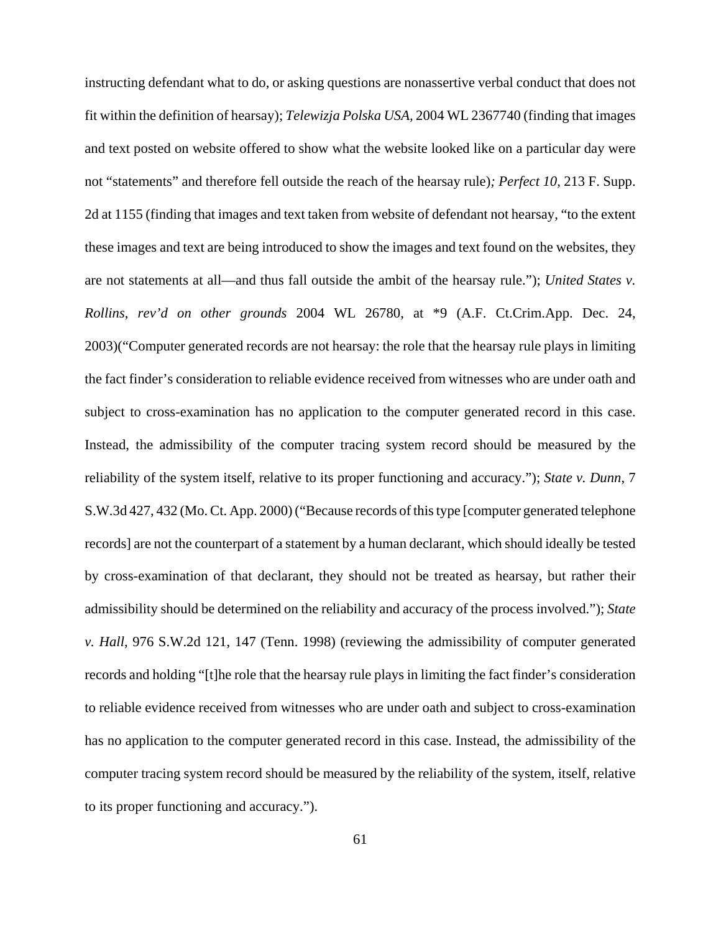instructing defendant what to do, or asking questions are nonassertive verbal conduct that does not fit within the definition of hearsay); *Telewizja Polska USA,* 2004 WL 2367740 (finding that images and text posted on website offered to show what the website looked like on a particular day were not "statements" and therefore fell outside the reach of the hearsay rule)*; Perfect 10*, 213 F. Supp. 2d at 1155 (finding that images and text taken from website of defendant not hearsay, "to the extent these images and text are being introduced to show the images and text found on the websites, they are not statements at all—and thus fall outside the ambit of the hearsay rule."); *United States v. Rollins*, *rev'd on other grounds* 2004 WL 26780, at \*9 (A.F. Ct.Crim.App. Dec. 24, 2003)("Computer generated records are not hearsay: the role that the hearsay rule plays in limiting the fact finder's consideration to reliable evidence received from witnesses who are under oath and subject to cross-examination has no application to the computer generated record in this case. Instead, the admissibility of the computer tracing system record should be measured by the reliability of the system itself, relative to its proper functioning and accuracy."); *State v. Dunn*, 7 S.W.3d 427, 432 (Mo. Ct. App. 2000) ("Because records of this type [computer generated telephone records] are not the counterpart of a statement by a human declarant, which should ideally be tested by cross-examination of that declarant, they should not be treated as hearsay, but rather their admissibility should be determined on the reliability and accuracy of the process involved."); *State v. Hall*, 976 S.W.2d 121, 147 (Tenn. 1998) (reviewing the admissibility of computer generated records and holding "[t]he role that the hearsay rule plays in limiting the fact finder's consideration to reliable evidence received from witnesses who are under oath and subject to cross-examination has no application to the computer generated record in this case. Instead, the admissibility of the computer tracing system record should be measured by the reliability of the system, itself, relative to its proper functioning and accuracy.").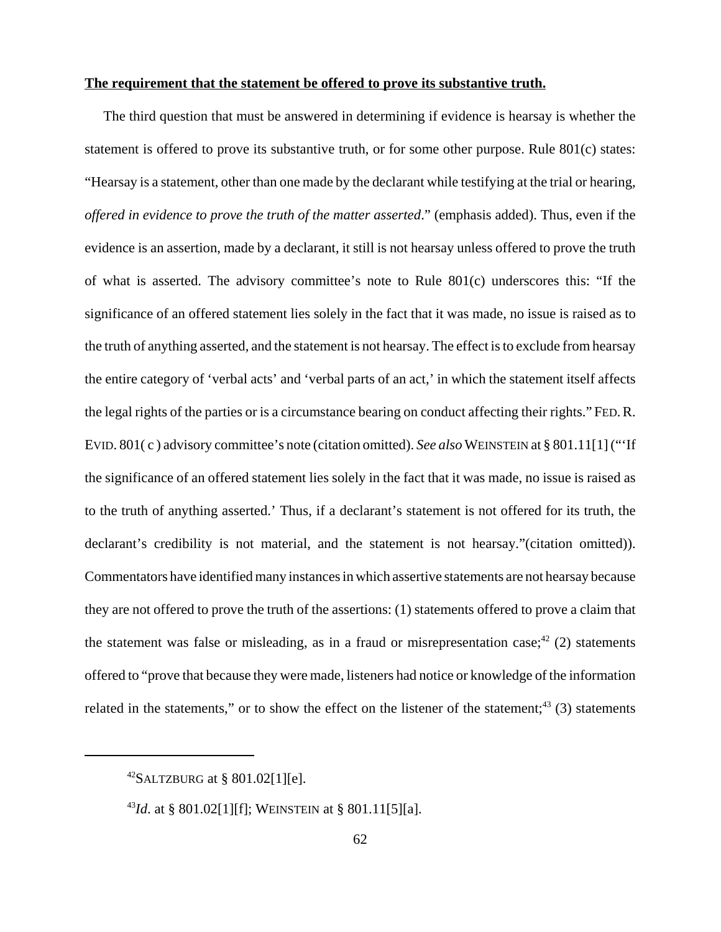### **The requirement that the statement be offered to prove its substantive truth.**

 The third question that must be answered in determining if evidence is hearsay is whether the statement is offered to prove its substantive truth, or for some other purpose. Rule 801(c) states: "Hearsay is a statement, other than one made by the declarant while testifying at the trial or hearing, *offered in evidence to prove the truth of the matter asserted*." (emphasis added). Thus, even if the evidence is an assertion, made by a declarant, it still is not hearsay unless offered to prove the truth of what is asserted. The advisory committee's note to Rule 801(c) underscores this: "If the significance of an offered statement lies solely in the fact that it was made, no issue is raised as to the truth of anything asserted, and the statement is not hearsay. The effect is to exclude from hearsay the entire category of 'verbal acts' and 'verbal parts of an act,' in which the statement itself affects the legal rights of the parties or is a circumstance bearing on conduct affecting their rights." FED.R. EVID. 801( c ) advisory committee's note (citation omitted). *See also* WEINSTEIN at § 801.11[1] ("'If the significance of an offered statement lies solely in the fact that it was made, no issue is raised as to the truth of anything asserted.' Thus, if a declarant's statement is not offered for its truth, the declarant's credibility is not material, and the statement is not hearsay."(citation omitted)). Commentators have identified many instances in which assertive statements are not hearsay because they are not offered to prove the truth of the assertions: (1) statements offered to prove a claim that the statement was false or misleading, as in a fraud or misrepresentation case;  $42$  (2) statements offered to "prove that because they were made, listeners had notice or knowledge of the information related in the statements," or to show the effect on the listener of the statement; $^{43}$  (3) statements

 $^{42}$ SALTZBURG at § 801.02[1][e].

<sup>43</sup>*Id*. at § 801.02[1][f]; WEINSTEIN at § 801.11[5][a].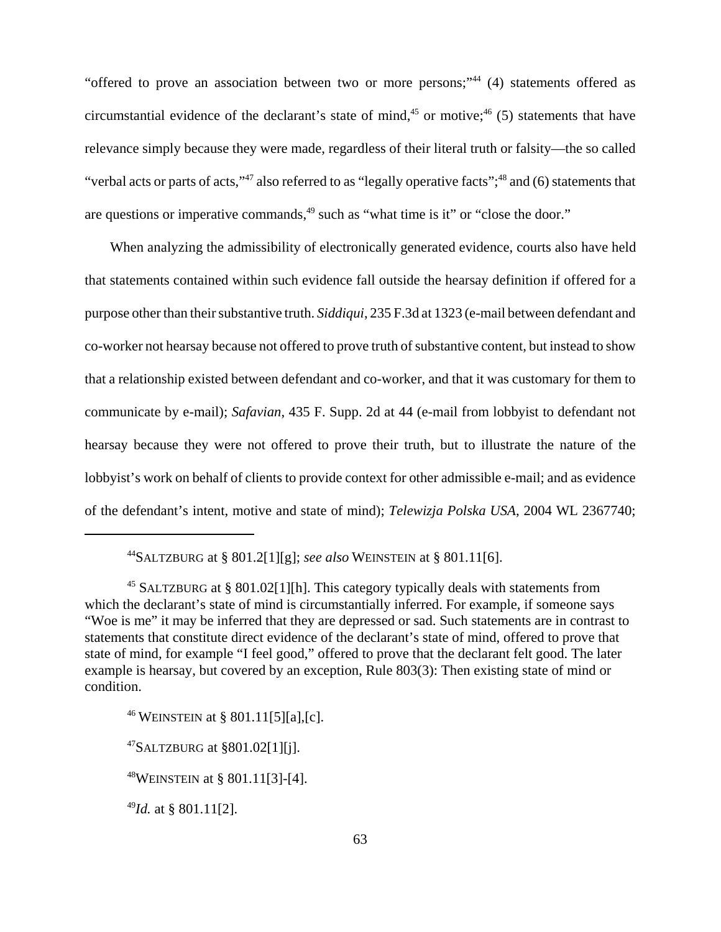"offered to prove an association between two or more persons;"<sup>44</sup>  $(4)$  statements offered as circumstantial evidence of the declarant's state of mind,<sup>45</sup> or motive;<sup>46</sup> (5) statements that have relevance simply because they were made, regardless of their literal truth or falsity—the so called "verbal acts or parts of acts,"<sup>47</sup> also referred to as "legally operative facts";<sup>48</sup> and (6) statements that are questions or imperative commands,<sup>49</sup> such as "what time is it" or "close the door."

 When analyzing the admissibility of electronically generated evidence, courts also have held that statements contained within such evidence fall outside the hearsay definition if offered for a purpose other than their substantive truth. *Siddiqui*, 235 F.3d at 1323 (e-mail between defendant and co-worker not hearsay because not offered to prove truth of substantive content, but instead to show that a relationship existed between defendant and co-worker, and that it was customary for them to communicate by e-mail); *Safavian*, 435 F. Supp. 2d at 44 (e-mail from lobbyist to defendant not hearsay because they were not offered to prove their truth, but to illustrate the nature of the lobbyist's work on behalf of clients to provide context for other admissible e-mail; and as evidence of the defendant's intent, motive and state of mind); *Telewizja Polska USA*, 2004 WL 2367740;

<sup>46</sup> WEINSTEIN at  $\S$  801.11[5][a],[c].

 $^{47}$ SALTZBURG at §801.02[1][j].

<sup>48</sup>WEINSTEIN at  $\S$  801.11[3]-[4].

<sup>49</sup>*Id.* at § 801.11[2].

<sup>44</sup>SALTZBURG at § 801.2[1][g]; *see also* WEINSTEIN at § 801.11[6].

<sup>&</sup>lt;sup>45</sup> SALTZBURG at § 801.02[1][h]. This category typically deals with statements from which the declarant's state of mind is circumstantially inferred. For example, if someone says "Woe is me" it may be inferred that they are depressed or sad. Such statements are in contrast to statements that constitute direct evidence of the declarant's state of mind, offered to prove that state of mind, for example "I feel good," offered to prove that the declarant felt good. The later example is hearsay, but covered by an exception, Rule 803(3): Then existing state of mind or condition.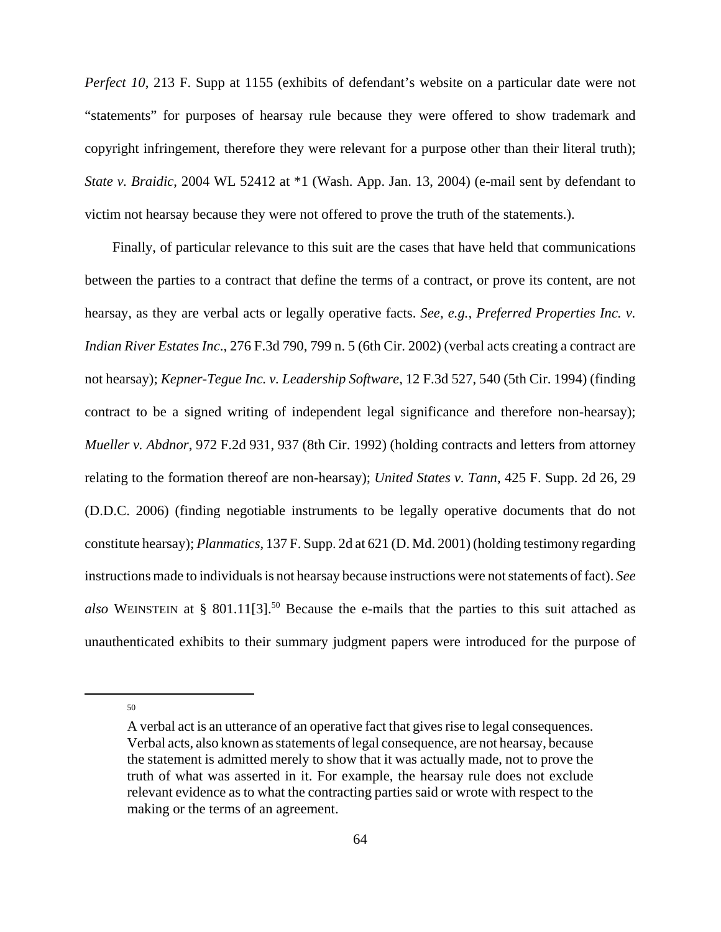*Perfect 10*, 213 F. Supp at 1155 (exhibits of defendant's website on a particular date were not "statements" for purposes of hearsay rule because they were offered to show trademark and copyright infringement, therefore they were relevant for a purpose other than their literal truth); *State v. Braidic*, 2004 WL 52412 at \*1 (Wash. App. Jan. 13, 2004) (e-mail sent by defendant to victim not hearsay because they were not offered to prove the truth of the statements.).

 Finally, of particular relevance to this suit are the cases that have held that communications between the parties to a contract that define the terms of a contract, or prove its content, are not hearsay, as they are verbal acts or legally operative facts. *See, e.g., Preferred Properties Inc. v. Indian River Estates Inc*., 276 F.3d 790, 799 n. 5 (6th Cir. 2002) (verbal acts creating a contract are not hearsay); *Kepner-Tegue Inc. v. Leadership Software*, 12 F.3d 527, 540 (5th Cir. 1994) (finding contract to be a signed writing of independent legal significance and therefore non-hearsay); *Mueller v. Abdnor*, 972 F.2d 931, 937 (8th Cir. 1992) (holding contracts and letters from attorney relating to the formation thereof are non-hearsay); *United States v. Tann*, 425 F. Supp. 2d 26, 29 (D.D.C. 2006) (finding negotiable instruments to be legally operative documents that do not constitute hearsay); *Planmatics*, 137 F. Supp. 2d at 621 (D. Md. 2001) (holding testimony regarding instructions made to individuals is not hearsay because instructions were not statements of fact). *See* also WEINSTEIN at § 801.11<sup>[3]</sup>.<sup>50</sup> Because the e-mails that the parties to this suit attached as unauthenticated exhibits to their summary judgment papers were introduced for the purpose of

50

A verbal act is an utterance of an operative fact that gives rise to legal consequences. Verbal acts, also known as statements of legal consequence, are not hearsay, because the statement is admitted merely to show that it was actually made, not to prove the truth of what was asserted in it. For example, the hearsay rule does not exclude relevant evidence as to what the contracting parties said or wrote with respect to the making or the terms of an agreement.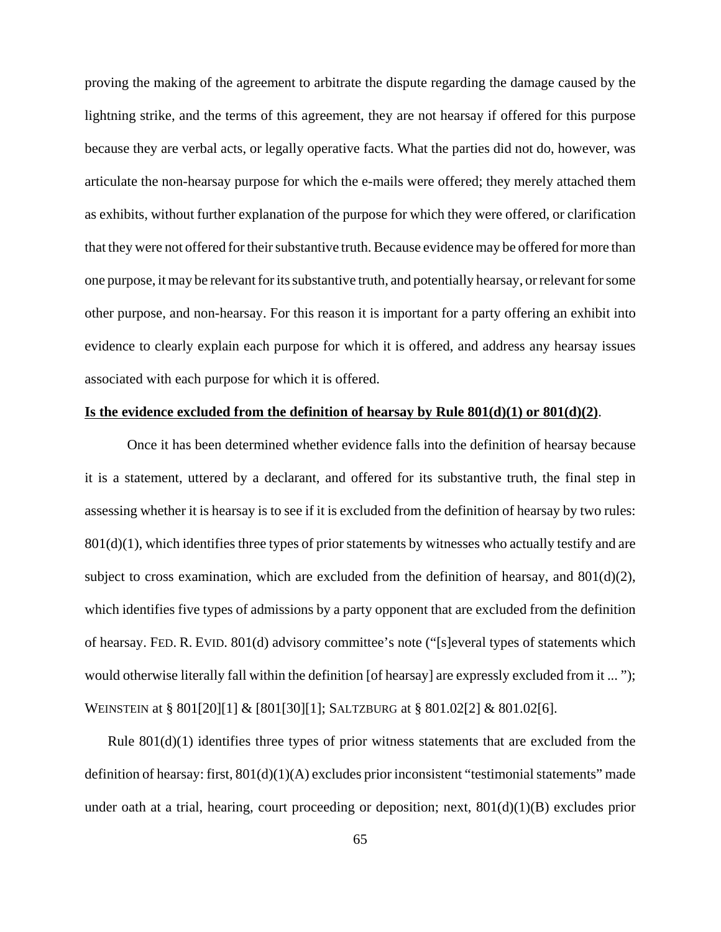proving the making of the agreement to arbitrate the dispute regarding the damage caused by the lightning strike, and the terms of this agreement, they are not hearsay if offered for this purpose because they are verbal acts, or legally operative facts. What the parties did not do, however, was articulate the non-hearsay purpose for which the e-mails were offered; they merely attached them as exhibits, without further explanation of the purpose for which they were offered, or clarification that they were not offered for their substantive truth. Because evidence may be offered for more than one purpose, it may be relevant for its substantive truth, and potentially hearsay, or relevant for some other purpose, and non-hearsay. For this reason it is important for a party offering an exhibit into evidence to clearly explain each purpose for which it is offered, and address any hearsay issues associated with each purpose for which it is offered.

#### **Is the evidence excluded from the definition of hearsay by Rule 801(d)(1) or 801(d)(2)**.

Once it has been determined whether evidence falls into the definition of hearsay because it is a statement, uttered by a declarant, and offered for its substantive truth, the final step in assessing whether it is hearsay is to see if it is excluded from the definition of hearsay by two rules:  $801(d)(1)$ , which identifies three types of prior statements by witnesses who actually testify and are subject to cross examination, which are excluded from the definition of hearsay, and  $801(d)(2)$ , which identifies five types of admissions by a party opponent that are excluded from the definition of hearsay. FED. R. EVID. 801(d) advisory committee's note ("[s]everal types of statements which would otherwise literally fall within the definition [of hearsay] are expressly excluded from it ... "); WEINSTEIN at § 801[20][1] & [801[30][1]; SALTZBURG at § 801.02[2] & 801.02[6].

 Rule 801(d)(1) identifies three types of prior witness statements that are excluded from the definition of hearsay: first,  $801(d)(1)(A)$  excludes prior inconsistent "testimonial statements" made under oath at a trial, hearing, court proceeding or deposition; next,  $801(d)(1)(B)$  excludes prior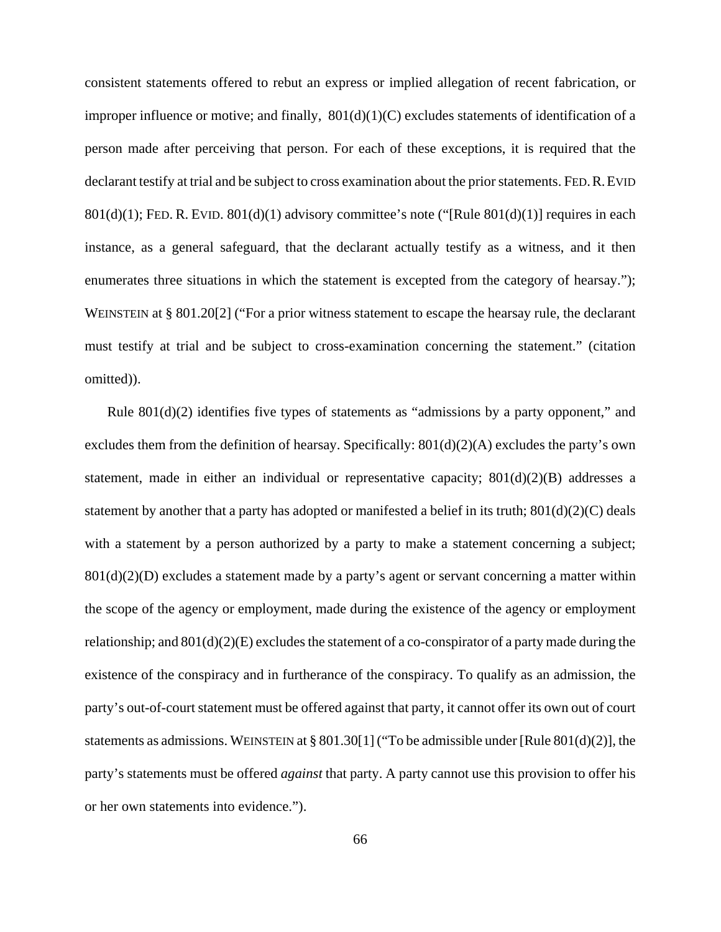consistent statements offered to rebut an express or implied allegation of recent fabrication, or improper influence or motive; and finally, 801(d)(1)(C) excludes statements of identification of a person made after perceiving that person. For each of these exceptions, it is required that the declarant testify at trial and be subject to cross examination about the prior statements. FED.R.EVID  $801(d)(1)$ ; FED. R. EVID.  $801(d)(1)$  advisory committee's note ("[Rule  $801(d)(1)$ ] requires in each instance, as a general safeguard, that the declarant actually testify as a witness, and it then enumerates three situations in which the statement is excepted from the category of hearsay."); WEINSTEIN at § 801.20[2] ("For a prior witness statement to escape the hearsay rule, the declarant must testify at trial and be subject to cross-examination concerning the statement." (citation omitted)).

 Rule 801(d)(2) identifies five types of statements as "admissions by a party opponent," and excludes them from the definition of hearsay. Specifically: 801(d)(2)(A) excludes the party's own statement, made in either an individual or representative capacity; 801(d)(2)(B) addresses a statement by another that a party has adopted or manifested a belief in its truth;  $801(d)(2)(C)$  deals with a statement by a person authorized by a party to make a statement concerning a subject; 801(d)(2)(D) excludes a statement made by a party's agent or servant concerning a matter within the scope of the agency or employment, made during the existence of the agency or employment relationship; and  $801(d)(2)(E)$  excludes the statement of a co-conspirator of a party made during the existence of the conspiracy and in furtherance of the conspiracy. To qualify as an admission, the party's out-of-court statement must be offered against that party, it cannot offer its own out of court statements as admissions. WEINSTEIN at § 801.30[1] ("To be admissible under [Rule 801(d)(2)], the party's statements must be offered *against* that party. A party cannot use this provision to offer his or her own statements into evidence.").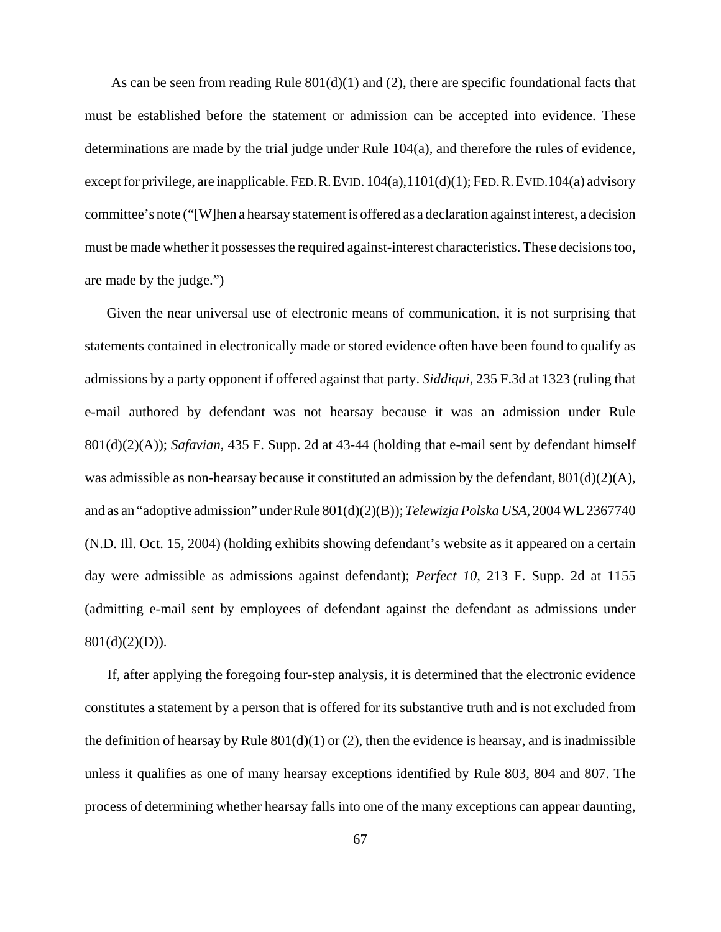As can be seen from reading Rule 801(d)(1) and (2), there are specific foundational facts that must be established before the statement or admission can be accepted into evidence. These determinations are made by the trial judge under Rule 104(a), and therefore the rules of evidence, except for privilege, are inapplicable. FED.R.EVID. 104(a),1101(d)(1); FED.R.EVID.104(a) advisory committee's note ("[W]hen a hearsay statement is offered as a declaration against interest, a decision must be made whether it possesses the required against-interest characteristics. These decisions too, are made by the judge.")

 Given the near universal use of electronic means of communication, it is not surprising that statements contained in electronically made or stored evidence often have been found to qualify as admissions by a party opponent if offered against that party. *Siddiqui*, 235 F.3d at 1323 (ruling that e-mail authored by defendant was not hearsay because it was an admission under Rule 801(d)(2)(A)); *Safavian*, 435 F. Supp. 2d at 43-44 (holding that e-mail sent by defendant himself was admissible as non-hearsay because it constituted an admission by the defendant,  $801(d)(2)(A)$ , and as an "adoptive admission" under Rule 801(d)(2)(B)); *Telewizja Polska USA,* 2004 WL 2367740 (N.D. Ill. Oct. 15, 2004) (holding exhibits showing defendant's website as it appeared on a certain day were admissible as admissions against defendant); *Perfect 10,* 213 F. Supp. 2d at 1155 (admitting e-mail sent by employees of defendant against the defendant as admissions under  $801(d)(2)(D)$ ).

 If, after applying the foregoing four-step analysis, it is determined that the electronic evidence constitutes a statement by a person that is offered for its substantive truth and is not excluded from the definition of hearsay by Rule  $801(d)(1)$  or (2), then the evidence is hearsay, and is inadmissible unless it qualifies as one of many hearsay exceptions identified by Rule 803, 804 and 807. The process of determining whether hearsay falls into one of the many exceptions can appear daunting,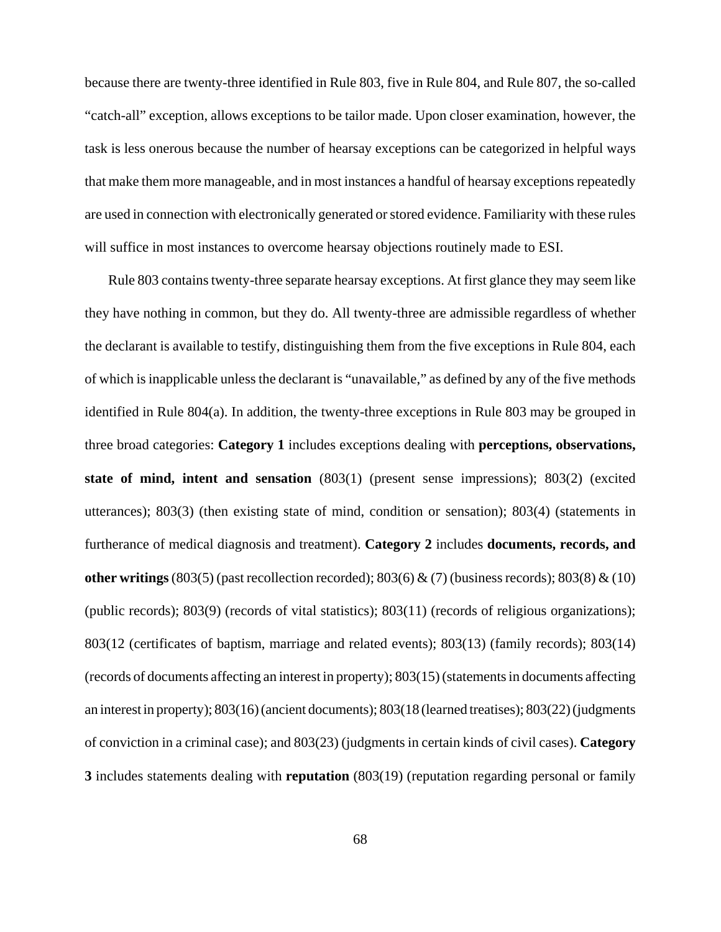because there are twenty-three identified in Rule 803, five in Rule 804, and Rule 807, the so-called "catch-all" exception, allows exceptions to be tailor made. Upon closer examination, however, the task is less onerous because the number of hearsay exceptions can be categorized in helpful ways that make them more manageable, and in most instances a handful of hearsay exceptions repeatedly are used in connection with electronically generated or stored evidence. Familiarity with these rules will suffice in most instances to overcome hearsay objections routinely made to ESI.

 Rule 803 contains twenty-three separate hearsay exceptions. At first glance they may seem like they have nothing in common, but they do. All twenty-three are admissible regardless of whether the declarant is available to testify, distinguishing them from the five exceptions in Rule 804, each of which is inapplicable unless the declarant is "unavailable," as defined by any of the five methods identified in Rule 804(a). In addition, the twenty-three exceptions in Rule 803 may be grouped in three broad categories: **Category 1** includes exceptions dealing with **perceptions, observations, state of mind, intent and sensation** (803(1) (present sense impressions); 803(2) (excited utterances); 803(3) (then existing state of mind, condition or sensation); 803(4) (statements in furtherance of medical diagnosis and treatment). **Category 2** includes **documents, records, and other writings** (803(5) (past recollection recorded); 803(6) & (7) (business records); 803(8) & (10) (public records); 803(9) (records of vital statistics); 803(11) (records of religious organizations); 803(12 (certificates of baptism, marriage and related events); 803(13) (family records); 803(14) (records of documents affecting an interest in property); 803(15) (statements in documents affecting an interest in property); 803(16) (ancient documents); 803(18 (learned treatises); 803(22) (judgments of conviction in a criminal case); and 803(23) (judgments in certain kinds of civil cases). **Category 3** includes statements dealing with **reputation** (803(19) (reputation regarding personal or family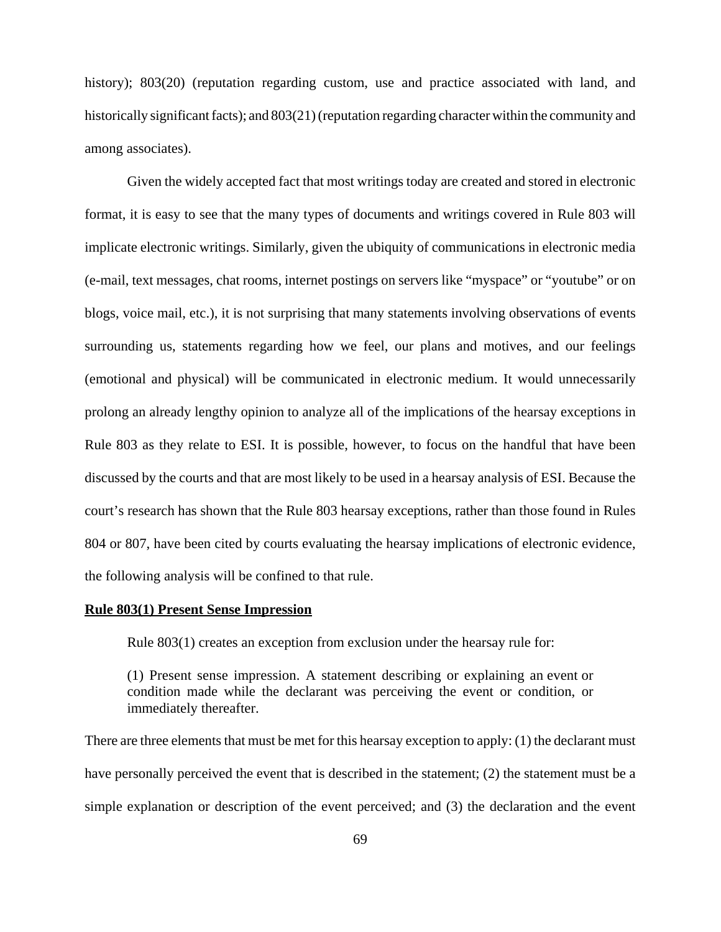history); 803(20) (reputation regarding custom, use and practice associated with land, and historically significant facts); and 803(21) (reputation regarding character within the community and among associates).

Given the widely accepted fact that most writings today are created and stored in electronic format, it is easy to see that the many types of documents and writings covered in Rule 803 will implicate electronic writings. Similarly, given the ubiquity of communications in electronic media (e-mail, text messages, chat rooms, internet postings on servers like "myspace" or "youtube" or on blogs, voice mail, etc.), it is not surprising that many statements involving observations of events surrounding us, statements regarding how we feel, our plans and motives, and our feelings (emotional and physical) will be communicated in electronic medium. It would unnecessarily prolong an already lengthy opinion to analyze all of the implications of the hearsay exceptions in Rule 803 as they relate to ESI. It is possible, however, to focus on the handful that have been discussed by the courts and that are most likely to be used in a hearsay analysis of ESI. Because the court's research has shown that the Rule 803 hearsay exceptions, rather than those found in Rules 804 or 807, have been cited by courts evaluating the hearsay implications of electronic evidence, the following analysis will be confined to that rule.

#### **Rule 803(1) Present Sense Impression**

Rule 803(1) creates an exception from exclusion under the hearsay rule for:

 (1) Present sense impression. A statement describing or explaining an event or condition made while the declarant was perceiving the event or condition, or immediately thereafter.

There are three elements that must be met for this hearsay exception to apply: (1) the declarant must have personally perceived the event that is described in the statement; (2) the statement must be a simple explanation or description of the event perceived; and (3) the declaration and the event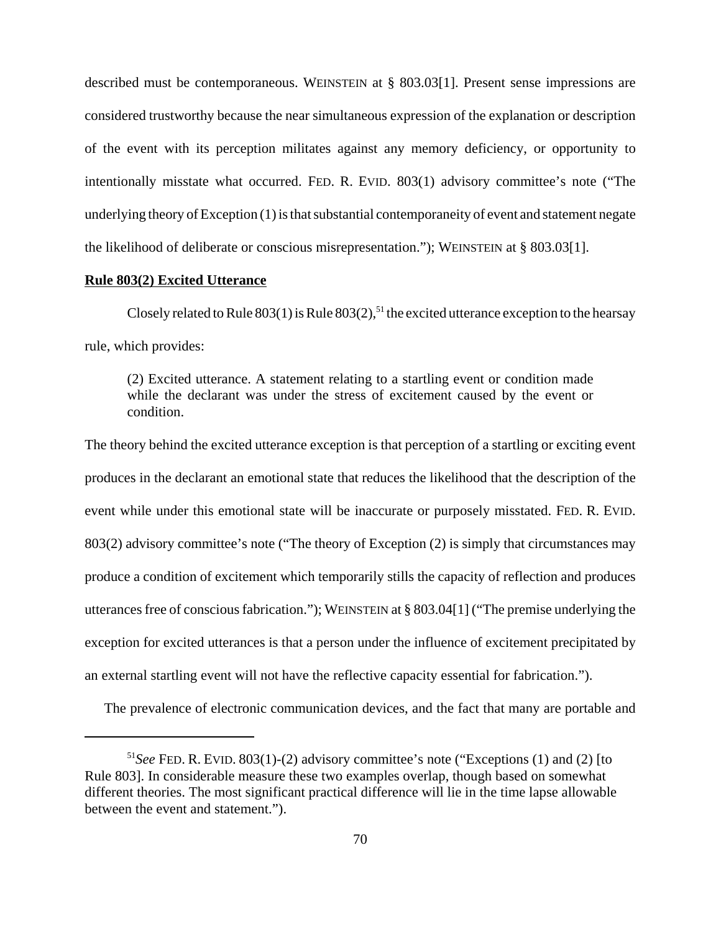described must be contemporaneous. WEINSTEIN at § 803.03[1]. Present sense impressions are considered trustworthy because the near simultaneous expression of the explanation or description of the event with its perception militates against any memory deficiency, or opportunity to intentionally misstate what occurred. FED. R. EVID. 803(1) advisory committee's note ("The underlying theory of Exception (1) is that substantial contemporaneity of event and statement negate the likelihood of deliberate or conscious misrepresentation."); WEINSTEIN at § 803.03[1].

#### **Rule 803(2) Excited Utterance**

Closely related to Rule  $803(1)$  is Rule  $803(2)$ , <sup>51</sup> the excited utterance exception to the hearsay rule, which provides:

(2) Excited utterance. A statement relating to a startling event or condition made while the declarant was under the stress of excitement caused by the event or condition.

The theory behind the excited utterance exception is that perception of a startling or exciting event produces in the declarant an emotional state that reduces the likelihood that the description of the event while under this emotional state will be inaccurate or purposely misstated. FED. R. EVID. 803(2) advisory committee's note ("The theory of Exception (2) is simply that circumstances may produce a condition of excitement which temporarily stills the capacity of reflection and produces utterances free of conscious fabrication."); WEINSTEIN at § 803.04[1] ("The premise underlying the exception for excited utterances is that a person under the influence of excitement precipitated by an external startling event will not have the reflective capacity essential for fabrication.").

The prevalence of electronic communication devices, and the fact that many are portable and

<sup>51</sup>*See* FED. R. EVID. 803(1)-(2) advisory committee's note ("Exceptions (1) and (2) [to Rule 803]. In considerable measure these two examples overlap, though based on somewhat different theories. The most significant practical difference will lie in the time lapse allowable between the event and statement.").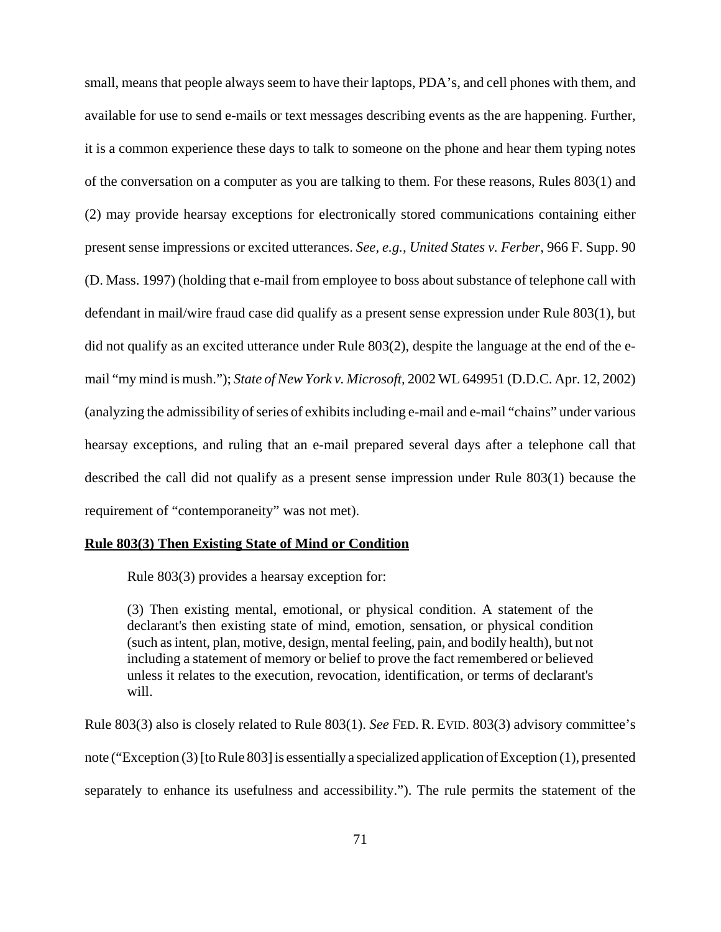small, means that people always seem to have their laptops, PDA's, and cell phones with them, and available for use to send e-mails or text messages describing events as the are happening. Further, it is a common experience these days to talk to someone on the phone and hear them typing notes of the conversation on a computer as you are talking to them. For these reasons, Rules 803(1) and (2) may provide hearsay exceptions for electronically stored communications containing either present sense impressions or excited utterances. *See, e.g., United States v. Ferber*, 966 F. Supp. 90 (D. Mass. 1997) (holding that e-mail from employee to boss about substance of telephone call with defendant in mail/wire fraud case did qualify as a present sense expression under Rule 803(1), but did not qualify as an excited utterance under Rule 803(2), despite the language at the end of the email "my mind is mush."); *State of New York v. Microsoft,* 2002 WL 649951 (D.D.C. Apr. 12, 2002) (analyzing the admissibility of series of exhibits including e-mail and e-mail "chains" under various hearsay exceptions, and ruling that an e-mail prepared several days after a telephone call that described the call did not qualify as a present sense impression under Rule 803(1) because the requirement of "contemporaneity" was not met).

#### **Rule 803(3) Then Existing State of Mind or Condition**

Rule 803(3) provides a hearsay exception for:

(3) Then existing mental, emotional, or physical condition. A statement of the declarant's then existing state of mind, emotion, sensation, or physical condition (such as intent, plan, motive, design, mental feeling, pain, and bodily health), but not including a statement of memory or belief to prove the fact remembered or believed unless it relates to the execution, revocation, identification, or terms of declarant's will.

Rule 803(3) also is closely related to Rule 803(1). *See* FED. R. EVID. 803(3) advisory committee's note ("Exception (3) [to Rule 803] is essentially a specialized application of Exception (1), presented separately to enhance its usefulness and accessibility."). The rule permits the statement of the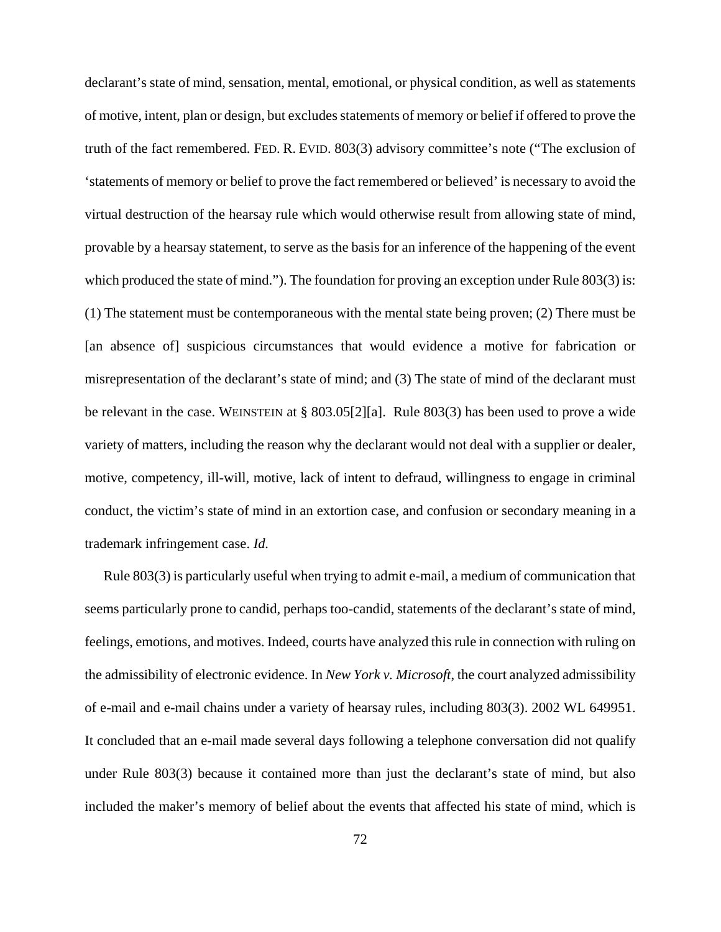declarant's state of mind, sensation, mental, emotional, or physical condition, as well as statements of motive, intent, plan or design, but excludes statements of memory or belief if offered to prove the truth of the fact remembered. FED. R. EVID. 803(3) advisory committee's note ("The exclusion of 'statements of memory or belief to prove the fact remembered or believed' is necessary to avoid the virtual destruction of the hearsay rule which would otherwise result from allowing state of mind, provable by a hearsay statement, to serve as the basis for an inference of the happening of the event which produced the state of mind."). The foundation for proving an exception under Rule 803(3) is: (1) The statement must be contemporaneous with the mental state being proven; (2) There must be [an absence of] suspicious circumstances that would evidence a motive for fabrication or misrepresentation of the declarant's state of mind; and (3) The state of mind of the declarant must be relevant in the case. WEINSTEIN at § 803.05[2][a]. Rule 803(3) has been used to prove a wide variety of matters, including the reason why the declarant would not deal with a supplier or dealer, motive, competency, ill-will, motive, lack of intent to defraud, willingness to engage in criminal conduct, the victim's state of mind in an extortion case, and confusion or secondary meaning in a trademark infringement case. *Id.*

 Rule 803(3) is particularly useful when trying to admit e-mail, a medium of communication that seems particularly prone to candid, perhaps too-candid, statements of the declarant's state of mind, feelings, emotions, and motives. Indeed, courts have analyzed this rule in connection with ruling on the admissibility of electronic evidence. In *New York v. Microsoft*, the court analyzed admissibility of e-mail and e-mail chains under a variety of hearsay rules, including 803(3). 2002 WL 649951. It concluded that an e-mail made several days following a telephone conversation did not qualify under Rule 803(3) because it contained more than just the declarant's state of mind, but also included the maker's memory of belief about the events that affected his state of mind, which is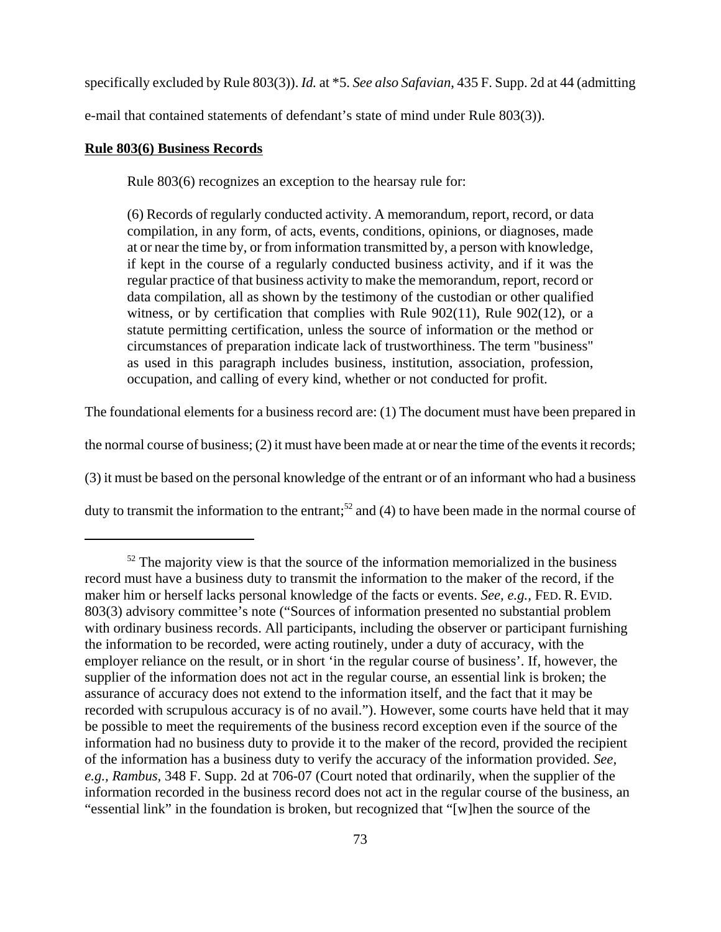specifically excluded by Rule 803(3)). *Id.* at \*5. *See also Safavian*, 435 F. Supp. 2d at 44 (admitting

e-mail that contained statements of defendant's state of mind under Rule 803(3)).

### **Rule 803(6) Business Records**

Rule 803(6) recognizes an exception to the hearsay rule for:

 (6) Records of regularly conducted activity. A memorandum, report, record, or data compilation, in any form, of acts, events, conditions, opinions, or diagnoses, made at or near the time by, or from information transmitted by, a person with knowledge, if kept in the course of a regularly conducted business activity, and if it was the regular practice of that business activity to make the memorandum, report, record or data compilation, all as shown by the testimony of the custodian or other qualified witness, or by certification that complies with Rule 902(11), Rule 902(12), or a statute permitting certification, unless the source of information or the method or circumstances of preparation indicate lack of trustworthiness. The term "business" as used in this paragraph includes business, institution, association, profession, occupation, and calling of every kind, whether or not conducted for profit.

The foundational elements for a business record are: (1) The document must have been prepared in

the normal course of business; (2) it must have been made at or near the time of the events it records;

(3) it must be based on the personal knowledge of the entrant or of an informant who had a business

duty to transmit the information to the entrant;<sup>52</sup> and (4) to have been made in the normal course of

 $52$  The majority view is that the source of the information memorialized in the business record must have a business duty to transmit the information to the maker of the record, if the maker him or herself lacks personal knowledge of the facts or events. *See, e.g.,* FED. R. EVID. 803(3) advisory committee's note ("Sources of information presented no substantial problem with ordinary business records. All participants, including the observer or participant furnishing the information to be recorded, were acting routinely, under a duty of accuracy, with the employer reliance on the result, or in short 'in the regular course of business'. If, however, the supplier of the information does not act in the regular course, an essential link is broken; the assurance of accuracy does not extend to the information itself, and the fact that it may be recorded with scrupulous accuracy is of no avail."). However, some courts have held that it may be possible to meet the requirements of the business record exception even if the source of the information had no business duty to provide it to the maker of the record, provided the recipient of the information has a business duty to verify the accuracy of the information provided. *See, e.g., Rambus,* 348 F. Supp. 2d at 706-07 (Court noted that ordinarily, when the supplier of the information recorded in the business record does not act in the regular course of the business, an "essential link" in the foundation is broken, but recognized that "[w]hen the source of the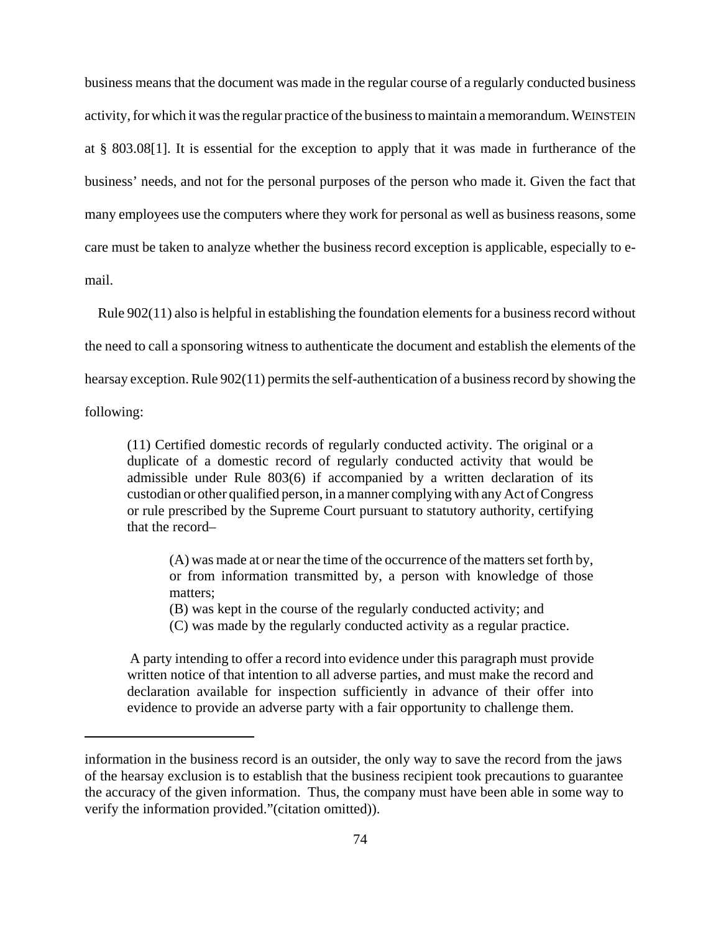business means that the document was made in the regular course of a regularly conducted business activity, for which it was the regular practice of the business to maintain a memorandum. WEINSTEIN at § 803.08[1]. It is essential for the exception to apply that it was made in furtherance of the business' needs, and not for the personal purposes of the person who made it. Given the fact that many employees use the computers where they work for personal as well as business reasons, some care must be taken to analyze whether the business record exception is applicable, especially to email.

 Rule 902(11) also is helpful in establishing the foundation elements for a business record without the need to call a sponsoring witness to authenticate the document and establish the elements of the hearsay exception. Rule 902(11) permits the self-authentication of a business record by showing the following:

 (11) Certified domestic records of regularly conducted activity. The original or a duplicate of a domestic record of regularly conducted activity that would be admissible under Rule 803(6) if accompanied by a written declaration of its custodian or other qualified person, in a manner complying with any Act of Congress or rule prescribed by the Supreme Court pursuant to statutory authority, certifying that the record–

(A) was made at or near the time of the occurrence of the matters set forth by, or from information transmitted by, a person with knowledge of those matters;

(B) was kept in the course of the regularly conducted activity; and

(C) was made by the regularly conducted activity as a regular practice.

 A party intending to offer a record into evidence under this paragraph must provide written notice of that intention to all adverse parties, and must make the record and declaration available for inspection sufficiently in advance of their offer into evidence to provide an adverse party with a fair opportunity to challenge them.

information in the business record is an outsider, the only way to save the record from the jaws of the hearsay exclusion is to establish that the business recipient took precautions to guarantee the accuracy of the given information. Thus, the company must have been able in some way to verify the information provided."(citation omitted)).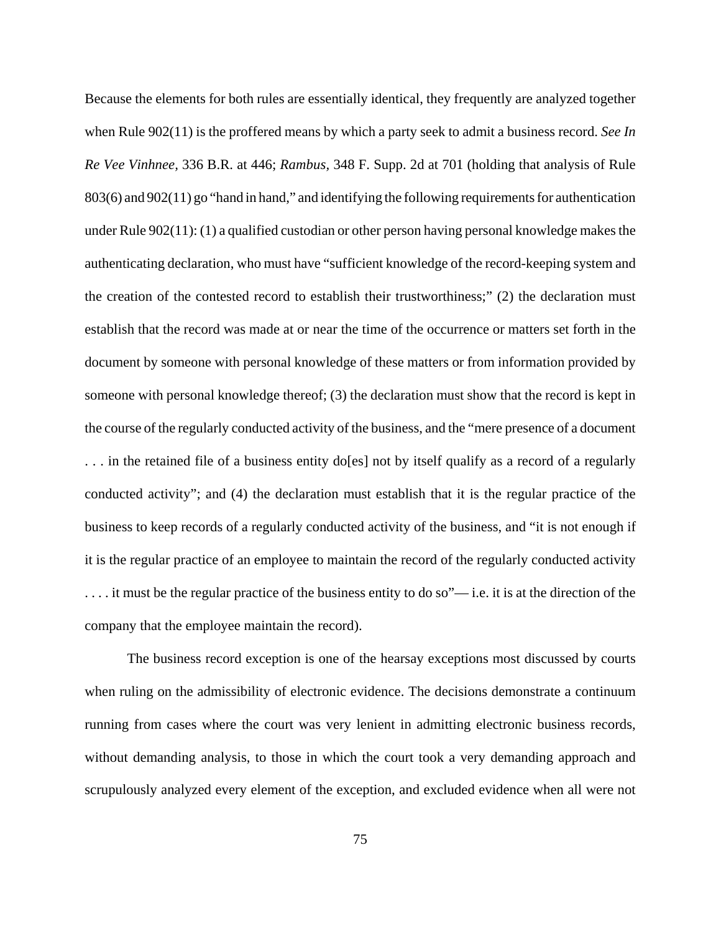Because the elements for both rules are essentially identical, they frequently are analyzed together when Rule 902(11) is the proffered means by which a party seek to admit a business record. *See In Re Vee Vinhnee,* 336 B.R. at 446; *Rambus,* 348 F. Supp. 2d at 701 (holding that analysis of Rule 803(6) and 902(11) go "hand in hand," and identifying the following requirements for authentication under Rule 902(11): (1) a qualified custodian or other person having personal knowledge makes the authenticating declaration, who must have "sufficient knowledge of the record-keeping system and the creation of the contested record to establish their trustworthiness;" (2) the declaration must establish that the record was made at or near the time of the occurrence or matters set forth in the document by someone with personal knowledge of these matters or from information provided by someone with personal knowledge thereof; (3) the declaration must show that the record is kept in the course of the regularly conducted activity of the business, and the "mere presence of a document . . . in the retained file of a business entity do[es] not by itself qualify as a record of a regularly conducted activity"; and (4) the declaration must establish that it is the regular practice of the business to keep records of a regularly conducted activity of the business, and "it is not enough if it is the regular practice of an employee to maintain the record of the regularly conducted activity . . . . it must be the regular practice of the business entity to do so"— i.e. it is at the direction of the company that the employee maintain the record).

The business record exception is one of the hearsay exceptions most discussed by courts when ruling on the admissibility of electronic evidence. The decisions demonstrate a continuum running from cases where the court was very lenient in admitting electronic business records, without demanding analysis, to those in which the court took a very demanding approach and scrupulously analyzed every element of the exception, and excluded evidence when all were not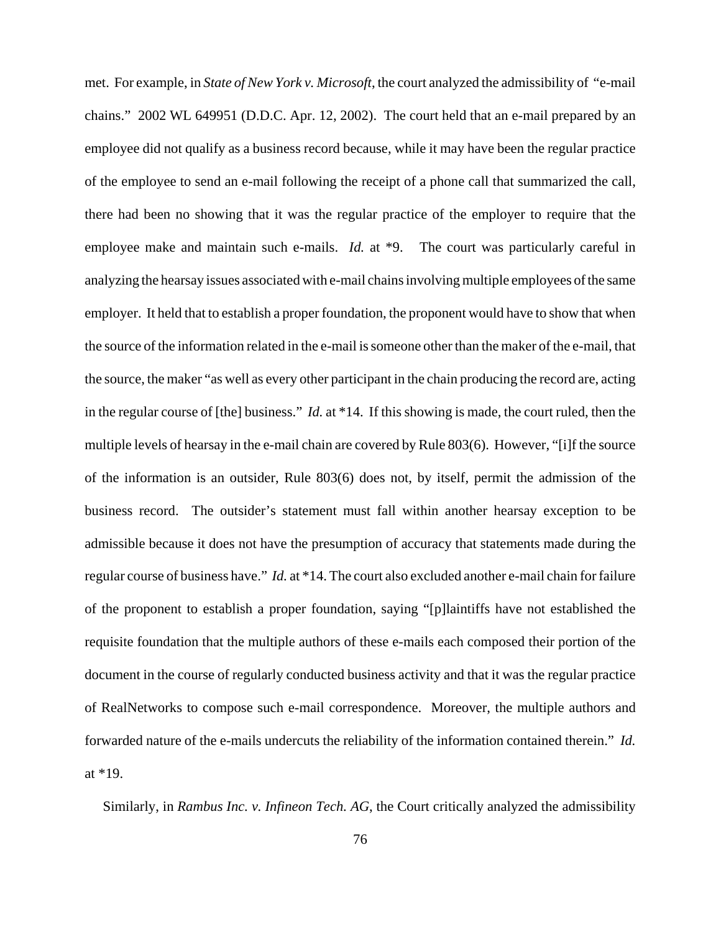met.For example, in *State of New York v. Microsoft*, the court analyzed the admissibility of "e-mail chains." 2002 WL 649951 (D.D.C. Apr. 12, 2002). The court held that an e-mail prepared by an employee did not qualify as a business record because, while it may have been the regular practice of the employee to send an e-mail following the receipt of a phone call that summarized the call, there had been no showing that it was the regular practice of the employer to require that the employee make and maintain such e-mails. *Id.* at \*9. The court was particularly careful in analyzing the hearsay issues associated with e-mail chains involving multiple employees of the same employer. It held that to establish a proper foundation, the proponent would have to show that when the source of the information related in the e-mail is someone other than the maker of the e-mail, that the source, the maker "as well as every other participant in the chain producing the record are, acting in the regular course of [the] business." *Id.* at \*14. If this showing is made, the court ruled, then the multiple levels of hearsay in the e-mail chain are covered by Rule 803(6). However, "[i]f the source of the information is an outsider, Rule 803(6) does not, by itself, permit the admission of the business record. The outsider's statement must fall within another hearsay exception to be admissible because it does not have the presumption of accuracy that statements made during the regular course of business have." *Id.* at \*14. The court also excluded another e-mail chain for failure of the proponent to establish a proper foundation, saying "[p]laintiffs have not established the requisite foundation that the multiple authors of these e-mails each composed their portion of the document in the course of regularly conducted business activity and that it was the regular practice of RealNetworks to compose such e-mail correspondence. Moreover, the multiple authors and forwarded nature of the e-mails undercuts the reliability of the information contained therein." *Id.* at \*19.

Similarly, in *Rambus Inc. v. Infineon Tech. AG*, the Court critically analyzed the admissibility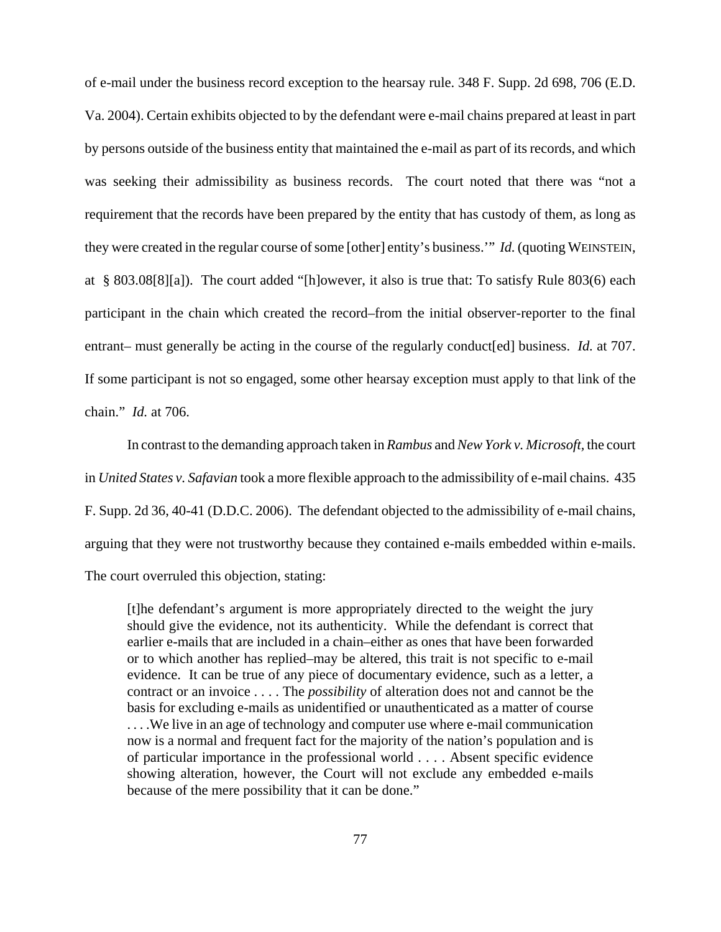of e-mail under the business record exception to the hearsay rule. 348 F. Supp. 2d 698, 706 (E.D. Va. 2004). Certain exhibits objected to by the defendant were e-mail chains prepared at least in part by persons outside of the business entity that maintained the e-mail as part of its records, and which was seeking their admissibility as business records. The court noted that there was "not a requirement that the records have been prepared by the entity that has custody of them, as long as they were created in the regular course of some [other] entity's business.'" *Id.* (quoting WEINSTEIN, at § 803.08[8][a]). The court added "[h]owever, it also is true that: To satisfy Rule 803(6) each participant in the chain which created the record–from the initial observer-reporter to the final entrant– must generally be acting in the course of the regularly conduct [ed] business. *Id.* at 707. If some participant is not so engaged, some other hearsay exception must apply to that link of the chain." *Id.* at 706.

In contrast to the demanding approach taken in *Rambus* and *New York v. Microsoft,* the court in *United States v. Safavian* took a more flexible approach to the admissibility of e-mail chains. 435 F. Supp. 2d 36, 40-41 (D.D.C. 2006). The defendant objected to the admissibility of e-mail chains, arguing that they were not trustworthy because they contained e-mails embedded within e-mails. The court overruled this objection, stating:

[t]he defendant's argument is more appropriately directed to the weight the jury should give the evidence, not its authenticity. While the defendant is correct that earlier e-mails that are included in a chain–either as ones that have been forwarded or to which another has replied–may be altered, this trait is not specific to e-mail evidence. It can be true of any piece of documentary evidence, such as a letter, a contract or an invoice . . . . The *possibility* of alteration does not and cannot be the basis for excluding e-mails as unidentified or unauthenticated as a matter of course . . . .We live in an age of technology and computer use where e-mail communication now is a normal and frequent fact for the majority of the nation's population and is of particular importance in the professional world . . . . Absent specific evidence showing alteration, however, the Court will not exclude any embedded e-mails because of the mere possibility that it can be done."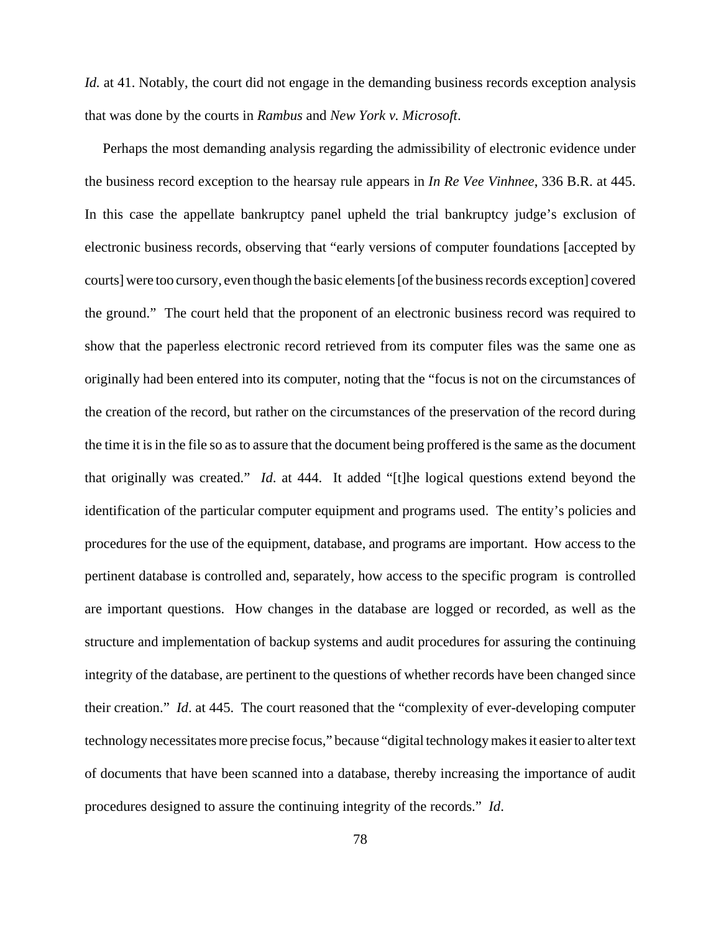*Id.* at 41. Notably, the court did not engage in the demanding business records exception analysis that was done by the courts in *Rambus* and *New York v. Microsoft*.

 Perhaps the most demanding analysis regarding the admissibility of electronic evidence under the business record exception to the hearsay rule appears in *In Re Vee Vinhnee*, 336 B.R. at 445. In this case the appellate bankruptcy panel upheld the trial bankruptcy judge's exclusion of electronic business records, observing that "early versions of computer foundations [accepted by courts] were too cursory, even though the basic elements [of the business records exception] covered the ground." The court held that the proponent of an electronic business record was required to show that the paperless electronic record retrieved from its computer files was the same one as originally had been entered into its computer, noting that the "focus is not on the circumstances of the creation of the record, but rather on the circumstances of the preservation of the record during the time it is in the file so as to assure that the document being proffered is the same as the document that originally was created." *Id*. at 444. It added "[t]he logical questions extend beyond the identification of the particular computer equipment and programs used. The entity's policies and procedures for the use of the equipment, database, and programs are important. How access to the pertinent database is controlled and, separately, how access to the specific program is controlled are important questions. How changes in the database are logged or recorded, as well as the structure and implementation of backup systems and audit procedures for assuring the continuing integrity of the database, are pertinent to the questions of whether records have been changed since their creation." *Id*. at 445. The court reasoned that the "complexity of ever-developing computer technology necessitates more precise focus," because "digital technology makes it easier to alter text of documents that have been scanned into a database, thereby increasing the importance of audit procedures designed to assure the continuing integrity of the records." *Id*.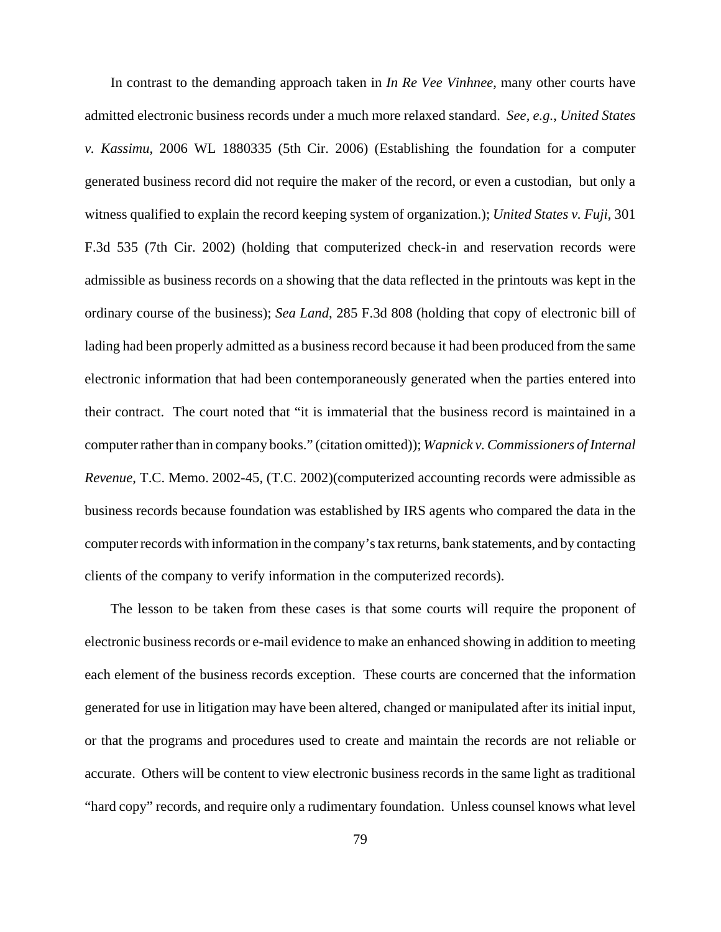In contrast to the demanding approach taken in *In Re Vee Vinhnee*, many other courts have admitted electronic business records under a much more relaxed standard. *See, e.g.*, *United States v. Kassimu*, 2006 WL 1880335 (5th Cir. 2006) (Establishing the foundation for a computer generated business record did not require the maker of the record, or even a custodian, but only a witness qualified to explain the record keeping system of organization.); *United States v. Fuji*, 301 F.3d 535 (7th Cir. 2002) (holding that computerized check-in and reservation records were admissible as business records on a showing that the data reflected in the printouts was kept in the ordinary course of the business); *Sea Land*, 285 F.3d 808 (holding that copy of electronic bill of lading had been properly admitted as a business record because it had been produced from the same electronic information that had been contemporaneously generated when the parties entered into their contract. The court noted that "it is immaterial that the business record is maintained in a computer rather than in company books." (citation omitted)); *Wapnick v. Commissioners of Internal Revenue*, T.C. Memo. 2002-45, (T.C. 2002)(computerized accounting records were admissible as business records because foundation was established by IRS agents who compared the data in the computer records with information in the company's tax returns, bank statements, and by contacting clients of the company to verify information in the computerized records).

 The lesson to be taken from these cases is that some courts will require the proponent of electronic business records or e-mail evidence to make an enhanced showing in addition to meeting each element of the business records exception. These courts are concerned that the information generated for use in litigation may have been altered, changed or manipulated after its initial input, or that the programs and procedures used to create and maintain the records are not reliable or accurate. Others will be content to view electronic business records in the same light as traditional "hard copy" records, and require only a rudimentary foundation. Unless counsel knows what level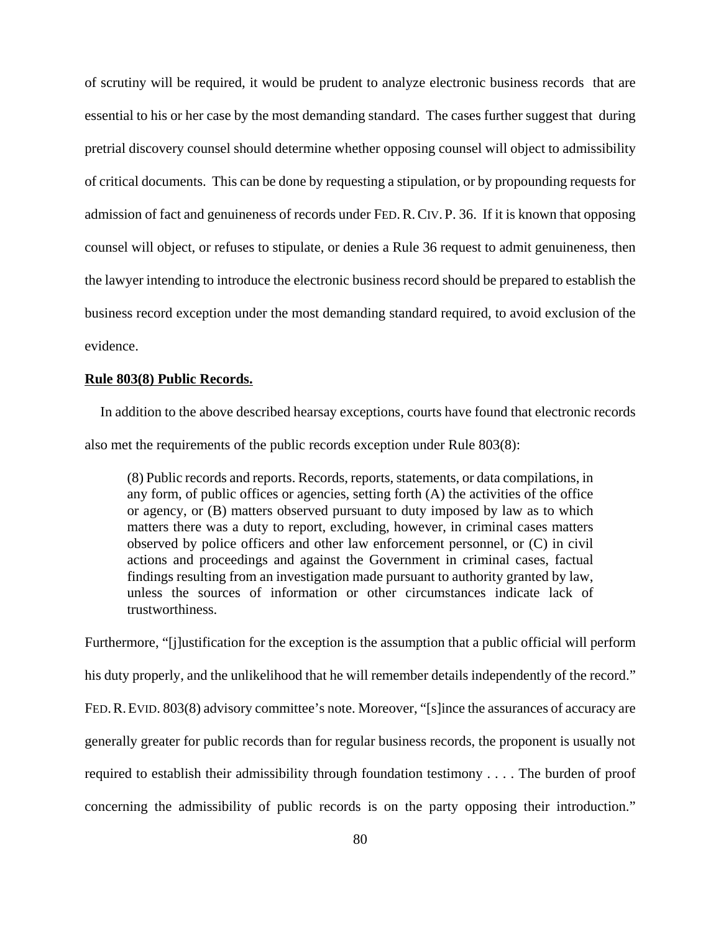of scrutiny will be required, it would be prudent to analyze electronic business records that are essential to his or her case by the most demanding standard. The cases further suggest that during pretrial discovery counsel should determine whether opposing counsel will object to admissibility of critical documents. This can be done by requesting a stipulation, or by propounding requests for admission of fact and genuineness of records under FED.R.CIV. P. 36. If it is known that opposing counsel will object, or refuses to stipulate, or denies a Rule 36 request to admit genuineness, then the lawyer intending to introduce the electronic business record should be prepared to establish the business record exception under the most demanding standard required, to avoid exclusion of the evidence.

#### **Rule 803(8) Public Records.**

 In addition to the above described hearsay exceptions, courts have found that electronic records also met the requirements of the public records exception under Rule 803(8):

(8) Public records and reports. Records, reports, statements, or data compilations, in any form, of public offices or agencies, setting forth (A) the activities of the office or agency, or (B) matters observed pursuant to duty imposed by law as to which matters there was a duty to report, excluding, however, in criminal cases matters observed by police officers and other law enforcement personnel, or (C) in civil actions and proceedings and against the Government in criminal cases, factual findings resulting from an investigation made pursuant to authority granted by law, unless the sources of information or other circumstances indicate lack of trustworthiness.

Furthermore, "[j]ustification for the exception is the assumption that a public official will perform his duty properly, and the unlikelihood that he will remember details independently of the record." FED. R. EVID. 803(8) advisory committee's note. Moreover, "[s]ince the assurances of accuracy are generally greater for public records than for regular business records, the proponent is usually not required to establish their admissibility through foundation testimony . . . . The burden of proof concerning the admissibility of public records is on the party opposing their introduction."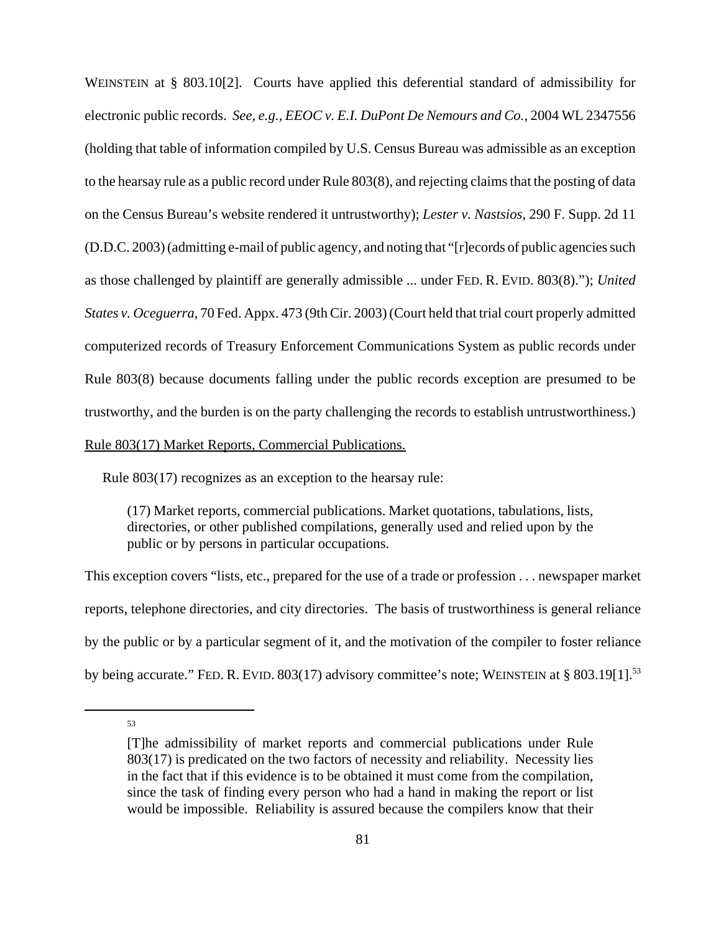WEINSTEIN at § 803.10[2]. Courts have applied this deferential standard of admissibility for electronic public records. *See, e.g., EEOC v. E.I. DuPont De Nemours and Co.*, 2004 WL 2347556 (holding that table of information compiled by U.S. Census Bureau was admissible as an exception to the hearsay rule as a public record under Rule 803(8), and rejecting claims that the posting of data on the Census Bureau's website rendered it untrustworthy); *Lester v. Nastsios*, 290 F. Supp. 2d 11 (D.D.C. 2003) (admitting e-mail of public agency, and noting that "[r]ecords of public agencies such as those challenged by plaintiff are generally admissible ... under FED. R. EVID. 803(8)."); *United States v. Oceguerra*, 70 Fed. Appx. 473 (9th Cir. 2003) (Court held that trial court properly admitted computerized records of Treasury Enforcement Communications System as public records under Rule 803(8) because documents falling under the public records exception are presumed to be trustworthy, and the burden is on the party challenging the records to establish untrustworthiness.) Rule 803(17) Market Reports, Commercial Publications.

Rule 803(17) recognizes as an exception to the hearsay rule:

(17) Market reports, commercial publications. Market quotations, tabulations, lists, directories, or other published compilations, generally used and relied upon by the public or by persons in particular occupations.

This exception covers "lists, etc., prepared for the use of a trade or profession . . . newspaper market reports, telephone directories, and city directories. The basis of trustworthiness is general reliance by the public or by a particular segment of it, and the motivation of the compiler to foster reliance by being accurate." FED. R. EVID. 803(17) advisory committee's note; WEINSTEIN at  $\S 803.19[1]$ .<sup>53</sup>

53

<sup>[</sup>T]he admissibility of market reports and commercial publications under Rule 803(17) is predicated on the two factors of necessity and reliability. Necessity lies in the fact that if this evidence is to be obtained it must come from the compilation, since the task of finding every person who had a hand in making the report or list would be impossible. Reliability is assured because the compilers know that their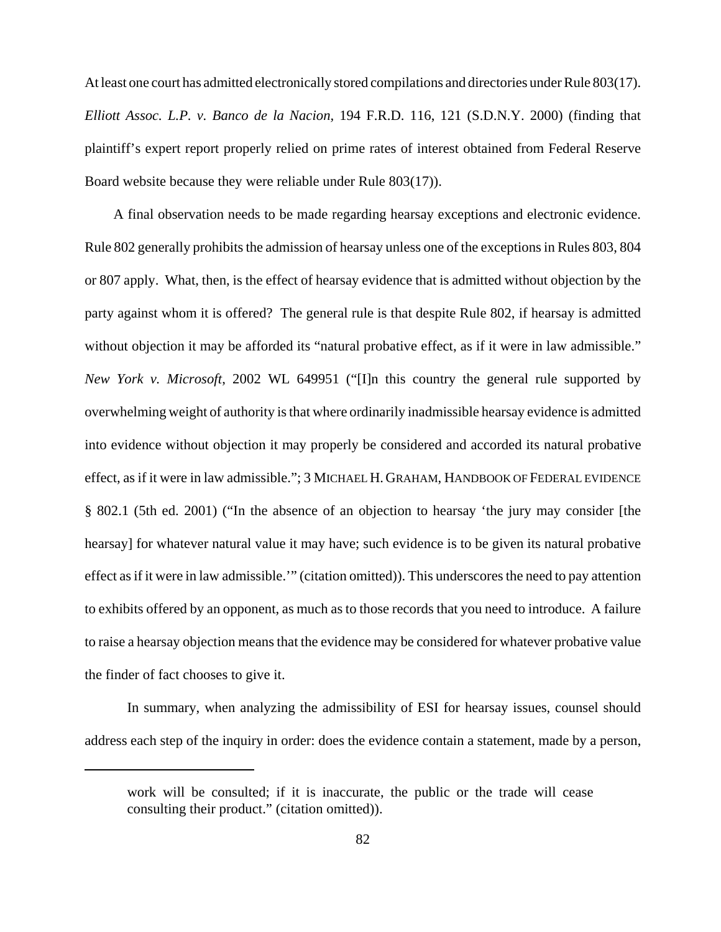At least one court has admitted electronically stored compilations and directories under Rule 803(17). *Elliott Assoc. L.P. v. Banco de la Nacion,* 194 F.R.D. 116, 121 (S.D.N.Y. 2000) (finding that plaintiff's expert report properly relied on prime rates of interest obtained from Federal Reserve Board website because they were reliable under Rule 803(17)).

 A final observation needs to be made regarding hearsay exceptions and electronic evidence. Rule 802 generally prohibits the admission of hearsay unless one of the exceptions in Rules 803, 804 or 807 apply. What, then, is the effect of hearsay evidence that is admitted without objection by the party against whom it is offered? The general rule is that despite Rule 802, if hearsay is admitted without objection it may be afforded its "natural probative effect, as if it were in law admissible." *New York v. Microsoft*, 2002 WL 649951 ("[I]n this country the general rule supported by overwhelming weight of authority is that where ordinarily inadmissible hearsay evidence is admitted into evidence without objection it may properly be considered and accorded its natural probative effect, as if it were in law admissible."; 3 MICHAEL H. GRAHAM, HANDBOOK OF FEDERAL EVIDENCE § 802.1 (5th ed. 2001) ("In the absence of an objection to hearsay 'the jury may consider [the hearsay] for whatever natural value it may have; such evidence is to be given its natural probative effect as if it were in law admissible.'" (citation omitted)). This underscores the need to pay attention to exhibits offered by an opponent, as much as to those records that you need to introduce. A failure to raise a hearsay objection means that the evidence may be considered for whatever probative value the finder of fact chooses to give it.

In summary, when analyzing the admissibility of ESI for hearsay issues, counsel should address each step of the inquiry in order: does the evidence contain a statement, made by a person,

work will be consulted; if it is inaccurate, the public or the trade will cease consulting their product." (citation omitted)).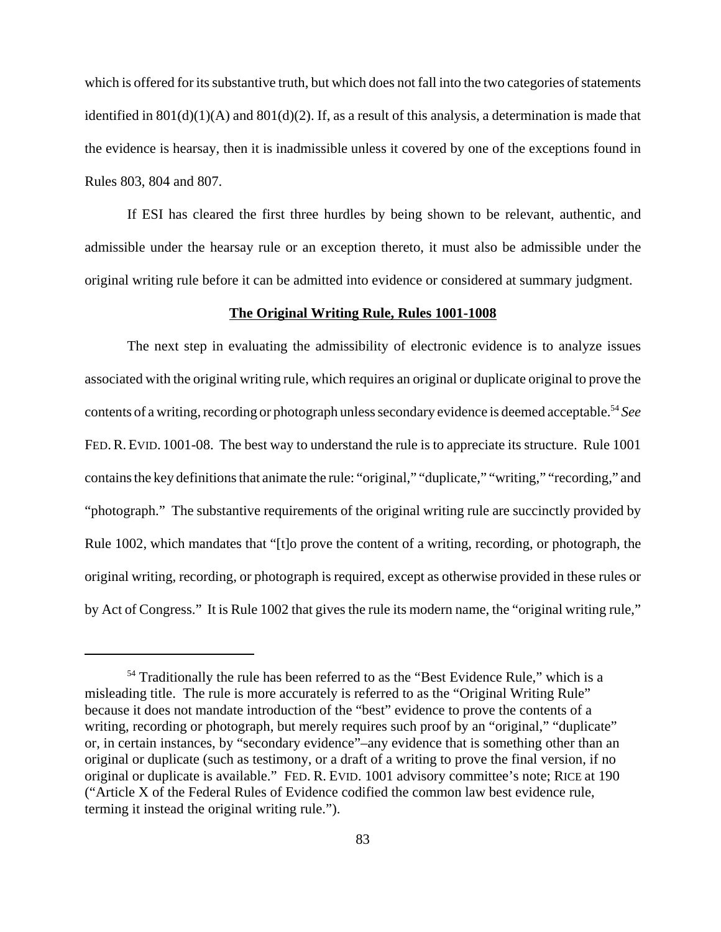which is offered for its substantive truth, but which does not fall into the two categories of statements identified in  $801(d)(1)(A)$  and  $801(d)(2)$ . If, as a result of this analysis, a determination is made that the evidence is hearsay, then it is inadmissible unless it covered by one of the exceptions found in Rules 803, 804 and 807.

If ESI has cleared the first three hurdles by being shown to be relevant, authentic, and admissible under the hearsay rule or an exception thereto, it must also be admissible under the original writing rule before it can be admitted into evidence or considered at summary judgment.

### **The Original Writing Rule, Rules 1001-1008**

The next step in evaluating the admissibility of electronic evidence is to analyze issues associated with the original writing rule, which requires an original or duplicate original to prove the contents of a writing, recording or photograph unless secondary evidence is deemed acceptable.<sup>54</sup> See FED.R. EVID. 1001-08. The best way to understand the rule is to appreciate its structure. Rule 1001 contains the key definitions that animate the rule: "original," "duplicate," "writing," "recording," and "photograph." The substantive requirements of the original writing rule are succinctly provided by Rule 1002, which mandates that "[t]o prove the content of a writing, recording, or photograph, the original writing, recording, or photograph is required, except as otherwise provided in these rules or by Act of Congress." It is Rule 1002 that gives the rule its modern name, the "original writing rule,"

<sup>&</sup>lt;sup>54</sup> Traditionally the rule has been referred to as the "Best Evidence Rule," which is a misleading title. The rule is more accurately is referred to as the "Original Writing Rule" because it does not mandate introduction of the "best" evidence to prove the contents of a writing, recording or photograph, but merely requires such proof by an "original," "duplicate" or, in certain instances, by "secondary evidence"–any evidence that is something other than an original or duplicate (such as testimony, or a draft of a writing to prove the final version, if no original or duplicate is available." FED. R. EVID. 1001 advisory committee's note; RICE at 190 ("Article X of the Federal Rules of Evidence codified the common law best evidence rule, terming it instead the original writing rule.").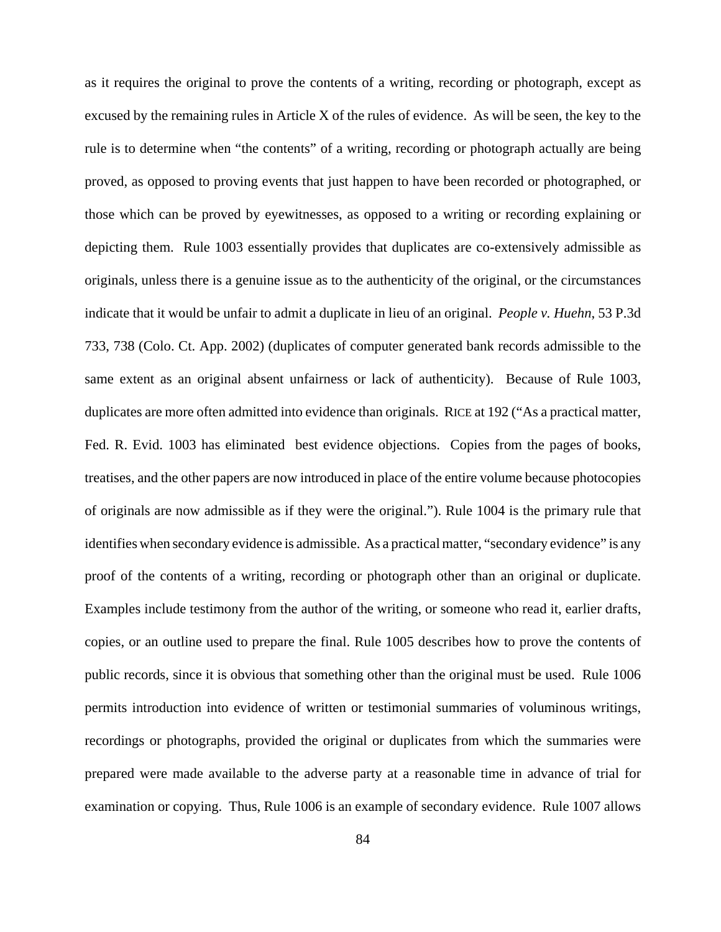as it requires the original to prove the contents of a writing, recording or photograph, except as excused by the remaining rules in Article X of the rules of evidence. As will be seen, the key to the rule is to determine when "the contents" of a writing, recording or photograph actually are being proved, as opposed to proving events that just happen to have been recorded or photographed, or those which can be proved by eyewitnesses, as opposed to a writing or recording explaining or depicting them. Rule 1003 essentially provides that duplicates are co-extensively admissible as originals, unless there is a genuine issue as to the authenticity of the original, or the circumstances indicate that it would be unfair to admit a duplicate in lieu of an original. *People v. Huehn*, 53 P.3d 733, 738 (Colo. Ct. App. 2002) (duplicates of computer generated bank records admissible to the same extent as an original absent unfairness or lack of authenticity). Because of Rule 1003, duplicates are more often admitted into evidence than originals. RICE at 192 ("As a practical matter, Fed. R. Evid. 1003 has eliminated best evidence objections. Copies from the pages of books, treatises, and the other papers are now introduced in place of the entire volume because photocopies of originals are now admissible as if they were the original."). Rule 1004 is the primary rule that identifies when secondary evidence is admissible. As a practical matter, "secondary evidence" is any proof of the contents of a writing, recording or photograph other than an original or duplicate. Examples include testimony from the author of the writing, or someone who read it, earlier drafts, copies, or an outline used to prepare the final. Rule 1005 describes how to prove the contents of public records, since it is obvious that something other than the original must be used. Rule 1006 permits introduction into evidence of written or testimonial summaries of voluminous writings, recordings or photographs, provided the original or duplicates from which the summaries were prepared were made available to the adverse party at a reasonable time in advance of trial for examination or copying. Thus, Rule 1006 is an example of secondary evidence. Rule 1007 allows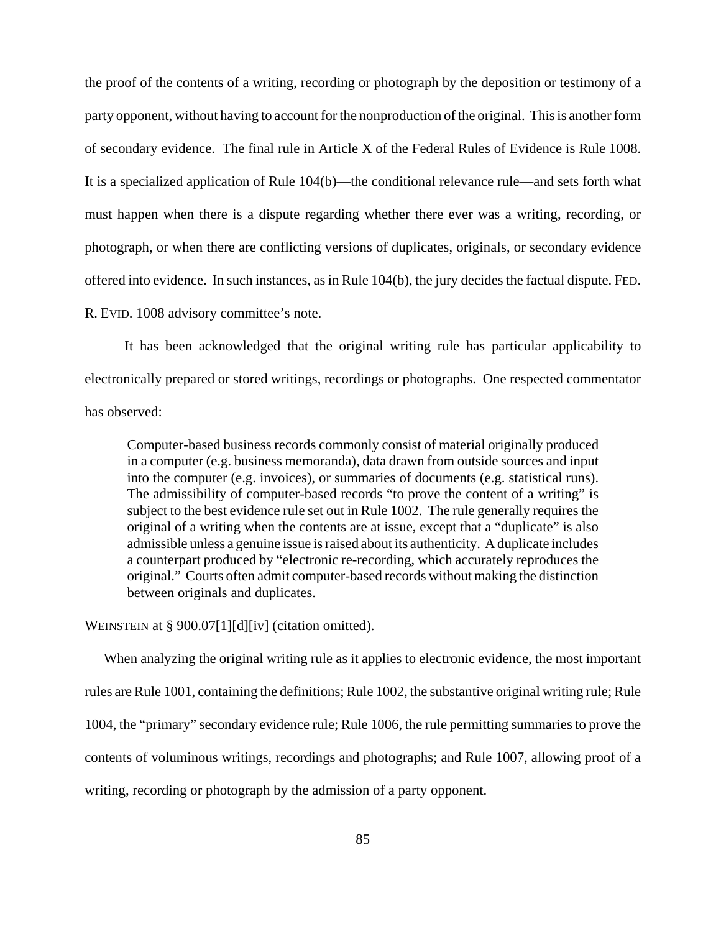the proof of the contents of a writing, recording or photograph by the deposition or testimony of a party opponent, without having to account for the nonproduction of the original. This is another form of secondary evidence. The final rule in Article X of the Federal Rules of Evidence is Rule 1008. It is a specialized application of Rule 104(b)—the conditional relevance rule—and sets forth what must happen when there is a dispute regarding whether there ever was a writing, recording, or photograph, or when there are conflicting versions of duplicates, originals, or secondary evidence offered into evidence. In such instances, as in Rule 104(b), the jury decides the factual dispute. FED. R. EVID. 1008 advisory committee's note.

 It has been acknowledged that the original writing rule has particular applicability to electronically prepared or stored writings, recordings or photographs. One respected commentator has observed:

Computer-based business records commonly consist of material originally produced in a computer (e.g. business memoranda), data drawn from outside sources and input into the computer (e.g. invoices), or summaries of documents (e.g. statistical runs). The admissibility of computer-based records "to prove the content of a writing" is subject to the best evidence rule set out in Rule 1002. The rule generally requires the original of a writing when the contents are at issue, except that a "duplicate" is also admissible unless a genuine issue is raised about its authenticity. A duplicate includes a counterpart produced by "electronic re-recording, which accurately reproduces the original." Courts often admit computer-based records without making the distinction between originals and duplicates.

WEINSTEIN at § 900.07[1][d][iv] (citation omitted).

 When analyzing the original writing rule as it applies to electronic evidence, the most important rules are Rule 1001, containing the definitions; Rule 1002, the substantive original writing rule; Rule 1004, the "primary" secondary evidence rule; Rule 1006, the rule permitting summaries to prove the contents of voluminous writings, recordings and photographs; and Rule 1007, allowing proof of a writing, recording or photograph by the admission of a party opponent.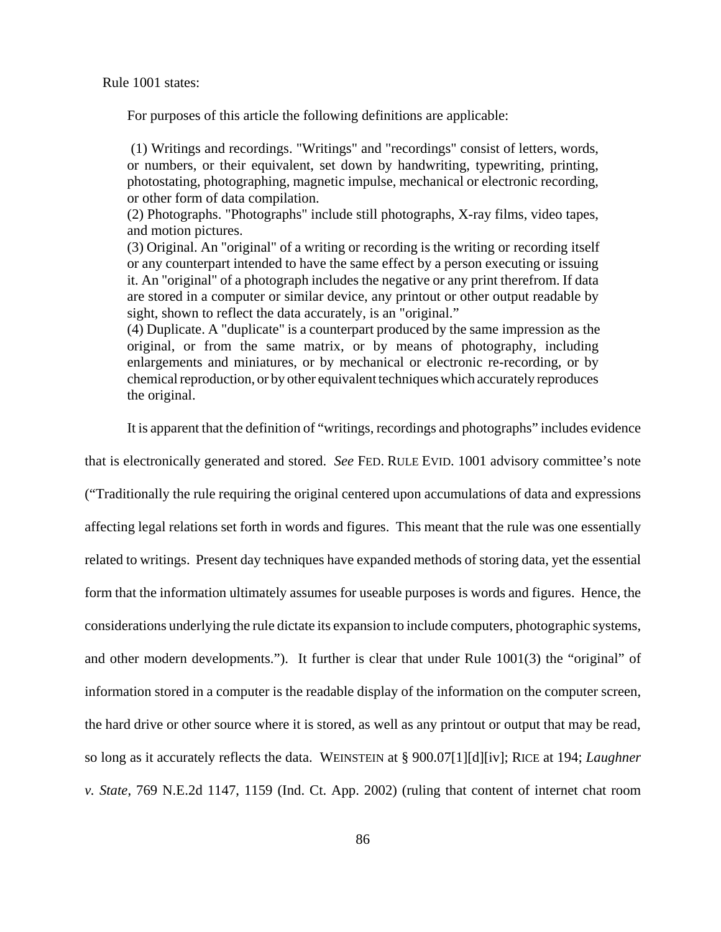Rule 1001 states:

For purposes of this article the following definitions are applicable:

 (1) Writings and recordings. "Writings" and "recordings" consist of letters, words, or numbers, or their equivalent, set down by handwriting, typewriting, printing, photostating, photographing, magnetic impulse, mechanical or electronic recording, or other form of data compilation.

 (2) Photographs. "Photographs" include still photographs, X-ray films, video tapes, and motion pictures.

 (3) Original. An "original" of a writing or recording is the writing or recording itself or any counterpart intended to have the same effect by a person executing or issuing it. An "original" of a photograph includes the negative or any print therefrom. If data are stored in a computer or similar device, any printout or other output readable by sight, shown to reflect the data accurately, is an "original."

 (4) Duplicate. A "duplicate" is a counterpart produced by the same impression as the original, or from the same matrix, or by means of photography, including enlargements and miniatures, or by mechanical or electronic re-recording, or by chemical reproduction, or by other equivalent techniques which accurately reproduces the original.

It is apparent that the definition of "writings, recordings and photographs" includes evidence

that is electronically generated and stored. *See* FED. RULE EVID. 1001 advisory committee's note

("Traditionally the rule requiring the original centered upon accumulations of data and expressions

affecting legal relations set forth in words and figures. This meant that the rule was one essentially

related to writings. Present day techniques have expanded methods of storing data, yet the essential

form that the information ultimately assumes for useable purposes is words and figures. Hence, the

considerations underlying the rule dictate its expansion to include computers, photographic systems,

and other modern developments."). It further is clear that under Rule 1001(3) the "original" of

information stored in a computer is the readable display of the information on the computer screen,

the hard drive or other source where it is stored, as well as any printout or output that may be read,

so long as it accurately reflects the data. WEINSTEIN at § 900.07[1][d][iv]; RICE at 194; *Laughner*

*v. State*, 769 N.E.2d 1147, 1159 (Ind. Ct. App. 2002) (ruling that content of internet chat room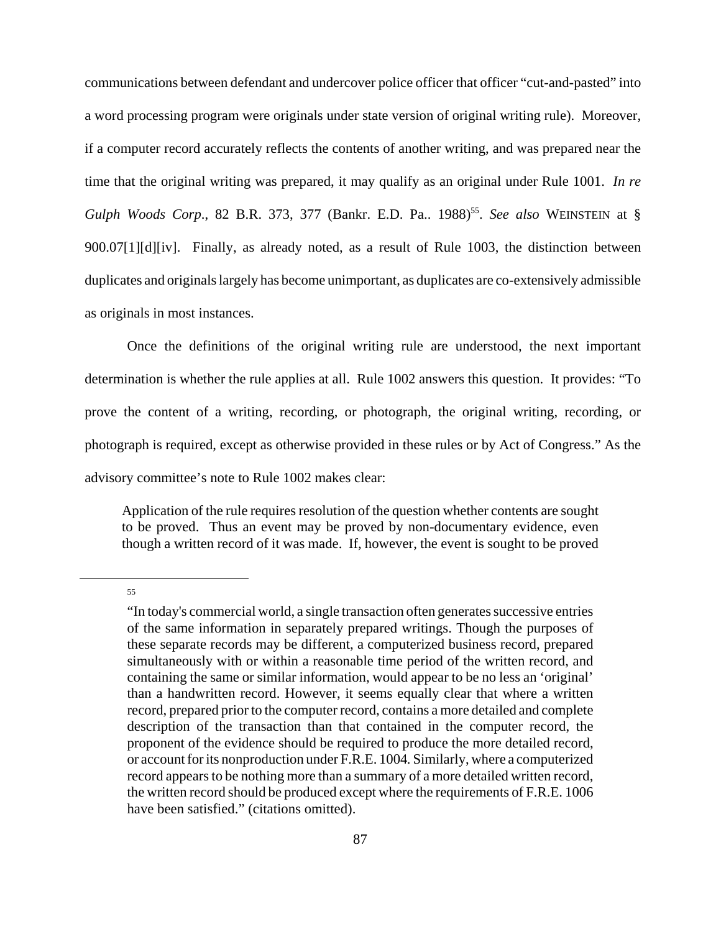communications between defendant and undercover police officer that officer "cut-and-pasted" into a word processing program were originals under state version of original writing rule). Moreover, if a computer record accurately reflects the contents of another writing, and was prepared near the time that the original writing was prepared, it may qualify as an original under Rule 1001. *In re Gulph Woods Corp.*, 82 B.R. 373, 377 (Bankr. E.D. Pa., 1988)<sup>55</sup>. *See also* WEINSTEIN at § 900.07[1][d][iv]. Finally, as already noted, as a result of Rule 1003, the distinction between duplicates and originals largely has become unimportant, as duplicates are co-extensively admissible as originals in most instances.

Once the definitions of the original writing rule are understood, the next important determination is whether the rule applies at all. Rule 1002 answers this question. It provides: "To prove the content of a writing, recording, or photograph, the original writing, recording, or photograph is required, except as otherwise provided in these rules or by Act of Congress." As the advisory committee's note to Rule 1002 makes clear:

Application of the rule requires resolution of the question whether contents are sought to be proved. Thus an event may be proved by non-documentary evidence, even though a written record of it was made. If, however, the event is sought to be proved

55

<sup>&</sup>quot;In today's commercial world, a single transaction often generates successive entries of the same information in separately prepared writings. Though the purposes of these separate records may be different, a computerized business record, prepared simultaneously with or within a reasonable time period of the written record, and containing the same or similar information, would appear to be no less an 'original' than a handwritten record. However, it seems equally clear that where a written record, prepared prior to the computer record, contains a more detailed and complete description of the transaction than that contained in the computer record, the proponent of the evidence should be required to produce the more detailed record, or account for its nonproduction under F.R.E. 1004*.* Similarly, where a computerized record appears to be nothing more than a summary of a more detailed written record, the written record should be produced except where the requirements of F.R.E. 1006 have been satisfied." (citations omitted).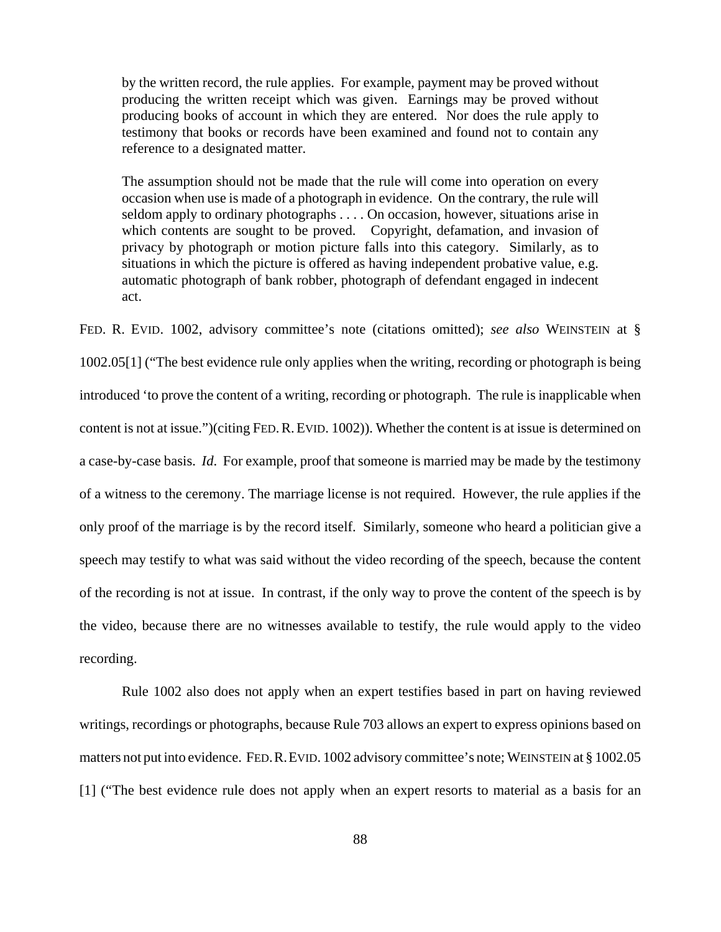by the written record, the rule applies. For example, payment may be proved without producing the written receipt which was given. Earnings may be proved without producing books of account in which they are entered. Nor does the rule apply to testimony that books or records have been examined and found not to contain any reference to a designated matter.

The assumption should not be made that the rule will come into operation on every occasion when use is made of a photograph in evidence. On the contrary, the rule will seldom apply to ordinary photographs . . . . On occasion, however, situations arise in which contents are sought to be proved. Copyright, defamation, and invasion of privacy by photograph or motion picture falls into this category. Similarly, as to situations in which the picture is offered as having independent probative value, e.g. automatic photograph of bank robber, photograph of defendant engaged in indecent act.

FED. R. EVID. 1002, advisory committee's note (citations omitted); *see also* WEINSTEIN at § 1002.05[1] ("The best evidence rule only applies when the writing, recording or photograph is being introduced 'to prove the content of a writing, recording or photograph. The rule is inapplicable when content is not at issue.")(citing FED.R.EVID. 1002)). Whether the content is at issue is determined on a case-by-case basis. *Id*. For example, proof that someone is married may be made by the testimony of a witness to the ceremony. The marriage license is not required. However, the rule applies if the only proof of the marriage is by the record itself. Similarly, someone who heard a politician give a speech may testify to what was said without the video recording of the speech, because the content of the recording is not at issue. In contrast, if the only way to prove the content of the speech is by the video, because there are no witnesses available to testify, the rule would apply to the video recording.

Rule 1002 also does not apply when an expert testifies based in part on having reviewed writings, recordings or photographs, because Rule 703 allows an expert to express opinions based on matters not put into evidence. FED.R.EVID. 1002 advisory committee's note; WEINSTEIN at § 1002.05 [1] ("The best evidence rule does not apply when an expert resorts to material as a basis for an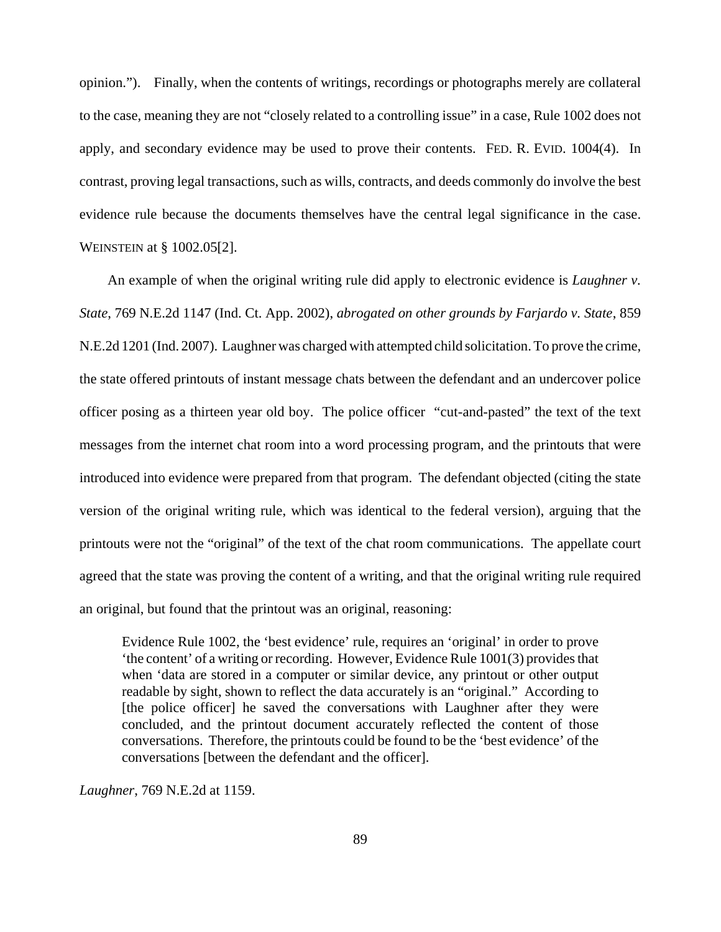opinion."). Finally, when the contents of writings, recordings or photographs merely are collateral to the case, meaning they are not "closely related to a controlling issue" in a case, Rule 1002 does not apply, and secondary evidence may be used to prove their contents. FED. R. EVID. 1004(4). In contrast, proving legal transactions, such as wills, contracts, and deeds commonly do involve the best evidence rule because the documents themselves have the central legal significance in the case. WEINSTEIN at § 1002.05[2].

 An example of when the original writing rule did apply to electronic evidence is *Laughner v. State*, 769 N.E.2d 1147 (Ind. Ct. App. 2002), *abrogated on other grounds by Farjardo v. State*, 859 N.E.2d 1201 (Ind. 2007). Laughner was charged with attempted child solicitation. To prove the crime, the state offered printouts of instant message chats between the defendant and an undercover police officer posing as a thirteen year old boy. The police officer "cut-and-pasted" the text of the text messages from the internet chat room into a word processing program, and the printouts that were introduced into evidence were prepared from that program. The defendant objected (citing the state version of the original writing rule, which was identical to the federal version), arguing that the printouts were not the "original" of the text of the chat room communications. The appellate court agreed that the state was proving the content of a writing, and that the original writing rule required an original, but found that the printout was an original, reasoning:

Evidence Rule 1002, the 'best evidence' rule, requires an 'original' in order to prove 'the content' of a writing or recording. However, Evidence Rule 1001(3) provides that when 'data are stored in a computer or similar device, any printout or other output readable by sight, shown to reflect the data accurately is an "original." According to [the police officer] he saved the conversations with Laughner after they were concluded, and the printout document accurately reflected the content of those conversations. Therefore, the printouts could be found to be the 'best evidence' of the conversations [between the defendant and the officer].

*Laughner*, 769 N.E.2d at 1159.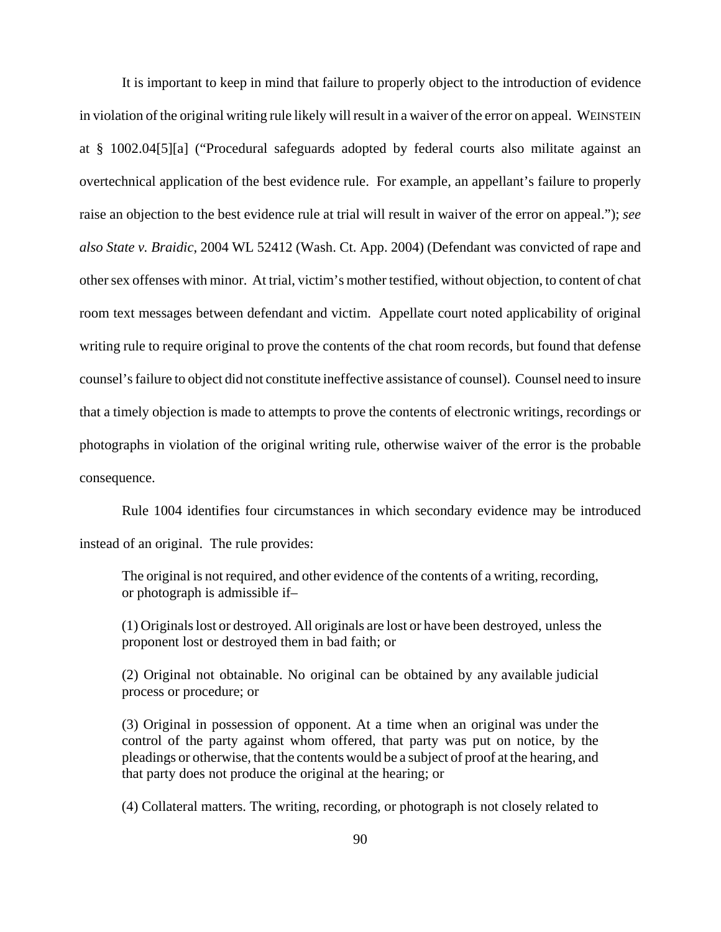It is important to keep in mind that failure to properly object to the introduction of evidence in violation of the original writing rule likely will result in a waiver of the error on appeal. WEINSTEIN at § 1002.04[5][a] ("Procedural safeguards adopted by federal courts also militate against an overtechnical application of the best evidence rule. For example, an appellant's failure to properly raise an objection to the best evidence rule at trial will result in waiver of the error on appeal."); *see also State v. Braidic*, 2004 WL 52412 (Wash. Ct. App. 2004) (Defendant was convicted of rape and other sex offenses with minor. At trial, victim's mother testified, without objection, to content of chat room text messages between defendant and victim. Appellate court noted applicability of original writing rule to require original to prove the contents of the chat room records, but found that defense counsel's failure to object did not constitute ineffective assistance of counsel). Counsel need to insure that a timely objection is made to attempts to prove the contents of electronic writings, recordings or photographs in violation of the original writing rule, otherwise waiver of the error is the probable consequence.

Rule 1004 identifies four circumstances in which secondary evidence may be introduced instead of an original. The rule provides:

The original is not required, and other evidence of the contents of a writing, recording, or photograph is admissible if–

 (1) Originals lost or destroyed. All originals are lost or have been destroyed, unless the proponent lost or destroyed them in bad faith; or

 (2) Original not obtainable. No original can be obtained by any available judicial process or procedure; or

 (3) Original in possession of opponent. At a time when an original was under the control of the party against whom offered, that party was put on notice, by the pleadings or otherwise, that the contents would be a subject of proof at the hearing, and that party does not produce the original at the hearing; or

(4) Collateral matters. The writing, recording, or photograph is not closely related to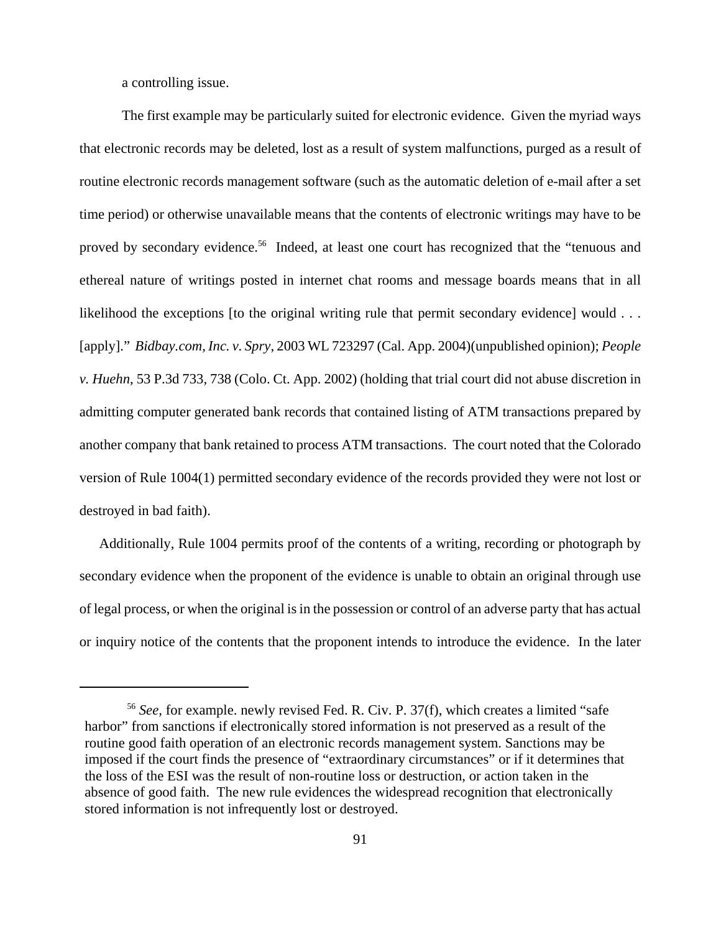a controlling issue.

The first example may be particularly suited for electronic evidence. Given the myriad ways that electronic records may be deleted, lost as a result of system malfunctions, purged as a result of routine electronic records management software (such as the automatic deletion of e-mail after a set time period) or otherwise unavailable means that the contents of electronic writings may have to be proved by secondary evidence.<sup>56</sup> Indeed, at least one court has recognized that the "tenuous and ethereal nature of writings posted in internet chat rooms and message boards means that in all likelihood the exceptions [to the original writing rule that permit secondary evidence] would . . . [apply]." *Bidbay.com, Inc. v. Spry*, 2003 WL 723297 (Cal. App. 2004)(unpublished opinion); *People v. Huehn*, 53 P.3d 733, 738 (Colo. Ct. App. 2002) (holding that trial court did not abuse discretion in admitting computer generated bank records that contained listing of ATM transactions prepared by another company that bank retained to process ATM transactions. The court noted that the Colorado version of Rule 1004(1) permitted secondary evidence of the records provided they were not lost or destroyed in bad faith).

 Additionally, Rule 1004 permits proof of the contents of a writing, recording or photograph by secondary evidence when the proponent of the evidence is unable to obtain an original through use of legal process, or when the original is in the possession or control of an adverse party that has actual or inquiry notice of the contents that the proponent intends to introduce the evidence. In the later

<sup>56</sup> *See,* for example. newly revised Fed. R. Civ. P. 37(f), which creates a limited "safe harbor" from sanctions if electronically stored information is not preserved as a result of the routine good faith operation of an electronic records management system. Sanctions may be imposed if the court finds the presence of "extraordinary circumstances" or if it determines that the loss of the ESI was the result of non-routine loss or destruction, or action taken in the absence of good faith. The new rule evidences the widespread recognition that electronically stored information is not infrequently lost or destroyed.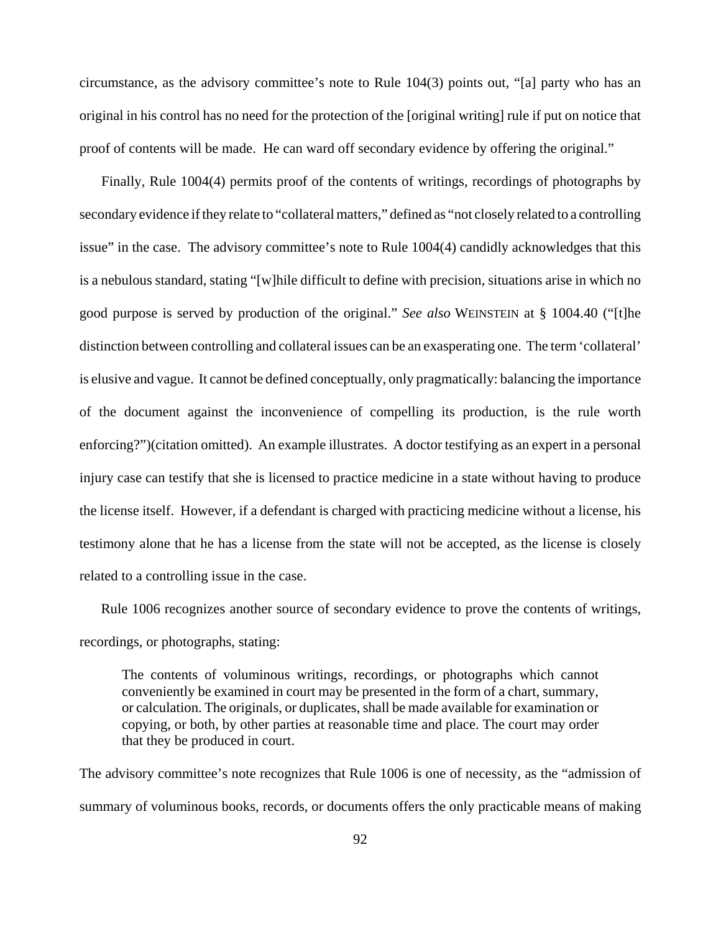circumstance, as the advisory committee's note to Rule 104(3) points out, "[a] party who has an original in his control has no need for the protection of the [original writing] rule if put on notice that proof of contents will be made. He can ward off secondary evidence by offering the original."

 Finally, Rule 1004(4) permits proof of the contents of writings, recordings of photographs by secondary evidence if they relate to "collateral matters," defined as "not closely related to a controlling issue" in the case. The advisory committee's note to Rule 1004(4) candidly acknowledges that this is a nebulous standard, stating "[w]hile difficult to define with precision, situations arise in which no good purpose is served by production of the original." *See also* WEINSTEIN at § 1004.40 ("[t]he distinction between controlling and collateral issues can be an exasperating one. The term 'collateral' is elusive and vague. It cannot be defined conceptually, only pragmatically: balancing the importance of the document against the inconvenience of compelling its production, is the rule worth enforcing?")(citation omitted). An example illustrates. A doctor testifying as an expert in a personal injury case can testify that she is licensed to practice medicine in a state without having to produce the license itself. However, if a defendant is charged with practicing medicine without a license, his testimony alone that he has a license from the state will not be accepted, as the license is closely related to a controlling issue in the case.

 Rule 1006 recognizes another source of secondary evidence to prove the contents of writings, recordings, or photographs, stating:

The contents of voluminous writings, recordings, or photographs which cannot conveniently be examined in court may be presented in the form of a chart, summary, or calculation. The originals, or duplicates, shall be made available for examination or copying, or both, by other parties at reasonable time and place. The court may order that they be produced in court.

The advisory committee's note recognizes that Rule 1006 is one of necessity, as the "admission of summary of voluminous books, records, or documents offers the only practicable means of making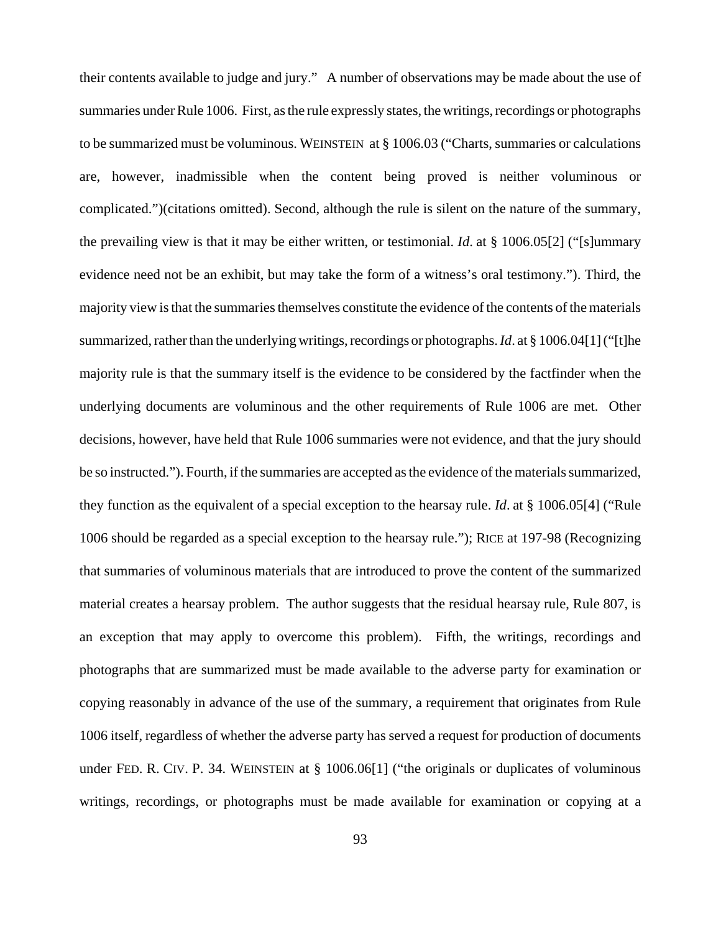their contents available to judge and jury." A number of observations may be made about the use of summaries under Rule 1006. First, as the rule expressly states, the writings, recordings or photographs to be summarized must be voluminous. WEINSTEIN at § 1006.03 ("Charts, summaries or calculations are, however, inadmissible when the content being proved is neither voluminous or complicated.")(citations omitted). Second, although the rule is silent on the nature of the summary, the prevailing view is that it may be either written, or testimonial. *Id*. at § 1006.05[2] ("[s]ummary evidence need not be an exhibit, but may take the form of a witness's oral testimony."). Third, the majority view is that the summaries themselves constitute the evidence of the contents of the materials summarized, rather than the underlying writings, recordings or photographs. *Id*. at § 1006.04[1] ("[t]he majority rule is that the summary itself is the evidence to be considered by the factfinder when the underlying documents are voluminous and the other requirements of Rule 1006 are met. Other decisions, however, have held that Rule 1006 summaries were not evidence, and that the jury should be so instructed."). Fourth, if the summaries are accepted as the evidence of the materials summarized, they function as the equivalent of a special exception to the hearsay rule. *Id*. at § 1006.05[4] ("Rule 1006 should be regarded as a special exception to the hearsay rule."); RICE at 197-98 (Recognizing that summaries of voluminous materials that are introduced to prove the content of the summarized material creates a hearsay problem. The author suggests that the residual hearsay rule, Rule 807, is an exception that may apply to overcome this problem). Fifth, the writings, recordings and photographs that are summarized must be made available to the adverse party for examination or copying reasonably in advance of the use of the summary, a requirement that originates from Rule 1006 itself, regardless of whether the adverse party has served a request for production of documents under FED. R. CIV. P. 34. WEINSTEIN at § 1006.06[1] ("the originals or duplicates of voluminous writings, recordings, or photographs must be made available for examination or copying at a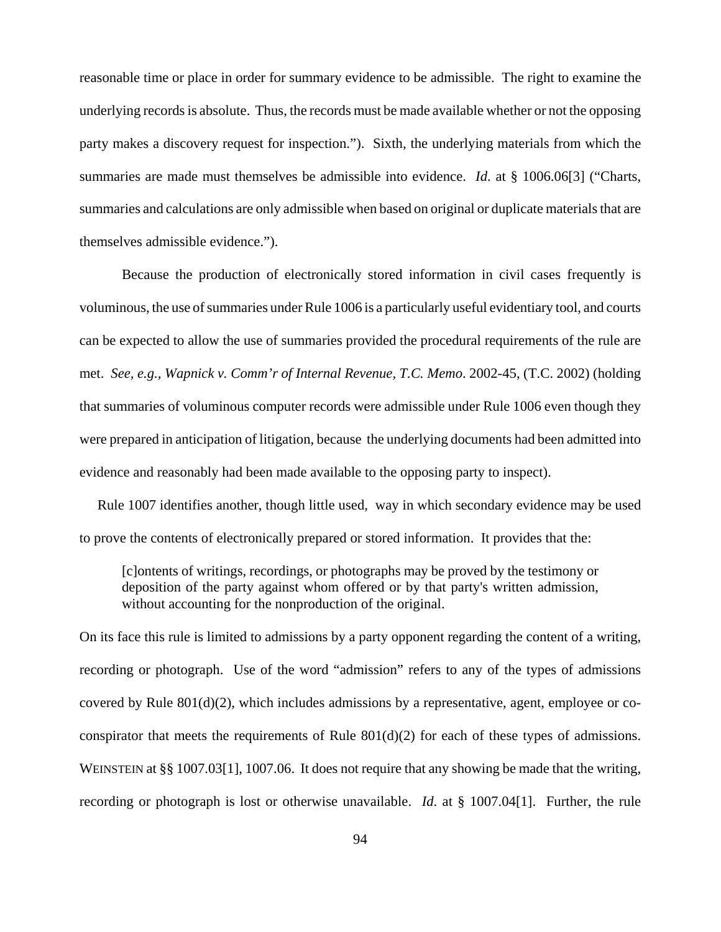reasonable time or place in order for summary evidence to be admissible. The right to examine the underlying records is absolute. Thus, the records must be made available whether or not the opposing party makes a discovery request for inspection."). Sixth, the underlying materials from which the summaries are made must themselves be admissible into evidence. *Id*. at § 1006.06[3] ("Charts, summaries and calculations are only admissible when based on original or duplicate materials that are themselves admissible evidence.").

Because the production of electronically stored information in civil cases frequently is voluminous, the use of summaries under Rule 1006 is a particularly useful evidentiary tool, and courts can be expected to allow the use of summaries provided the procedural requirements of the rule are met. *See, e.g., Wapnick v. Comm'r of Internal Revenue, T.C. Memo*. 2002-45, (T.C. 2002) (holding that summaries of voluminous computer records were admissible under Rule 1006 even though they were prepared in anticipation of litigation, because the underlying documents had been admitted into evidence and reasonably had been made available to the opposing party to inspect).

 Rule 1007 identifies another, though little used, way in which secondary evidence may be used to prove the contents of electronically prepared or stored information. It provides that the:

[c]ontents of writings, recordings, or photographs may be proved by the testimony or deposition of the party against whom offered or by that party's written admission, without accounting for the nonproduction of the original.

On its face this rule is limited to admissions by a party opponent regarding the content of a writing, recording or photograph. Use of the word "admission" refers to any of the types of admissions covered by Rule 801(d)(2), which includes admissions by a representative, agent, employee or coconspirator that meets the requirements of Rule  $801(d)(2)$  for each of these types of admissions. WEINSTEIN at §§ 1007.03[1], 1007.06. It does not require that any showing be made that the writing, recording or photograph is lost or otherwise unavailable. *Id*. at § 1007.04[1]. Further, the rule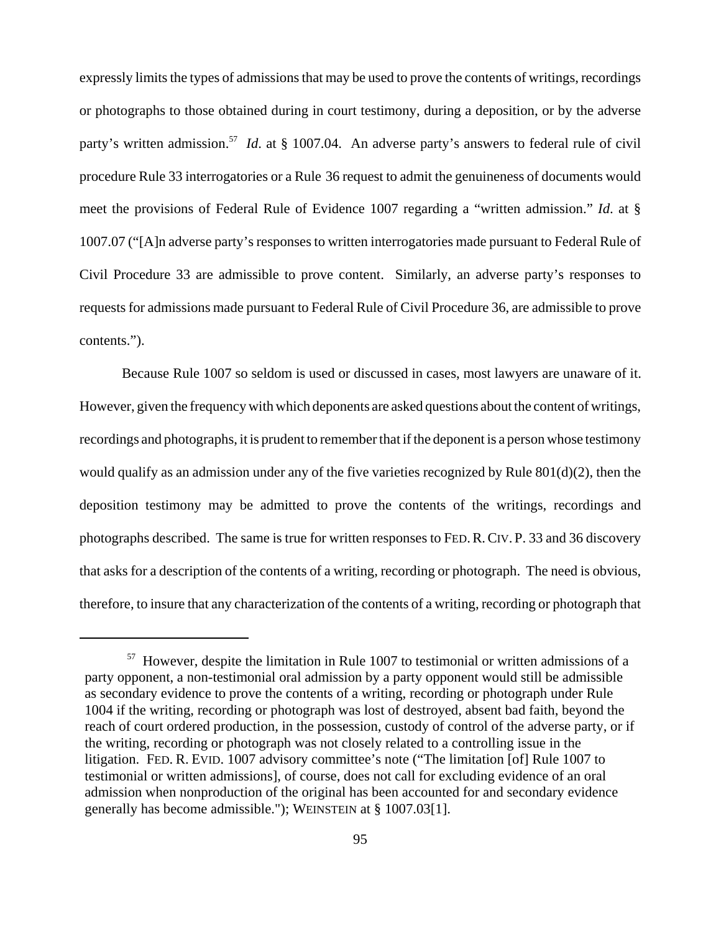expressly limits the types of admissions that may be used to prove the contents of writings, recordings or photographs to those obtained during in court testimony, during a deposition, or by the adverse party's written admission.<sup>57</sup> *Id.* at § 1007.04. An adverse party's answers to federal rule of civil procedure Rule 33 interrogatories or a Rule 36 request to admit the genuineness of documents would meet the provisions of Federal Rule of Evidence 1007 regarding a "written admission." *Id*. at § 1007.07 ("[A]n adverse party's responses to written interrogatories made pursuant to Federal Rule of Civil Procedure 33 are admissible to prove content. Similarly, an adverse party's responses to requests for admissions made pursuant to Federal Rule of Civil Procedure 36, are admissible to prove contents.").

Because Rule 1007 so seldom is used or discussed in cases, most lawyers are unaware of it. However, given the frequency with which deponents are asked questions about the content of writings, recordings and photographs, it is prudent to remember that if the deponent is a person whose testimony would qualify as an admission under any of the five varieties recognized by Rule 801(d)(2), then the deposition testimony may be admitted to prove the contents of the writings, recordings and photographs described. The same is true for written responses to FED.R.CIV. P. 33 and 36 discovery that asks for a description of the contents of a writing, recording or photograph. The need is obvious, therefore, to insure that any characterization of the contents of a writing, recording or photograph that

 $57$  However, despite the limitation in Rule 1007 to testimonial or written admissions of a party opponent, a non-testimonial oral admission by a party opponent would still be admissible as secondary evidence to prove the contents of a writing, recording or photograph under Rule 1004 if the writing, recording or photograph was lost of destroyed, absent bad faith, beyond the reach of court ordered production, in the possession, custody of control of the adverse party, or if the writing, recording or photograph was not closely related to a controlling issue in the litigation. FED. R. EVID. 1007 advisory committee's note ("The limitation [of] Rule 1007 to testimonial or written admissions], of course, does not call for excluding evidence of an oral admission when nonproduction of the original has been accounted for and secondary evidence generally has become admissible."); WEINSTEIN at § 1007.03[1].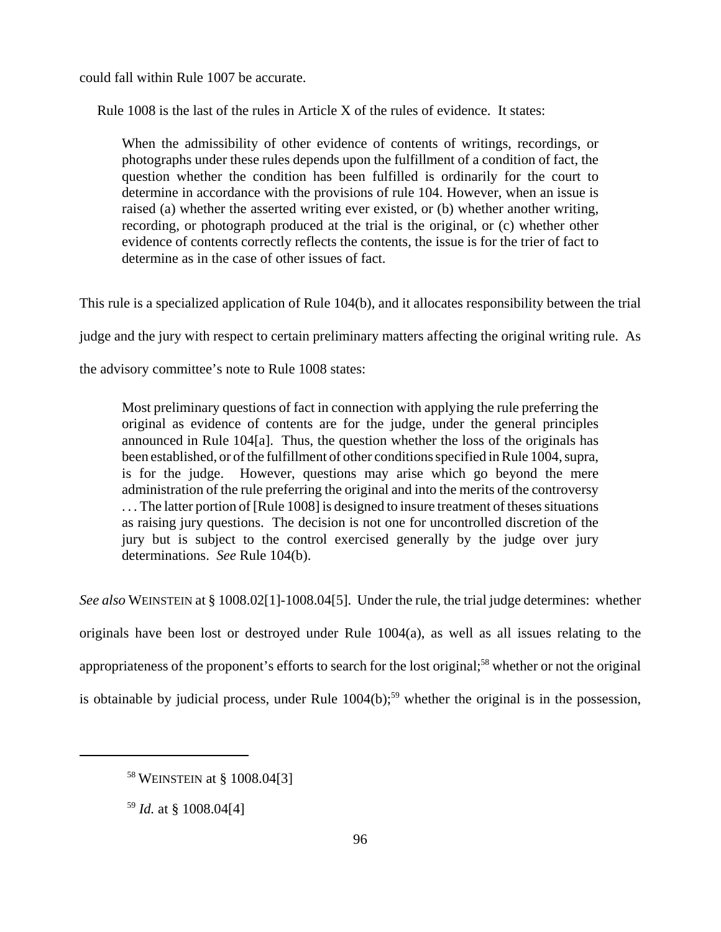could fall within Rule 1007 be accurate.

Rule 1008 is the last of the rules in Article X of the rules of evidence. It states:

When the admissibility of other evidence of contents of writings, recordings, or photographs under these rules depends upon the fulfillment of a condition of fact, the question whether the condition has been fulfilled is ordinarily for the court to determine in accordance with the provisions of rule 104. However, when an issue is raised (a) whether the asserted writing ever existed, or (b) whether another writing, recording, or photograph produced at the trial is the original, or (c) whether other evidence of contents correctly reflects the contents, the issue is for the trier of fact to determine as in the case of other issues of fact.

This rule is a specialized application of Rule 104(b), and it allocates responsibility between the trial

judge and the jury with respect to certain preliminary matters affecting the original writing rule. As

the advisory committee's note to Rule 1008 states:

Most preliminary questions of fact in connection with applying the rule preferring the original as evidence of contents are for the judge, under the general principles announced in Rule 104[a]. Thus, the question whether the loss of the originals has been established, or of the fulfillment of other conditions specified in Rule 1004, supra, is for the judge. However, questions may arise which go beyond the mere administration of the rule preferring the original and into the merits of the controversy . . . The latter portion of [Rule 1008] is designed to insure treatment of theses situations as raising jury questions. The decision is not one for uncontrolled discretion of the jury but is subject to the control exercised generally by the judge over jury determinations. *See* Rule 104(b).

*See also* WEINSTEIN at § 1008.02[1]-1008.04[5]. Under the rule, the trial judge determines: whether originals have been lost or destroyed under Rule 1004(a), as well as all issues relating to the appropriateness of the proponent's efforts to search for the lost original;<sup>58</sup> whether or not the original is obtainable by judicial process, under Rule  $1004(b)$ ;<sup>59</sup> whether the original is in the possession,

<sup>59</sup> *Id.* at § 1008.04[4]

<sup>58</sup> WEINSTEIN at § 1008.04[3]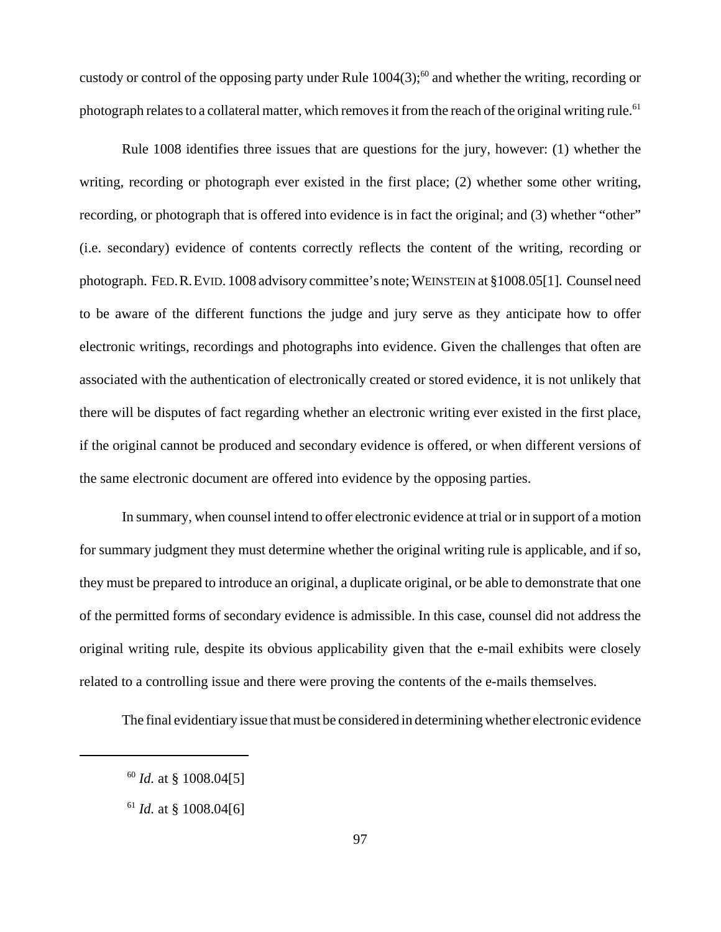custody or control of the opposing party under Rule  $1004(3)$ ;<sup>60</sup> and whether the writing, recording or photograph relates to a collateral matter, which removes it from the reach of the original writing rule.<sup>61</sup>

Rule 1008 identifies three issues that are questions for the jury, however: (1) whether the writing, recording or photograph ever existed in the first place; (2) whether some other writing, recording, or photograph that is offered into evidence is in fact the original; and (3) whether "other" (i.e. secondary) evidence of contents correctly reflects the content of the writing, recording or photograph. FED.R.EVID. 1008 advisory committee's note; WEINSTEIN at §1008.05[1]. Counsel need to be aware of the different functions the judge and jury serve as they anticipate how to offer electronic writings, recordings and photographs into evidence. Given the challenges that often are associated with the authentication of electronically created or stored evidence, it is not unlikely that there will be disputes of fact regarding whether an electronic writing ever existed in the first place, if the original cannot be produced and secondary evidence is offered, or when different versions of the same electronic document are offered into evidence by the opposing parties.

In summary, when counsel intend to offer electronic evidence at trial or in support of a motion for summary judgment they must determine whether the original writing rule is applicable, and if so, they must be prepared to introduce an original, a duplicate original, or be able to demonstrate that one of the permitted forms of secondary evidence is admissible. In this case, counsel did not address the original writing rule, despite its obvious applicability given that the e-mail exhibits were closely related to a controlling issue and there were proving the contents of the e-mails themselves.

The final evidentiary issue that must be considered in determining whether electronic evidence

<sup>60</sup> *Id.* at § 1008.04[5]

 $61$  *Id.* at § 1008.04[6]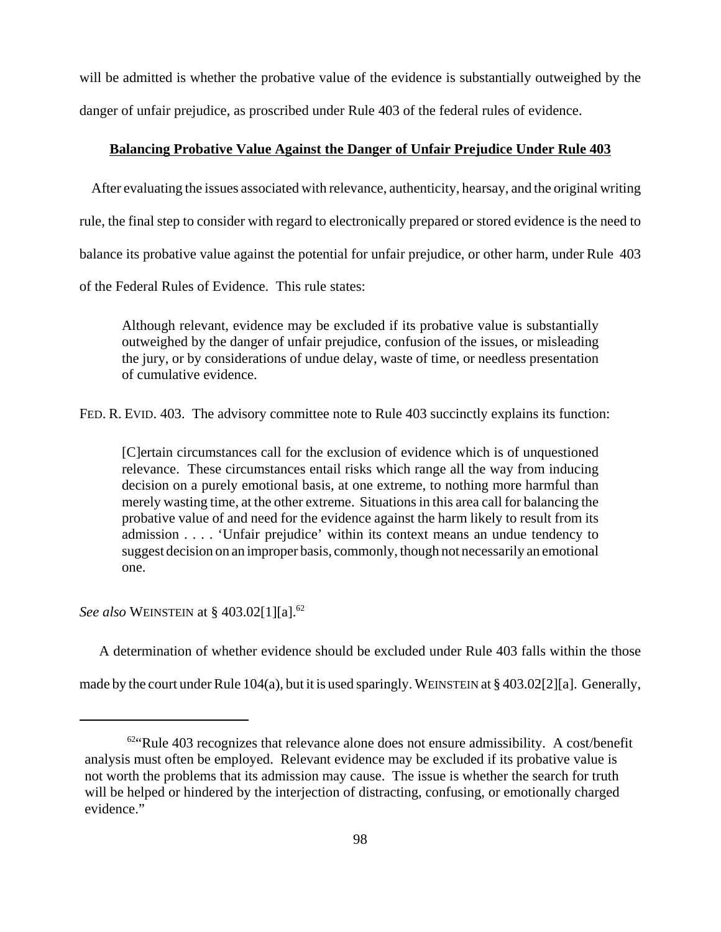will be admitted is whether the probative value of the evidence is substantially outweighed by the danger of unfair prejudice, as proscribed under Rule 403 of the federal rules of evidence.

# **Balancing Probative Value Against the Danger of Unfair Prejudice Under Rule 403**

After evaluating the issues associated with relevance, authenticity, hearsay, and the original writing

rule, the final step to consider with regard to electronically prepared or stored evidence is the need to

balance its probative value against the potential for unfair prejudice, or other harm, under Rule 403

of the Federal Rules of Evidence. This rule states:

Although relevant, evidence may be excluded if its probative value is substantially outweighed by the danger of unfair prejudice, confusion of the issues, or misleading the jury, or by considerations of undue delay, waste of time, or needless presentation of cumulative evidence.

FED. R. EVID. 403. The advisory committee note to Rule 403 succinctly explains its function:

[C]ertain circumstances call for the exclusion of evidence which is of unquestioned relevance. These circumstances entail risks which range all the way from inducing decision on a purely emotional basis, at one extreme, to nothing more harmful than merely wasting time, at the other extreme. Situations in this area call for balancing the probative value of and need for the evidence against the harm likely to result from its admission . . . . 'Unfair prejudice' within its context means an undue tendency to suggest decision on an improper basis, commonly, though not necessarily an emotional one.

*See also* WEINSTEIN at § 403.02[1][a].<sup>62</sup>

A determination of whether evidence should be excluded under Rule 403 falls within the those

made by the court under Rule 104(a), but it is used sparingly. WEINSTEIN at § 403.02[2][a]. Generally,

 $62$ "Rule 403 recognizes that relevance alone does not ensure admissibility. A cost/benefit analysis must often be employed. Relevant evidence may be excluded if its probative value is not worth the problems that its admission may cause. The issue is whether the search for truth will be helped or hindered by the interjection of distracting, confusing, or emotionally charged evidence."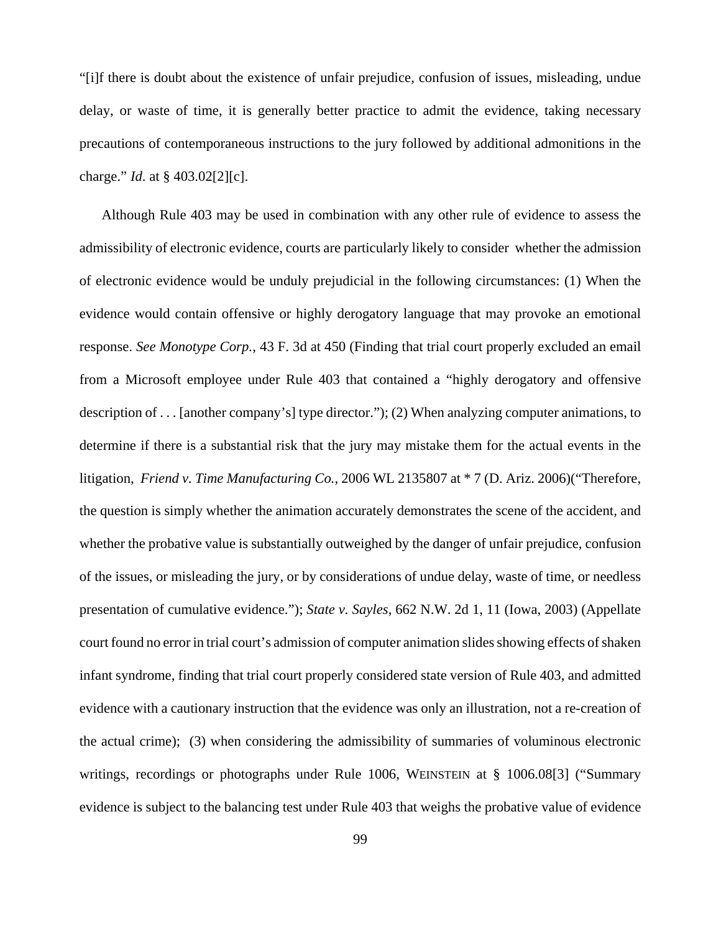"[i]f there is doubt about the existence of unfair prejudice, confusion of issues, misleading, undue delay, or waste of time, it is generally better practice to admit the evidence, taking necessary precautions of contemporaneous instructions to the jury followed by additional admonitions in the charge." *Id*. at § 403.02[2][c].

 Although Rule 403 may be used in combination with any other rule of evidence to assess the admissibility of electronic evidence, courts are particularly likely to consider whether the admission of electronic evidence would be unduly prejudicial in the following circumstances: (1) When the evidence would contain offensive or highly derogatory language that may provoke an emotional response. *See Monotype Corp.*, 43 F. 3d at 450 (Finding that trial court properly excluded an email from a Microsoft employee under Rule 403 that contained a "highly derogatory and offensive description of . . . [another company's] type director."); (2) When analyzing computer animations, to determine if there is a substantial risk that the jury may mistake them for the actual events in the litigation, *Friend v. Time Manufacturing Co.*, 2006 WL 2135807 at \* 7 (D. Ariz. 2006)("Therefore, the question is simply whether the animation accurately demonstrates the scene of the accident, and whether the probative value is substantially outweighed by the danger of unfair prejudice, confusion of the issues, or misleading the jury, or by considerations of undue delay, waste of time, or needless presentation of cumulative evidence."); *State v. Sayles*, 662 N.W. 2d 1, 11 (Iowa, 2003) (Appellate court found no error in trial court's admission of computer animation slides showing effects of shaken infant syndrome, finding that trial court properly considered state version of Rule 403, and admitted evidence with a cautionary instruction that the evidence was only an illustration, not a re-creation of the actual crime); (3) when considering the admissibility of summaries of voluminous electronic writings, recordings or photographs under Rule 1006, WEINSTEIN at § 1006.08[3] ("Summary evidence is subject to the balancing test under Rule 403 that weighs the probative value of evidence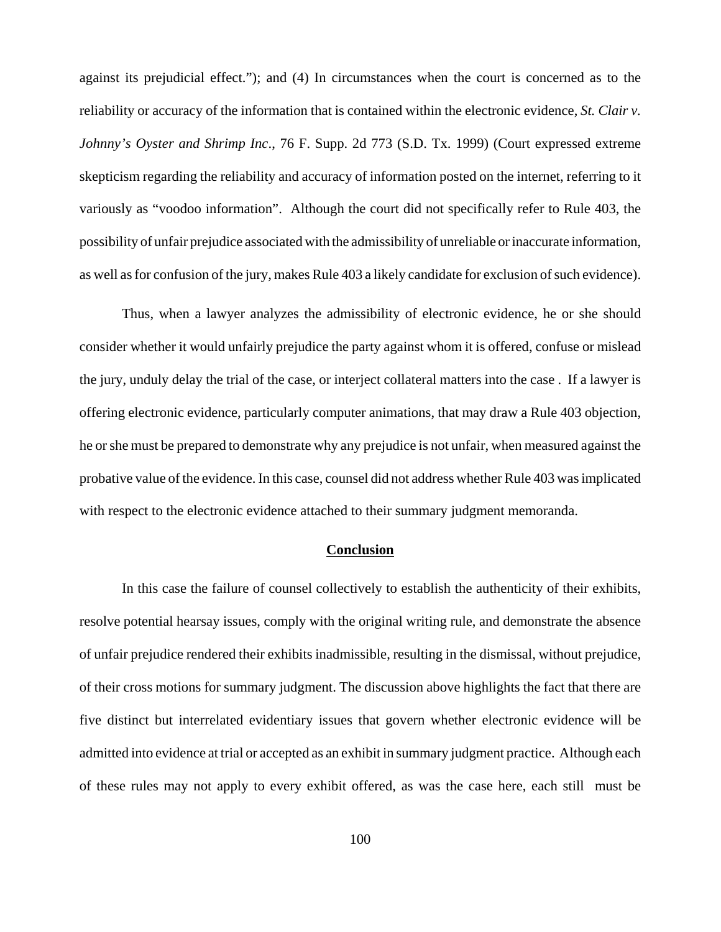against its prejudicial effect."); and (4) In circumstances when the court is concerned as to the reliability or accuracy of the information that is contained within the electronic evidence, *St. Clair v. Johnny's Oyster and Shrimp Inc*., 76 F. Supp. 2d 773 (S.D. Tx. 1999) (Court expressed extreme skepticism regarding the reliability and accuracy of information posted on the internet, referring to it variously as "voodoo information". Although the court did not specifically refer to Rule 403, the possibility of unfair prejudice associated with the admissibility of unreliable or inaccurate information, as well as for confusion of the jury, makes Rule 403 a likely candidate for exclusion of such evidence).

Thus, when a lawyer analyzes the admissibility of electronic evidence, he or she should consider whether it would unfairly prejudice the party against whom it is offered, confuse or mislead the jury, unduly delay the trial of the case, or interject collateral matters into the case . If a lawyer is offering electronic evidence, particularly computer animations, that may draw a Rule 403 objection, he or she must be prepared to demonstrate why any prejudice is not unfair, when measured against the probative value of the evidence. In this case, counsel did not address whether Rule 403 was implicated with respect to the electronic evidence attached to their summary judgment memoranda.

## **Conclusion**

In this case the failure of counsel collectively to establish the authenticity of their exhibits, resolve potential hearsay issues, comply with the original writing rule, and demonstrate the absence of unfair prejudice rendered their exhibits inadmissible, resulting in the dismissal, without prejudice, of their cross motions for summary judgment. The discussion above highlights the fact that there are five distinct but interrelated evidentiary issues that govern whether electronic evidence will be admitted into evidence at trial or accepted as an exhibit in summary judgment practice. Although each of these rules may not apply to every exhibit offered, as was the case here, each still must be